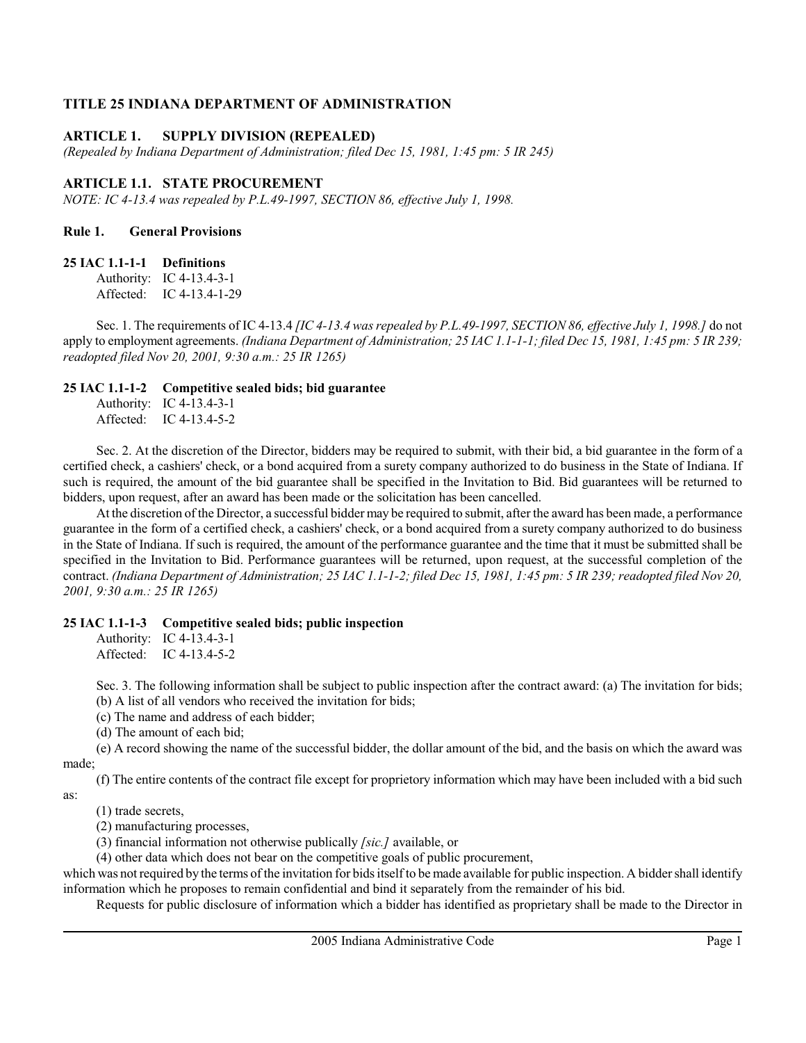### TITLE 25 INDIANA DEPARTMENT OF ADMINISTRATION

### ARTICLE 1. SUPPLY DIVISION (REPEALED)

(Repealed by Indiana Department of Administration; filed Dec 15, 1981, 1:45 pm: 5 IR 245)

### ARTICLE 1.1. STATE PROCUREMENT

NOTE: IC 4-13.4 was repealed by P.L.49-1997, SECTION 86, effective July 1, 1998.

### Rule 1. General Provisions

#### 25 IAC 1.1-1-1 Definitions

Authority: IC 4-13.4-3-1 Affected: IC 4-13.4-1-29

Sec. 1. The requirements of IC 4-13.4 [IC 4-13.4 was repealed by P.L.49-1997, SECTION 86, effective July 1, 1998.] do not apply to employment agreements. (Indiana Department of Administration; 25 IAC 1.1-1-1; filed Dec 15, 1981, 1:45 pm: 5 IR 239; readopted filed Nov 20, 2001, 9:30 a.m.: 25 IR 1265)

#### 25 IAC 1.1-1-2 Competitive sealed bids; bid guarantee

Authority: IC 4-13.4-3-1 Affected: IC 4-13.4-5-2

Sec. 2. At the discretion of the Director, bidders may be required to submit, with their bid, a bid guarantee in the form of a certified check, a cashiers' check, or a bond acquired from a surety company authorized to do business in the State of Indiana. If such is required, the amount of the bid guarantee shall be specified in the Invitation to Bid. Bid guarantees will be returned to bidders, upon request, after an award has been made or the solicitation has been cancelled.

At the discretion of the Director, a successful bidder may be required to submit, after the award has been made, a performance guarantee in the form of a certified check, a cashiers' check, or a bond acquired from a surety company authorized to do business in the State of Indiana. If such is required, the amount of the performance guarantee and the time that it must be submitted shall be specified in the Invitation to Bid. Performance guarantees will be returned, upon request, at the successful completion of the contract. (Indiana Department of Administration; 25 IAC 1.1-1-2; filed Dec 15, 1981, 1:45 pm: 5 IR 239; readopted filed Nov 20, 2001, 9:30 a.m.: 25 IR 1265)

#### 25 IAC 1.1-1-3 Competitive sealed bids; public inspection

Authority: IC 4-13.4-3-1 Affected: IC 4-13.4-5-2

Sec. 3. The following information shall be subject to public inspection after the contract award: (a) The invitation for bids; (b) A list of all vendors who received the invitation for bids;

(c) The name and address of each bidder;

(d) The amount of each bid;

(e) A record showing the name of the successful bidder, the dollar amount of the bid, and the basis on which the award was made;

(f) The entire contents of the contract file except for proprietory information which may have been included with a bid such as:

(1) trade secrets,

(2) manufacturing processes,

(3) financial information not otherwise publically [sic.] available, or

(4) other data which does not bear on the competitive goals of public procurement,

which was not required by the terms of the invitation for bids itself to be made available for public inspection. A bidder shall identify information which he proposes to remain confidential and bind it separately from the remainder of his bid.

Requests for public disclosure of information which a bidder has identified as proprietary shall be made to the Director in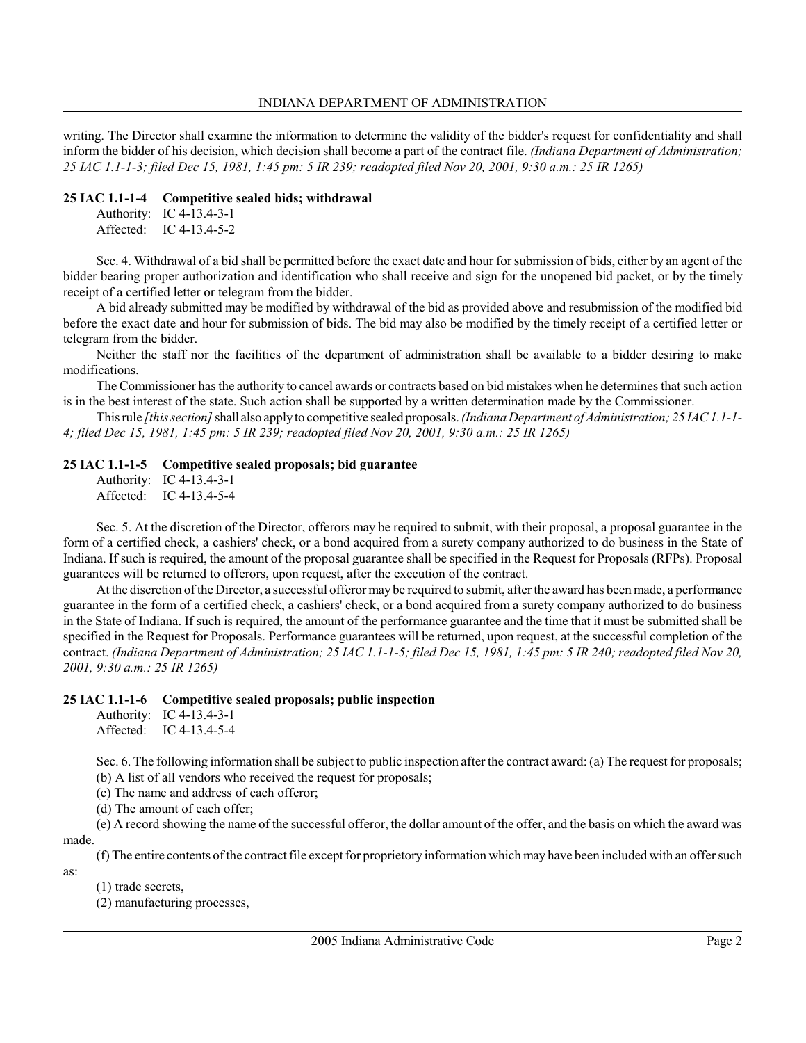writing. The Director shall examine the information to determine the validity of the bidder's request for confidentiality and shall inform the bidder of his decision, which decision shall become a part of the contract file. (Indiana Department of Administration; 25 IAC 1.1-1-3; filed Dec 15, 1981, 1:45 pm: 5 IR 239; readopted filed Nov 20, 2001, 9:30 a.m.: 25 IR 1265)

### 25 IAC 1.1-1-4 Competitive sealed bids; withdrawal

Authority: IC 4-13.4-3-1 Affected: IC 4-13.4-5-2

Sec. 4. Withdrawal of a bid shall be permitted before the exact date and hour for submission of bids, either by an agent of the bidder bearing proper authorization and identification who shall receive and sign for the unopened bid packet, or by the timely receipt of a certified letter or telegram from the bidder.

A bid already submitted may be modified by withdrawal of the bid as provided above and resubmission of the modified bid before the exact date and hour for submission of bids. The bid may also be modified by the timely receipt of a certified letter or telegram from the bidder.

Neither the staff nor the facilities of the department of administration shall be available to a bidder desiring to make modifications.

The Commissioner has the authority to cancel awards or contracts based on bid mistakes when he determines that such action is in the best interest of the state. Such action shall be supported by a written determination made by the Commissioner.

This rule [this section] shall also apply to competitive sealed proposals. (Indiana Department of Administration; 25 IAC 1.1-1-4; filed Dec 15, 1981, 1:45 pm: 5 IR 239; readopted filed Nov 20, 2001, 9:30 a.m.: 25 IR 1265)

### 25 IAC 1.1-1-5 Competitive sealed proposals; bid guarantee

Authority: IC 4-13.4-3-1 Affected: IC 4-13.4-5-4

Sec. 5. At the discretion of the Director, offerors may be required to submit, with their proposal, a proposal guarantee in the form of a certified check, a cashiers' check, or a bond acquired from a surety company authorized to do business in the State of Indiana. If such is required, the amount of the proposal guarantee shall be specified in the Request for Proposals (RFPs). Proposal guarantees will be returned to offerors, upon request, after the execution of the contract.

At the discretion of the Director, a successful offeror may be required to submit, after the award has been made, a performance guarantee in the form of a certified check, a cashiers' check, or a bond acquired from a surety company authorized to do business in the State of Indiana. If such is required, the amount of the performance guarantee and the time that it must be submitted shall be specified in the Request for Proposals. Performance guarantees will be returned, upon request, at the successful completion of the contract. (Indiana Department of Administration; 25 IAC 1.1-1-5; filed Dec 15, 1981, 1:45 pm: 5 IR 240; readopted filed Nov 20, 2001, 9:30 a.m.: 25 IR 1265)

# 25 IAC 1.1-1-6 Competitive sealed proposals; public inspection

Authority: IC 4-13.4-3-1 Affected: IC 4-13.4-5-4

Sec. 6. The following information shall be subject to public inspection after the contract award: (a) The request for proposals; (b) A list of all vendors who received the request for proposals;

(c) The name and address of each offeror;

(d) The amount of each offer;

(e) A record showing the name of the successful offeror, the dollar amount of the offer, and the basis on which the award was made.

(f) The entire contents of the contract file except for proprietory information which may have been included with an offer such

as:

(1) trade secrets,

(2) manufacturing processes,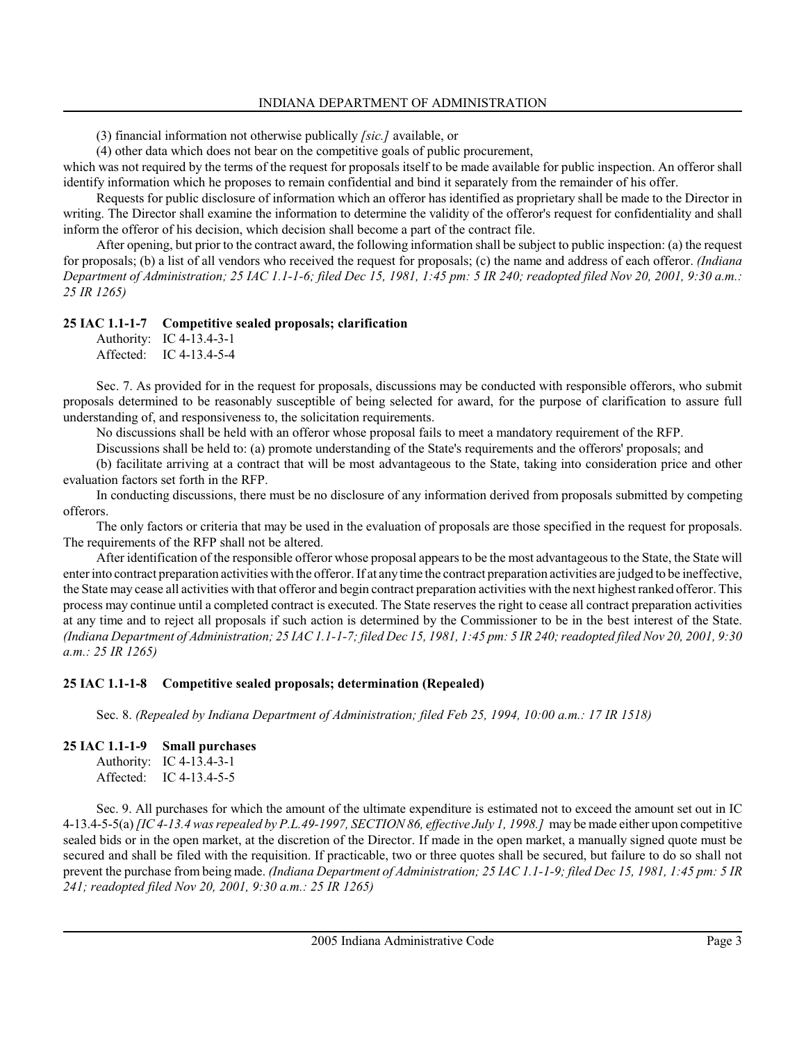(3) financial information not otherwise publically [sic.] available, or

(4) other data which does not bear on the competitive goals of public procurement,

which was not required by the terms of the request for proposals itself to be made available for public inspection. An offeror shall identify information which he proposes to remain confidential and bind it separately from the remainder of his offer.

Requests for public disclosure of information which an offeror has identified as proprietary shall be made to the Director in writing. The Director shall examine the information to determine the validity of the offeror's request for confidentiality and shall inform the offeror of his decision, which decision shall become a part of the contract file.

After opening, but prior to the contract award, the following information shall be subject to public inspection: (a) the request for proposals; (b) a list of all vendors who received the request for proposals; (c) the name and address of each offeror. *(Indiana*) Department of Administration; 25 IAC 1.1-1-6; filed Dec 15, 1981, 1:45 pm: 5 IR 240; readopted filed Nov 20, 2001, 9:30 a.m.: 25 IR 1265)

# 25 IAC 1.1-1-7 Competitive sealed proposals; clarification

Authority: IC 4-13.4-3-1 Affected: IC 4-13.4-5-4

Sec. 7. As provided for in the request for proposals, discussions may be conducted with responsible offerors, who submit proposals determined to be reasonably susceptible of being selected for award, for the purpose of clarification to assure full understanding of, and responsiveness to, the solicitation requirements.

No discussions shall be held with an offeror whose proposal fails to meet a mandatory requirement of the RFP.

Discussions shall be held to: (a) promote understanding of the State's requirements and the offerors' proposals; and

(b) facilitate arriving at a contract that will be most advantageous to the State, taking into consideration price and other evaluation factors set forth in the RFP.

In conducting discussions, there must be no disclosure of any information derived from proposals submitted by competing offerors.

The only factors or criteria that may be used in the evaluation of proposals are those specified in the request for proposals. The requirements of the RFP shall not be altered.

After identification of the responsible offeror whose proposal appears to be the most advantageous to the State, the State will enter into contract preparation activities with the offeror. If at any time the contract preparation activities are judged to be ineffective, the State may cease all activities with that offeror and begin contract preparation activities with the next highest ranked offeror. This process may continue until a completed contract is executed. The State reserves the right to cease all contract preparation activities at any time and to reject all proposals if such action is determined by the Commissioner to be in the best interest of the State. (Indiana Department of Administration; 25 IAC 1.1-1-7; filed Dec 15, 1981, 1:45 pm: 5 IR 240; readopted filed Nov 20, 2001, 9:30 a.m.: 25 IR 1265)

# 25 IAC 1.1-1-8 Competitive sealed proposals; determination (Repealed)

Sec. 8. (Repealed by Indiana Department of Administration; filed Feb 25, 1994, 10:00 a.m.: 17 IR 1518)

# 25 IAC 1.1-1-9 Small purchases

| Authority: | IC 4-13.4-3-1 |
|------------|---------------|
| Affected:  | IC 4-13.4-5-5 |

Sec. 9. All purchases for which the amount of the ultimate expenditure is estimated not to exceed the amount set out in IC 4-13.4-5-5(a) [IC 4-13.4 was repealed by P.L.49-1997, SECTION 86, effective July 1, 1998.] may be made either upon competitive sealed bids or in the open market, at the discretion of the Director. If made in the open market, a manually signed quote must be secured and shall be filed with the requisition. If practicable, two or three quotes shall be secured, but failure to do so shall not prevent the purchase from being made. (Indiana Department of Administration; 25 IAC 1.1-1-9; filed Dec 15, 1981, 1:45 pm: 5 IR 241; readopted filed Nov 20, 2001, 9:30 a.m.: 25 IR 1265)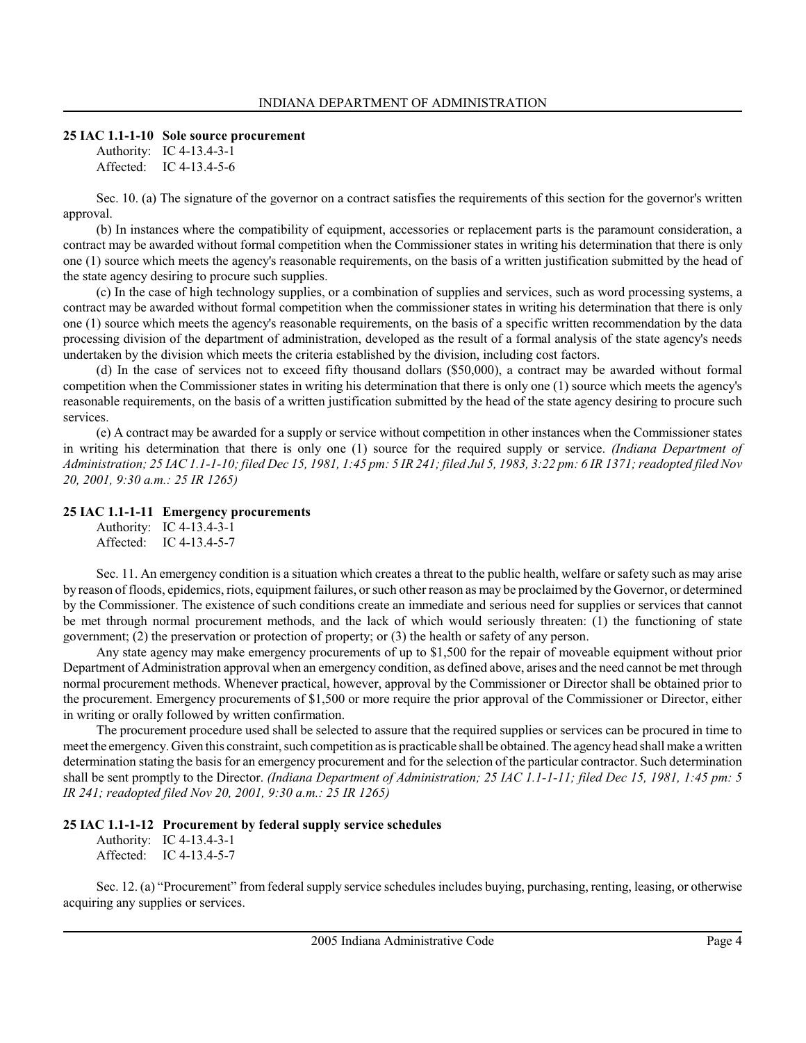#### 25 IAC 1.1-1-10 Sole source procurement

Authority: IC 4-13.4-3-1 Affected: IC 4-13.4-5-6

Sec. 10. (a) The signature of the governor on a contract satisfies the requirements of this section for the governor's written approval.

(b) In instances where the compatibility of equipment, accessories or replacement parts is the paramount consideration, a contract may be awarded without formal competition when the Commissioner states in writing his determination that there is only one (1) source which meets the agency's reasonable requirements, on the basis of a written justification submitted by the head of the state agency desiring to procure such supplies.

(c) In the case of high technology supplies, or a combination of supplies and services, such as word processing systems, a contract may be awarded without formal competition when the commissioner states in writing his determination that there is only one (1) source which meets the agency's reasonable requirements, on the basis of a specific written recommendation by the data processing division of the department of administration, developed as the result of a formal analysis of the state agency's needs undertaken by the division which meets the criteria established by the division, including cost factors.

(d) In the case of services not to exceed fifty thousand dollars (\$50,000), a contract may be awarded without formal competition when the Commissioner states in writing his determination that there is only one (1) source which meets the agency's reasonable requirements, on the basis of a written justification submitted by the head of the state agency desiring to procure such services.

(e) A contract may be awarded for a supply or service without competition in other instances when the Commissioner states in writing his determination that there is only one (1) source for the required supply or service. (Indiana Department of Administration; 25 IAC 1.1-1-10; filed Dec 15, 1981, 1:45 pm: 5 IR 241; filed Jul 5, 1983, 3:22 pm: 6 IR 1371; readopted filed Nov 20, 2001, 9:30 a.m.: 25 IR 1265)

#### 25 IAC 1.1-1-11 Emergency procurements

| Authority: | IC $4-13.4-3-1$ |
|------------|-----------------|
| Affected:  | IC $4-13.4-5-7$ |

Sec. 11. An emergency condition is a situation which creates a threat to the public health, welfare or safety such as may arise by reason of floods, epidemics, riots, equipment failures, or such other reason as may be proclaimed by the Governor, or determined by the Commissioner. The existence of such conditions create an immediate and serious need for supplies or services that cannot be met through normal procurement methods, and the lack of which would seriously threaten: (1) the functioning of state government; (2) the preservation or protection of property; or (3) the health or safety of any person.

Any state agency may make emergency procurements of up to \$1,500 for the repair of moveable equipment without prior Department of Administration approval when an emergency condition, as defined above, arises and the need cannot be met through normal procurement methods. Whenever practical, however, approval by the Commissioner or Director shall be obtained prior to the procurement. Emergency procurements of \$1,500 or more require the prior approval of the Commissioner or Director, either in writing or orally followed by written confirmation.

The procurement procedure used shall be selected to assure that the required supplies or services can be procured in time to meet the emergency. Given this constraint, such competition as is practicable shall be obtained. The agency head shall make a written determination stating the basis for an emergency procurement and for the selection of the particular contractor. Such determination shall be sent promptly to the Director. (Indiana Department of Administration; 25 IAC 1.1-1-11; filed Dec 15, 1981, 1:45 pm: 5 IR 241; readopted filed Nov 20, 2001, 9:30 a.m.: 25 IR 1265)

#### 25 IAC 1.1-1-12 Procurement by federal supply service schedules

Authority: IC 4-13.4-3-1 Affected: IC 4-13.4-5-7

Sec. 12. (a) "Procurement" from federal supply service schedules includes buying, purchasing, renting, leasing, or otherwise acquiring any supplies or services.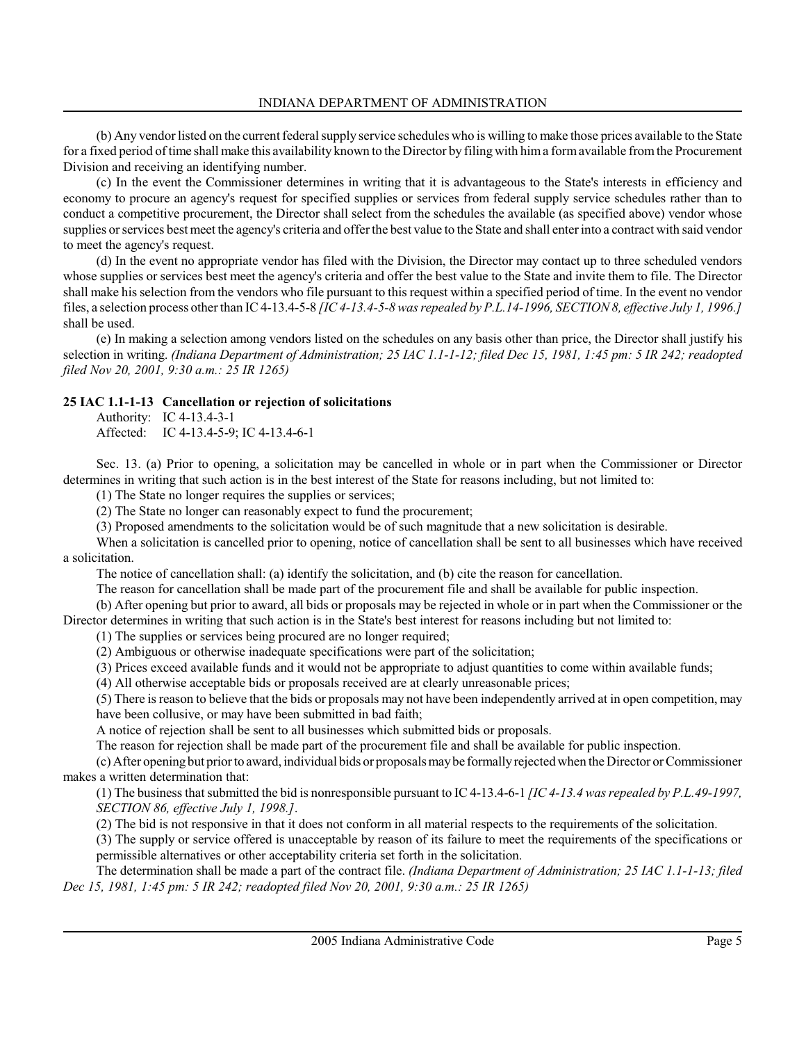(b) Any vendor listed on the current federal supply service schedules who is willing to make those prices available to the State for a fixed period of time shall make this availability known to the Director by filing with him a form available from the Procurement Division and receiving an identifying number.

(c) In the event the Commissioner determines in writing that it is advantageous to the State's interests in efficiency and economy to procure an agency's request for specified supplies or services from federal supply service schedules rather than to conduct a competitive procurement, the Director shall select from the schedules the available (as specified above) vendor whose supplies or services best meet the agency's criteria and offer the best value to the State and shall enter into a contract with said vendor to meet the agency's request.

(d) In the event no appropriate vendor has filed with the Division, the Director may contact up to three scheduled vendors whose supplies or services best meet the agency's criteria and offer the best value to the State and invite them to file. The Director shall make his selection from the vendors who file pursuant to this request within a specified period of time. In the event no vendor files, a selection process other than IC 4-13.4-5-8 [IC 4-13.4-5-8 was repealed by P.L.14-1996, SECTION 8, effective July 1, 1996.] shall be used.

(e) In making a selection among vendors listed on the schedules on any basis other than price, the Director shall justify his selection in writing. (Indiana Department of Administration; 25 IAC 1.1-1-12; filed Dec 15, 1981, 1:45 pm: 5 IR 242; readopted filed Nov 20, 2001, 9:30 a.m.: 25 IR 1265)

# 25 IAC 1.1-1-13 Cancellation or rejection of solicitations

Authority: IC 4-13.4-3-1 Affected: IC 4-13.4-5-9; IC 4-13.4-6-1

Sec. 13. (a) Prior to opening, a solicitation may be cancelled in whole or in part when the Commissioner or Director determines in writing that such action is in the best interest of the State for reasons including, but not limited to:

(1) The State no longer requires the supplies or services;

(2) The State no longer can reasonably expect to fund the procurement;

(3) Proposed amendments to the solicitation would be of such magnitude that a new solicitation is desirable.

When a solicitation is cancelled prior to opening, notice of cancellation shall be sent to all businesses which have received a solicitation.

The notice of cancellation shall: (a) identify the solicitation, and (b) cite the reason for cancellation.

The reason for cancellation shall be made part of the procurement file and shall be available for public inspection.

(b) After opening but prior to award, all bids or proposals may be rejected in whole or in part when the Commissioner or the Director determines in writing that such action is in the State's best interest for reasons including but not limited to:

(1) The supplies or services being procured are no longer required;

(2) Ambiguous or otherwise inadequate specifications were part of the solicitation;

(3) Prices exceed available funds and it would not be appropriate to adjust quantities to come within available funds;

(4) All otherwise acceptable bids or proposals received are at clearly unreasonable prices;

(5) There is reason to believe that the bids or proposals may not have been independently arrived at in open competition, may have been collusive, or may have been submitted in bad faith;

A notice of rejection shall be sent to all businesses which submitted bids or proposals.

The reason for rejection shall be made part of the procurement file and shall be available for public inspection.

(c) After opening but prior to award, individual bids or proposals may be formally rejected when the Director or Commissioner makes a written determination that:

(1) The business that submitted the bid is nonresponsible pursuant to IC 4-13.4-6-1 [IC 4-13.4 was repealed by P.L.49-1997, SECTION 86, effective July 1, 1998.].

(2) The bid is not responsive in that it does not conform in all material respects to the requirements of the solicitation.

(3) The supply or service offered is unacceptable by reason of its failure to meet the requirements of the specifications or permissible alternatives or other acceptability criteria set forth in the solicitation.

The determination shall be made a part of the contract file. (Indiana Department of Administration; 25 IAC 1.1-1-13; filed Dec 15, 1981, 1:45 pm: 5 IR 242; readopted filed Nov 20, 2001, 9:30 a.m.: 25 IR 1265)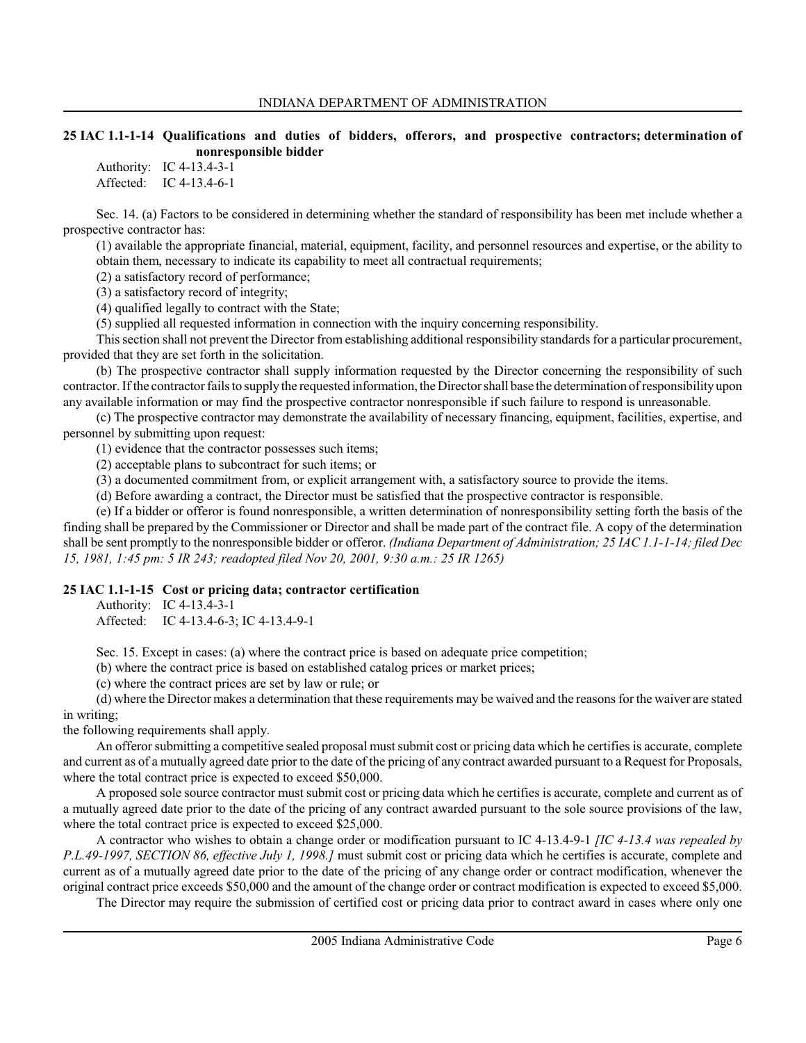### 25 IAC 1.1-1-14 Qualifications and duties of bidders, offerors, and prospective contractors; determination of nonresponsible bidder

Authority: IC 4-13.4-3-1 Affected: IC 4-13.4-6-1

Sec. 14. (a) Factors to be considered in determining whether the standard of responsibility has been met include whether a prospective contractor has:

(1) available the appropriate financial, material, equipment, facility, and personnel resources and expertise, or the ability to obtain them, necessary to indicate its capability to meet all contractual requirements;

(2) a satisfactory record of performance;

(3) a satisfactory record of integrity;

(4) qualified legally to contract with the State;

(5) supplied all requested information in connection with the inquiry concerning responsibility.

This section shall not prevent the Director from establishing additional responsibility standards for a particular procurement, provided that they are set forth in the solicitation.

(b) The prospective contractor shall supply information requested by the Director concerning the responsibility of such contractor. If the contractor fails to supply the requested information, the Director shall base the determination of responsibility upon any available information or may find the prospective contractor nonresponsible if such failure to respond is unreasonable.

(c) The prospective contractor may demonstrate the availability of necessary financing, equipment, facilities, expertise, and personnel by submitting upon request:

(1) evidence that the contractor possesses such items;

(2) acceptable plans to subcontract for such items; or

(3) a documented commitment from, or explicit arrangement with, a satisfactory source to provide the items.

(d) Before awarding a contract, the Director must be satisfied that the prospective contractor is responsible.

(e) If a bidder or offeror is found nonresponsible, a written determination of nonresponsibility setting forth the basis of the finding shall be prepared by the Commissioner or Director and shall be made part of the contract file. A copy of the determination shall be sent promptly to the nonresponsible bidder or offeror. (Indiana Department of Administration; 25 IAC 1.1-1-14; filed Dec 15, 1981, 1:45 pm: 5 IR 243; readopted filed Nov 20, 2001, 9:30 a.m.: 25 IR 1265)

# 25 IAC 1.1-1-15 Cost or pricing data; contractor certification

Authority: IC 4-13.4-3-1

Affected: IC 4-13.4-6-3; IC 4-13.4-9-1

Sec. 15. Except in cases: (a) where the contract price is based on adequate price competition;

(b) where the contract price is based on established catalog prices or market prices;

(c) where the contract prices are set by law or rule; or

(d) where the Director makes a determination that these requirements may be waived and the reasons for the waiver are stated in writing;

the following requirements shall apply.

An offeror submitting a competitive sealed proposal must submit cost or pricing data which he certifies is accurate, complete and current as of a mutually agreed date prior to the date of the pricing of any contract awarded pursuant to a Request for Proposals, where the total contract price is expected to exceed \$50,000.

A proposed sole source contractor must submit cost or pricing data which he certifies is accurate, complete and current as of a mutually agreed date prior to the date of the pricing of any contract awarded pursuant to the sole source provisions of the law, where the total contract price is expected to exceed \$25,000.

A contractor who wishes to obtain a change order or modification pursuant to IC 4-13.4-9-1  $\text{/IC } 4\text{-}13.4$  was repealed by P.L.49-1997, SECTION 86, effective July 1, 1998.] must submit cost or pricing data which he certifies is accurate, complete and current as of a mutually agreed date prior to the date of the pricing of any change order or contract modification, whenever the original contract price exceeds \$50,000 and the amount of the change order or contract modification is expected to exceed \$5,000.

The Director may require the submission of certified cost or pricing data prior to contract award in cases where only one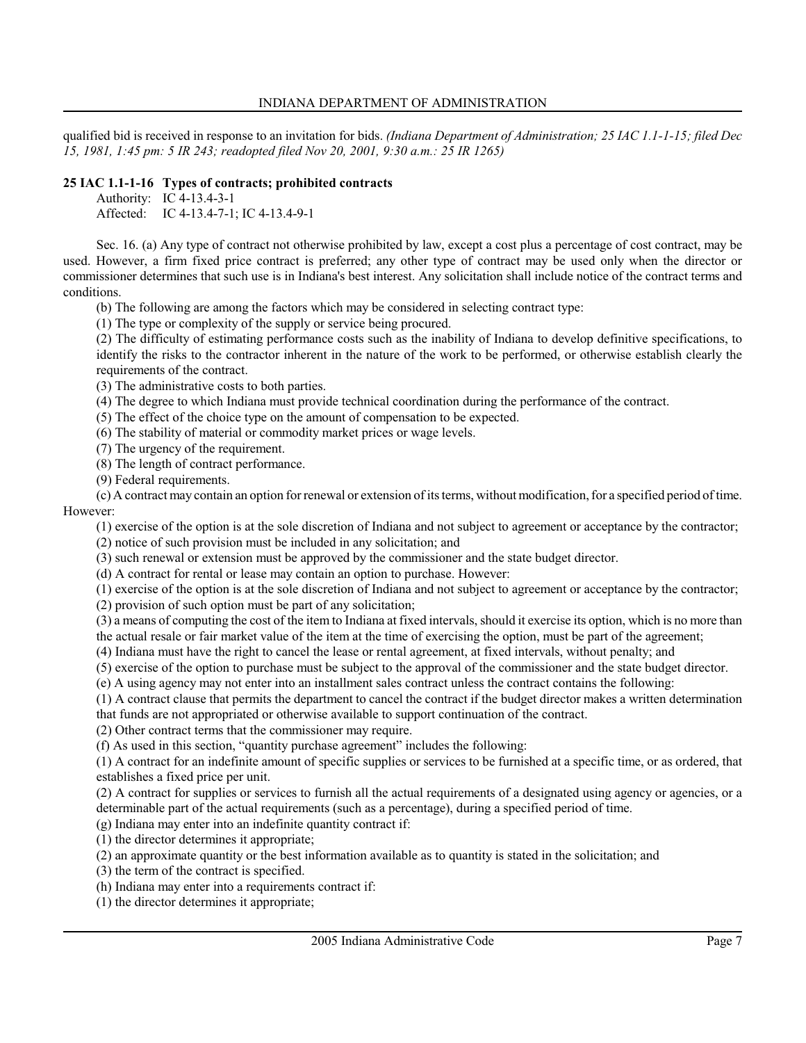qualified bid is received in response to an invitation for bids. (Indiana Department of Administration; 25 IAC 1.1-1-15; filed Dec 15, 1981, 1:45 pm: 5 IR 243; readopted filed Nov 20, 2001, 9:30 a.m.: 25 IR 1265)

# 25 IAC 1.1-1-16 Types of contracts; prohibited contracts

Authority: IC 4-13.4-3-1 Affected: IC 4-13.4-7-1; IC 4-13.4-9-1

Sec. 16. (a) Any type of contract not otherwise prohibited by law, except a cost plus a percentage of cost contract, may be used. However, a firm fixed price contract is preferred; any other type of contract may be used only when the director or commissioner determines that such use is in Indiana's best interest. Any solicitation shall include notice of the contract terms and conditions.

(b) The following are among the factors which may be considered in selecting contract type:

(1) The type or complexity of the supply or service being procured.

(2) The difficulty of estimating performance costs such as the inability of Indiana to develop definitive specifications, to identify the risks to the contractor inherent in the nature of the work to be performed, or otherwise establish clearly the requirements of the contract.

(3) The administrative costs to both parties.

(4) The degree to which Indiana must provide technical coordination during the performance of the contract.

(5) The effect of the choice type on the amount of compensation to be expected.

(6) The stability of material or commodity market prices or wage levels.

(7) The urgency of the requirement.

(8) The length of contract performance.

(9) Federal requirements.

(c) A contract may contain an option for renewal or extension of its terms, without modification, for a specified period of time. However:

(1) exercise of the option is at the sole discretion of Indiana and not subject to agreement or acceptance by the contractor;

(2) notice of such provision must be included in any solicitation; and

(3) such renewal or extension must be approved by the commissioner and the state budget director.

(d) A contract for rental or lease may contain an option to purchase. However:

(1) exercise of the option is at the sole discretion of Indiana and not subject to agreement or acceptance by the contractor;

(2) provision of such option must be part of any solicitation;

(3) a means of computing the cost of the item to Indiana at fixed intervals, should it exercise its option, which is no more than the actual resale or fair market value of the item at the time of exercising the option, must be part of the agreement;

(4) Indiana must have the right to cancel the lease or rental agreement, at fixed intervals, without penalty; and

(5) exercise of the option to purchase must be subject to the approval of the commissioner and the state budget director.

(e) A using agency may not enter into an installment sales contract unless the contract contains the following:

(1) A contract clause that permits the department to cancel the contract if the budget director makes a written determination that funds are not appropriated or otherwise available to support continuation of the contract.

(2) Other contract terms that the commissioner may require.

(f) As used in this section, "quantity purchase agreement" includes the following:

(1) A contract for an indefinite amount of specific supplies or services to be furnished at a specific time, or as ordered, that establishes a fixed price per unit.

(2) A contract for supplies or services to furnish all the actual requirements of a designated using agency or agencies, or a determinable part of the actual requirements (such as a percentage), during a specified period of time.

(g) Indiana may enter into an indefinite quantity contract if:

(1) the director determines it appropriate;

(2) an approximate quantity or the best information available as to quantity is stated in the solicitation; and

(3) the term of the contract is specified.

(h) Indiana may enter into a requirements contract if:

(1) the director determines it appropriate;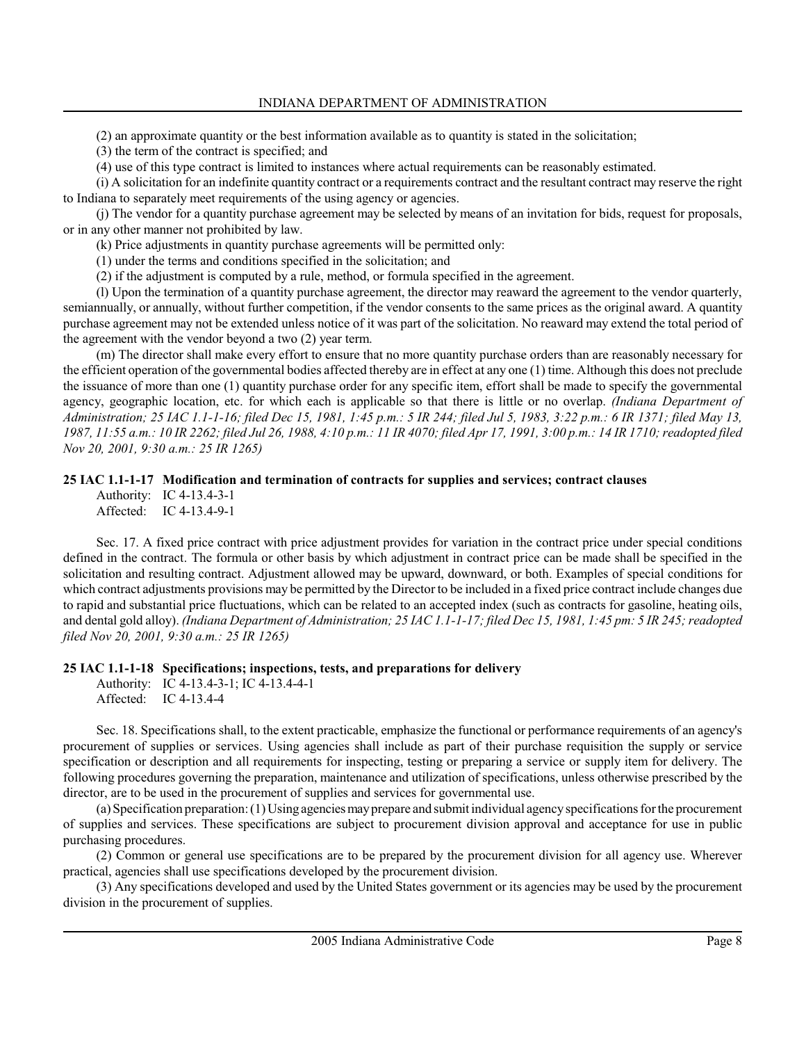(2) an approximate quantity or the best information available as to quantity is stated in the solicitation;

(3) the term of the contract is specified; and

(4) use of this type contract is limited to instances where actual requirements can be reasonably estimated.

(i) A solicitation for an indefinite quantity contract or a requirements contract and the resultant contract may reserve the right to Indiana to separately meet requirements of the using agency or agencies.

(j) The vendor for a quantity purchase agreement may be selected by means of an invitation for bids, request for proposals, or in any other manner not prohibited by law.

(k) Price adjustments in quantity purchase agreements will be permitted only:

(1) under the terms and conditions specified in the solicitation; and

(2) if the adjustment is computed by a rule, method, or formula specified in the agreement.

(l) Upon the termination of a quantity purchase agreement, the director may reaward the agreement to the vendor quarterly, semiannually, or annually, without further competition, if the vendor consents to the same prices as the original award. A quantity purchase agreement may not be extended unless notice of it was part of the solicitation. No reaward may extend the total period of the agreement with the vendor beyond a two (2) year term.

(m) The director shall make every effort to ensure that no more quantity purchase orders than are reasonably necessary for the efficient operation of the governmental bodies affected thereby are in effect at any one (1) time. Although this does not preclude the issuance of more than one (1) quantity purchase order for any specific item, effort shall be made to specify the governmental agency, geographic location, etc. for which each is applicable so that there is little or no overlap. (Indiana Department of Administration; 25 IAC 1.1-1-16; filed Dec 15, 1981, 1:45 p.m.: 5 IR 244; filed Jul 5, 1983, 3:22 p.m.: 6 IR 1371; filed May 13, 1987, 11:55 a.m.: 10 IR 2262; filed Jul 26, 1988, 4:10 p.m.: 11 IR 4070; filed Apr 17, 1991, 3:00 p.m.: 14 IR 1710; readopted filed Nov 20, 2001, 9:30 a.m.: 25 IR 1265)

### 25 IAC 1.1-1-17 Modification and termination of contracts for supplies and services; contract clauses

Authority: IC 4-13.4-3-1 Affected: IC 4-13.4-9-1

Sec. 17. A fixed price contract with price adjustment provides for variation in the contract price under special conditions defined in the contract. The formula or other basis by which adjustment in contract price can be made shall be specified in the solicitation and resulting contract. Adjustment allowed may be upward, downward, or both. Examples of special conditions for which contract adjustments provisions may be permitted by the Director to be included in a fixed price contract include changes due to rapid and substantial price fluctuations, which can be related to an accepted index (such as contracts for gasoline, heating oils, and dental gold alloy). (Indiana Department of Administration; 25 IAC 1.1-1-17; filed Dec 15, 1981, 1:45 pm: 5 IR 245; readopted filed Nov 20, 2001, 9:30 a.m.: 25 IR 1265)

#### 25 IAC 1.1-1-18 Specifications; inspections, tests, and preparations for delivery

```
Authority: IC 4-13.4-3-1; IC 4-13.4-4-1
Affected: IC 4-13.4-4
```
Sec. 18. Specifications shall, to the extent practicable, emphasize the functional or performance requirements of an agency's procurement of supplies or services. Using agencies shall include as part of their purchase requisition the supply or service specification or description and all requirements for inspecting, testing or preparing a service or supply item for delivery. The following procedures governing the preparation, maintenance and utilization of specifications, unless otherwise prescribed by the director, are to be used in the procurement of supplies and services for governmental use.

(a) Specification preparation: (1) Using agencies may prepare and submit individual agency specifications for the procurement of supplies and services. These specifications are subject to procurement division approval and acceptance for use in public purchasing procedures.

(2) Common or general use specifications are to be prepared by the procurement division for all agency use. Wherever practical, agencies shall use specifications developed by the procurement division.

(3) Any specifications developed and used by the United States government or its agencies may be used by the procurement division in the procurement of supplies.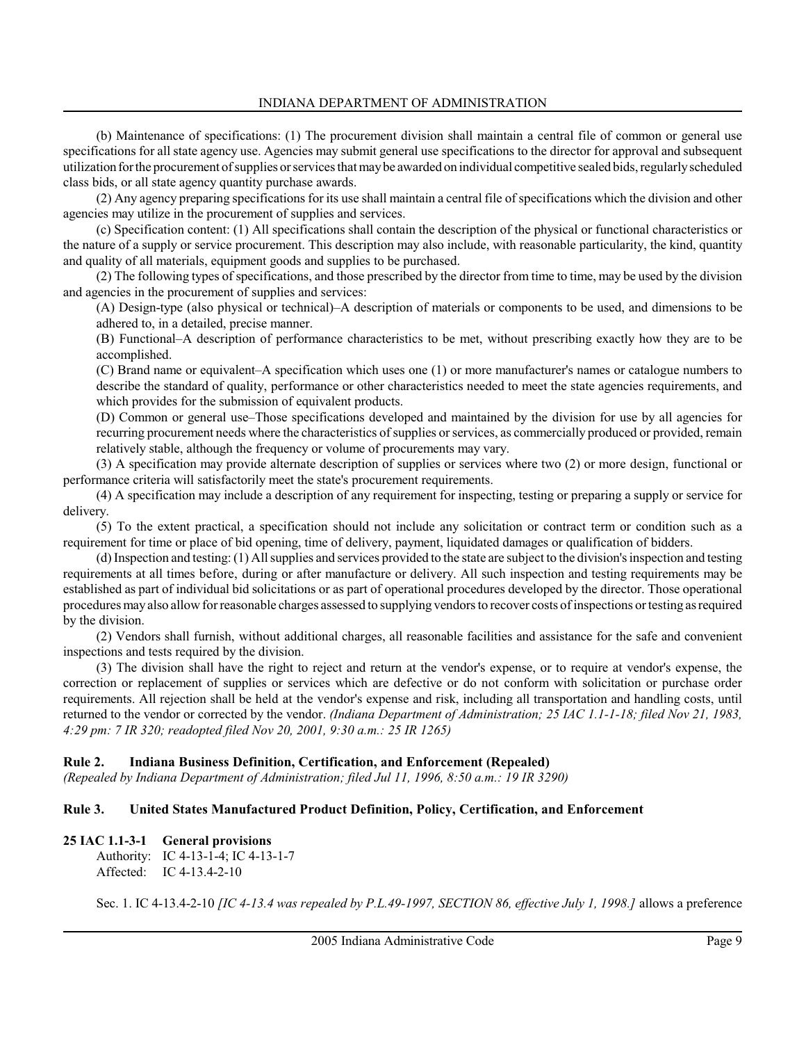(b) Maintenance of specifications: (1) The procurement division shall maintain a central file of common or general use specifications for all state agency use. Agencies may submit general use specifications to the director for approval and subsequent utilization for the procurement of supplies or services that may be awarded on individual competitive sealed bids, regularly scheduled class bids, or all state agency quantity purchase awards.

(2) Any agency preparing specifications for its use shall maintain a central file of specifications which the division and other agencies may utilize in the procurement of supplies and services.

(c) Specification content: (1) All specifications shall contain the description of the physical or functional characteristics or the nature of a supply or service procurement. This description may also include, with reasonable particularity, the kind, quantity and quality of all materials, equipment goods and supplies to be purchased.

(2) The following types of specifications, and those prescribed by the director from time to time, may be used by the division and agencies in the procurement of supplies and services:

(A) Design-type (also physical or technical)–A description of materials or components to be used, and dimensions to be adhered to, in a detailed, precise manner.

(B) Functional–A description of performance characteristics to be met, without prescribing exactly how they are to be accomplished.

(C) Brand name or equivalent–A specification which uses one (1) or more manufacturer's names or catalogue numbers to describe the standard of quality, performance or other characteristics needed to meet the state agencies requirements, and which provides for the submission of equivalent products.

(D) Common or general use–Those specifications developed and maintained by the division for use by all agencies for recurring procurement needs where the characteristics of supplies or services, as commercially produced or provided, remain relatively stable, although the frequency or volume of procurements may vary.

(3) A specification may provide alternate description of supplies or services where two (2) or more design, functional or performance criteria will satisfactorily meet the state's procurement requirements.

(4) A specification may include a description of any requirement for inspecting, testing or preparing a supply or service for delivery.

(5) To the extent practical, a specification should not include any solicitation or contract term or condition such as a requirement for time or place of bid opening, time of delivery, payment, liquidated damages or qualification of bidders.

(d) Inspection and testing: (1) All supplies and services provided to the state are subject to the division's inspection and testing requirements at all times before, during or after manufacture or delivery. All such inspection and testing requirements may be established as part of individual bid solicitations or as part of operational procedures developed by the director. Those operational procedures may also allow for reasonable charges assessed to supplying vendors to recover costs of inspections or testing as required by the division.

(2) Vendors shall furnish, without additional charges, all reasonable facilities and assistance for the safe and convenient inspections and tests required by the division.

(3) The division shall have the right to reject and return at the vendor's expense, or to require at vendor's expense, the correction or replacement of supplies or services which are defective or do not conform with solicitation or purchase order requirements. All rejection shall be held at the vendor's expense and risk, including all transportation and handling costs, until returned to the vendor or corrected by the vendor. (Indiana Department of Administration; 25 IAC 1.1-1-18; filed Nov 21, 1983, 4:29 pm: 7 IR 320; readopted filed Nov 20, 2001, 9:30 a.m.: 25 IR 1265)

#### Rule 2. Indiana Business Definition, Certification, and Enforcement (Repealed)

(Repealed by Indiana Department of Administration; filed Jul 11, 1996, 8:50 a.m.: 19 IR 3290)

# Rule 3. United States Manufactured Product Definition, Policy, Certification, and Enforcement

#### 25 IAC 1.1-3-1 General provisions

Authority: IC 4-13-1-4; IC 4-13-1-7 Affected: IC 4-13.4-2-10

Sec. 1. IC 4-13.4-2-10 [IC 4-13.4 was repealed by P.L.49-1997, SECTION 86, effective July 1, 1998.] allows a preference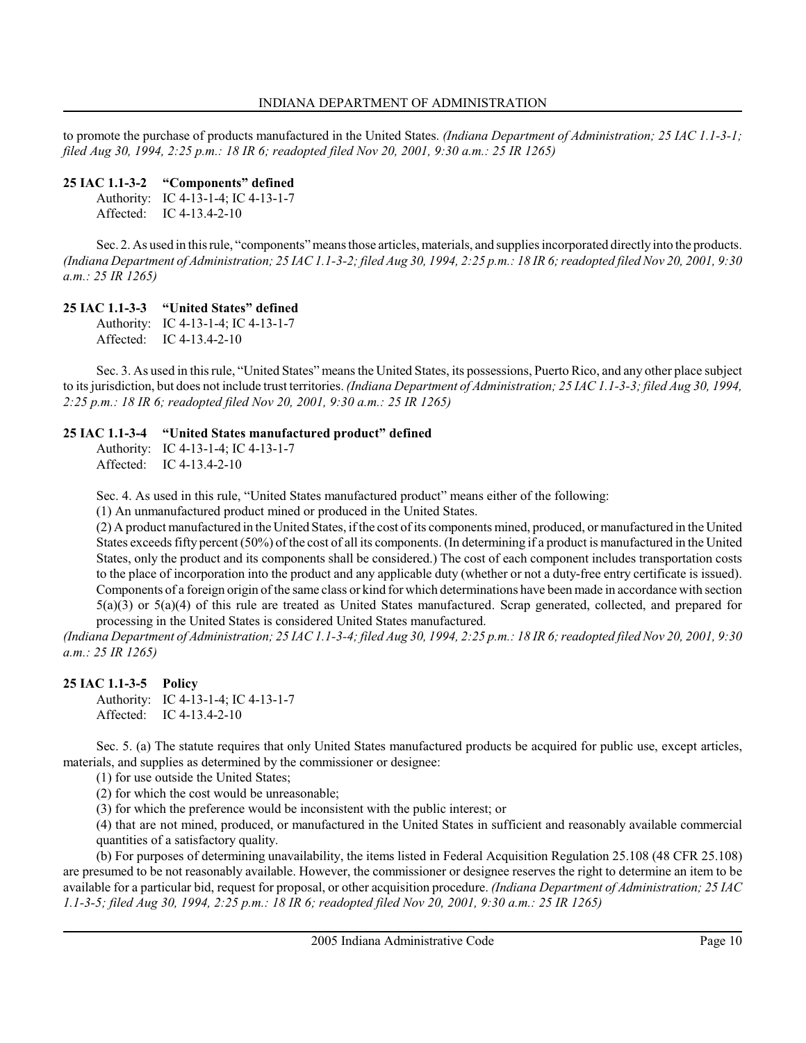to promote the purchase of products manufactured in the United States. (Indiana Department of Administration; 25 IAC 1.1-3-1; filed Aug 30, 1994, 2:25 p.m.: 18 IR 6; readopted filed Nov 20, 2001, 9:30 a.m.: 25 IR 1265)

### 25 IAC 1.1-3-2 "Components" defined

Authority: IC 4-13-1-4; IC 4-13-1-7 Affected: IC 4-13.4-2-10

Sec. 2. As used in this rule, "components" means those articles, materials, and supplies incorporated directly into the products. (Indiana Department of Administration; 25 IAC 1.1-3-2; filed Aug 30, 1994, 2:25 p.m.: 18 IR 6; readopted filed Nov 20, 2001, 9:30 a.m.: 25 IR 1265)

# 25 IAC 1.1-3-3 "United States" defined

Authority: IC 4-13-1-4; IC 4-13-1-7 Affected: IC 4-13.4-2-10

Sec. 3. As used in this rule, "United States" means the United States, its possessions, Puerto Rico, and any other place subject to its jurisdiction, but does not include trust territories. *(Indiana Department of Administration; 25 IAC 1.1-3-3; filed Aug 30, 1994*, 2:25 p.m.: 18 IR 6; readopted filed Nov 20, 2001, 9:30 a.m.: 25 IR 1265)

### 25 IAC 1.1-3-4 "United States manufactured product" defined

Authority: IC 4-13-1-4; IC 4-13-1-7 Affected: IC 4-13.4-2-10

Sec. 4. As used in this rule, "United States manufactured product" means either of the following:

(1) An unmanufactured product mined or produced in the United States.

(2) A product manufactured in the United States, if the cost of its components mined, produced, or manufactured in the United States exceeds fifty percent (50%) of the cost of all its components. (In determining if a product is manufactured in the United States, only the product and its components shall be considered.) The cost of each component includes transportation costs to the place of incorporation into the product and any applicable duty (whether or not a duty-free entry certificate is issued). Components of a foreign origin of the same class or kind for which determinations have been made in accordance with section  $5(a)(3)$  or  $5(a)(4)$  of this rule are treated as United States manufactured. Scrap generated, collected, and prepared for processing in the United States is considered United States manufactured.

(Indiana Department of Administration; 25 IAC 1.1-3-4; filed Aug 30, 1994, 2:25 p.m.: 18 IR 6; readopted filed Nov 20, 2001, 9:30 a.m.: 25 IR 1265)

# 25 IAC 1.1-3-5 Policy

Authority: IC 4-13-1-4; IC 4-13-1-7 Affected: IC 4-13.4-2-10

Sec. 5. (a) The statute requires that only United States manufactured products be acquired for public use, except articles, materials, and supplies as determined by the commissioner or designee:

(1) for use outside the United States;

(2) for which the cost would be unreasonable;

(3) for which the preference would be inconsistent with the public interest; or

(4) that are not mined, produced, or manufactured in the United States in sufficient and reasonably available commercial quantities of a satisfactory quality.

(b) For purposes of determining unavailability, the items listed in Federal Acquisition Regulation 25.108 (48 CFR 25.108) are presumed to be not reasonably available. However, the commissioner or designee reserves the right to determine an item to be available for a particular bid, request for proposal, or other acquisition procedure. (Indiana Department of Administration; 25 IAC 1.1-3-5; filed Aug 30, 1994, 2:25 p.m.: 18 IR 6; readopted filed Nov 20, 2001, 9:30 a.m.: 25 IR 1265)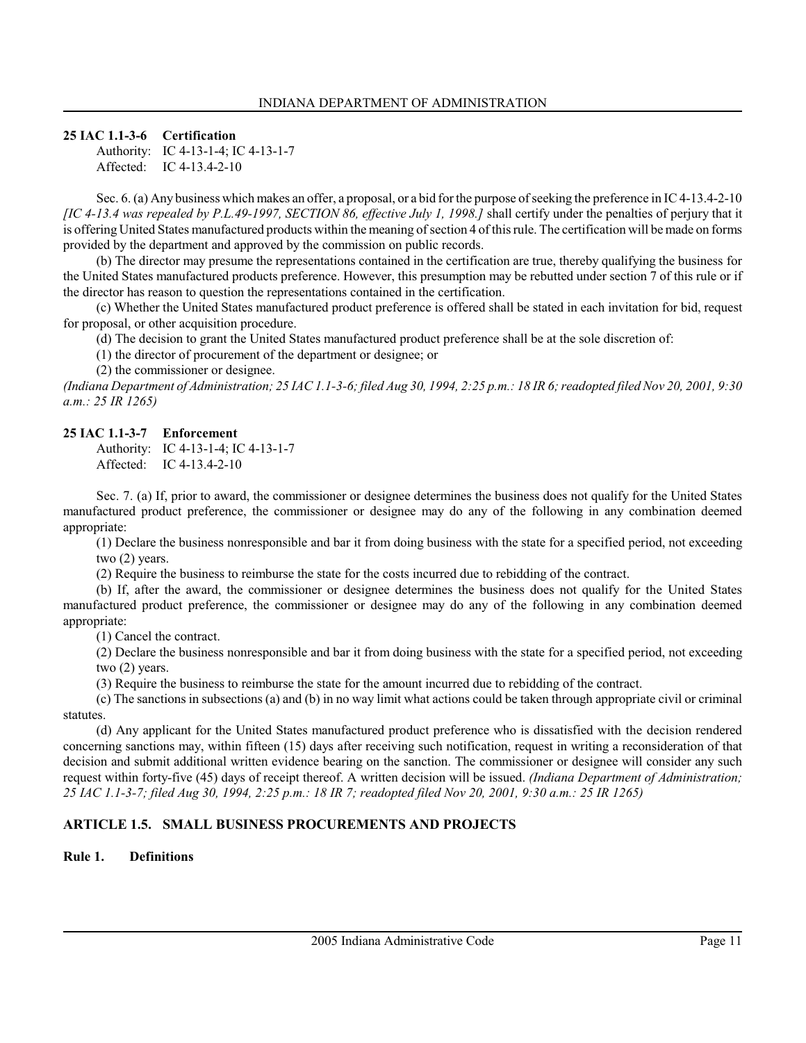### 25 IAC 1.1-3-6 Certification

Authority: IC 4-13-1-4; IC 4-13-1-7 Affected: IC 4-13.4-2-10

Sec. 6. (a) Any business which makes an offer, a proposal, or a bid for the purpose of seeking the preference in IC 4-13.4-2-10 [IC 4-13.4 was repealed by P.L.49-1997, SECTION 86, effective July 1, 1998.] shall certify under the penalties of perjury that it is offering United States manufactured products within the meaning of section 4 of this rule. The certification will be made on forms provided by the department and approved by the commission on public records.

(b) The director may presume the representations contained in the certification are true, thereby qualifying the business for the United States manufactured products preference. However, this presumption may be rebutted under section 7 of this rule or if the director has reason to question the representations contained in the certification.

(c) Whether the United States manufactured product preference is offered shall be stated in each invitation for bid, request for proposal, or other acquisition procedure.

(d) The decision to grant the United States manufactured product preference shall be at the sole discretion of:

(1) the director of procurement of the department or designee; or

(2) the commissioner or designee.

(Indiana Department of Administration; 25 IAC 1.1-3-6; filed Aug 30, 1994, 2:25 p.m.: 18 IR 6; readopted filed Nov 20, 2001, 9:30 a.m.: 25 IR 1265)

### 25 IAC 1.1-3-7 Enforcement

Authority: IC 4-13-1-4; IC 4-13-1-7 Affected: IC 4-13.4-2-10

Sec. 7. (a) If, prior to award, the commissioner or designee determines the business does not qualify for the United States manufactured product preference, the commissioner or designee may do any of the following in any combination deemed appropriate:

(1) Declare the business nonresponsible and bar it from doing business with the state for a specified period, not exceeding two (2) years.

(2) Require the business to reimburse the state for the costs incurred due to rebidding of the contract.

(b) If, after the award, the commissioner or designee determines the business does not qualify for the United States manufactured product preference, the commissioner or designee may do any of the following in any combination deemed appropriate:

(1) Cancel the contract.

(2) Declare the business nonresponsible and bar it from doing business with the state for a specified period, not exceeding two (2) years.

(3) Require the business to reimburse the state for the amount incurred due to rebidding of the contract.

(c) The sanctions in subsections (a) and (b) in no way limit what actions could be taken through appropriate civil or criminal statutes.

(d) Any applicant for the United States manufactured product preference who is dissatisfied with the decision rendered concerning sanctions may, within fifteen (15) days after receiving such notification, request in writing a reconsideration of that decision and submit additional written evidence bearing on the sanction. The commissioner or designee will consider any such request within forty-five (45) days of receipt thereof. A written decision will be issued. (Indiana Department of Administration; 25 IAC 1.1-3-7; filed Aug 30, 1994, 2:25 p.m.: 18 IR 7; readopted filed Nov 20, 2001, 9:30 a.m.: 25 IR 1265)

# ARTICLE 1.5. SMALL BUSINESS PROCUREMENTS AND PROJECTS

# Rule 1. Definitions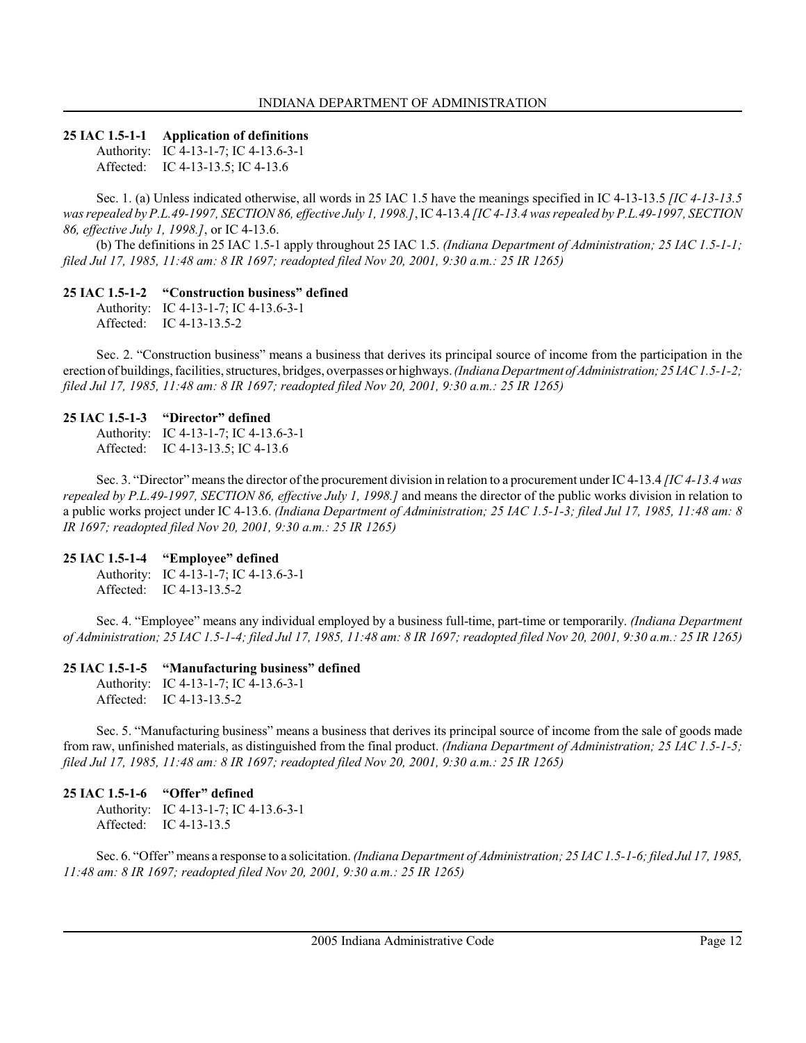### 25 IAC 1.5-1-1 Application of definitions

Authority: IC 4-13-1-7; IC 4-13.6-3-1 Affected: IC 4-13-13.5; IC 4-13.6

Sec. 1. (a) Unless indicated otherwise, all words in 25 IAC 1.5 have the meanings specified in IC 4-13-13.5 [IC 4-13-13.5 was repealed by P.L.49-1997, SECTION 86, effective July 1, 1998.], IC 4-13.4 [IC 4-13.4 was repealed by P.L.49-1997, SECTION 86, effective July 1, 1998.], or IC 4-13.6.

(b) The definitions in 25 IAC 1.5-1 apply throughout 25 IAC 1.5. (Indiana Department of Administration; 25 IAC 1.5-1-1; filed Jul 17, 1985, 11:48 am: 8 IR 1697; readopted filed Nov 20, 2001, 9:30 a.m.: 25 IR 1265)

### 25 IAC 1.5-1-2 "Construction business" defined

Authority: IC 4-13-1-7; IC 4-13.6-3-1 Affected: IC 4-13-13.5-2

Sec. 2. "Construction business" means a business that derives its principal source of income from the participation in the erection of buildings, facilities, structures, bridges, overpasses or highways. (Indiana Department of Administration; 25 IAC 1.5-1-2; filed Jul 17, 1985, 11:48 am: 8 IR 1697; readopted filed Nov 20, 2001, 9:30 a.m.: 25 IR 1265)

#### 25 IAC 1.5-1-3 "Director" defined

Authority: IC 4-13-1-7; IC 4-13.6-3-1 Affected: IC 4-13-13.5; IC 4-13.6

Sec. 3. "Director" means the director of the procurement division in relation to a procurement under IC 4-13.4 [IC 4-13.4 was repealed by P.L.49-1997, SECTION 86, effective July 1, 1998.] and means the director of the public works division in relation to a public works project under IC 4-13.6. (Indiana Department of Administration; 25 IAC 1.5-1-3; filed Jul 17, 1985, 11:48 am: 8 IR 1697; readopted filed Nov 20, 2001, 9:30 a.m.: 25 IR 1265)

#### 25 IAC 1.5-1-4 "Employee" defined

Authority: IC 4-13-1-7; IC 4-13.6-3-1 Affected: IC 4-13-13.5-2

Sec. 4. "Employee" means any individual employed by a business full-time, part-time or temporarily. *(Indiana Department*) of Administration; 25 IAC 1.5-1-4; filed Jul 17, 1985, 11:48 am: 8 IR 1697; readopted filed Nov 20, 2001, 9:30 a.m.: 25 IR 1265)

#### 25 IAC 1.5-1-5 "Manufacturing business" defined

Authority: IC 4-13-1-7; IC 4-13.6-3-1 Affected: IC 4-13-13.5-2

Sec. 5. "Manufacturing business" means a business that derives its principal source of income from the sale of goods made from raw, unfinished materials, as distinguished from the final product. (Indiana Department of Administration; 25 IAC 1.5-1-5; filed Jul 17, 1985, 11:48 am: 8 IR 1697; readopted filed Nov 20, 2001, 9:30 a.m.: 25 IR 1265)

# 25 IAC 1.5-1-6 "Offer" defined

Authority: IC 4-13-1-7; IC 4-13.6-3-1 Affected: IC 4-13-13.5

Sec. 6. "Offer" means a response to a solicitation. (Indiana Department of Administration; 25 IAC 1.5-1-6; filed Jul 17, 1985, 11:48 am: 8 IR 1697; readopted filed Nov 20, 2001, 9:30 a.m.: 25 IR 1265)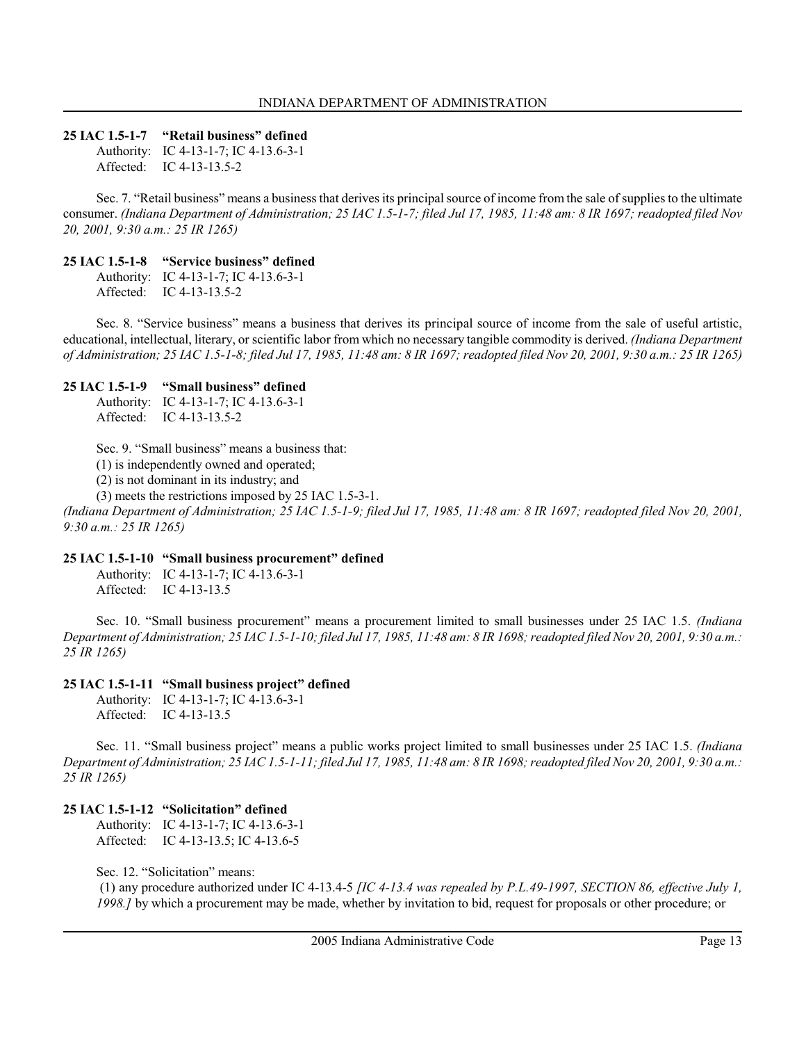#### 25 IAC 1.5-1-7 "Retail business" defined

Authority: IC 4-13-1-7; IC 4-13.6-3-1 Affected: IC 4-13-13.5-2

Sec. 7. "Retail business" means a business that derives its principal source of income from the sale of supplies to the ultimate consumer. (Indiana Department of Administration; 25 IAC 1.5-1-7; filed Jul 17, 1985, 11:48 am: 8 IR 1697; readopted filed Nov 20, 2001, 9:30 a.m.: 25 IR 1265)

### 25 IAC 1.5-1-8 "Service business" defined

Authority: IC 4-13-1-7; IC 4-13.6-3-1 Affected: IC 4-13-13.5-2

Sec. 8. "Service business" means a business that derives its principal source of income from the sale of useful artistic, educational, intellectual, literary, or scientific labor from which no necessary tangible commodity is derived. (Indiana Department of Administration; 25 IAC 1.5-1-8; filed Jul 17, 1985, 11:48 am: 8 IR 1697; readopted filed Nov 20, 2001, 9:30 a.m.: 25 IR 1265)

### 25 IAC 1.5-1-9 "Small business" defined

Authority: IC 4-13-1-7; IC 4-13.6-3-1 Affected: IC 4-13-13.5-2

Sec. 9. "Small business" means a business that:

(1) is independently owned and operated;

(2) is not dominant in its industry; and

(3) meets the restrictions imposed by 25 IAC 1.5-3-1.

(Indiana Department of Administration; 25 IAC 1.5-1-9; filed Jul 17, 1985, 11:48 am: 8 IR 1697; readopted filed Nov 20, 2001, 9:30 a.m.: 25 IR 1265)

#### 25 IAC 1.5-1-10 "Small business procurement" defined

Authority: IC 4-13-1-7; IC 4-13.6-3-1 Affected: IC 4-13-13.5

Sec. 10. "Small business procurement" means a procurement limited to small businesses under 25 IAC 1.5. (Indiana Department of Administration; 25 IAC 1.5-1-10; filed Jul 17, 1985, 11:48 am: 8 IR 1698; readopted filed Nov 20, 2001, 9:30 a.m.: 25 IR 1265)

# 25 IAC 1.5-1-11 "Small business project" defined

Authority: IC 4-13-1-7; IC 4-13.6-3-1 Affected: IC 4-13-13.5

Sec. 11. "Small business project" means a public works project limited to small businesses under 25 IAC 1.5. (Indiana Department of Administration; 25 IAC 1.5-1-11; filed Jul 17, 1985, 11:48 am: 8 IR 1698; readopted filed Nov 20, 2001, 9:30 a.m.: 25 IR 1265)

# 25 IAC 1.5-1-12 "Solicitation" defined

Authority: IC 4-13-1-7; IC 4-13.6-3-1 Affected: IC 4-13-13.5; IC 4-13.6-5

Sec. 12. "Solicitation" means:

 (1) any procedure authorized under IC 4-13.4-5 [IC 4-13.4 was repealed by P.L.49-1997, SECTION 86, effective July 1, 1998.] by which a procurement may be made, whether by invitation to bid, request for proposals or other procedure; or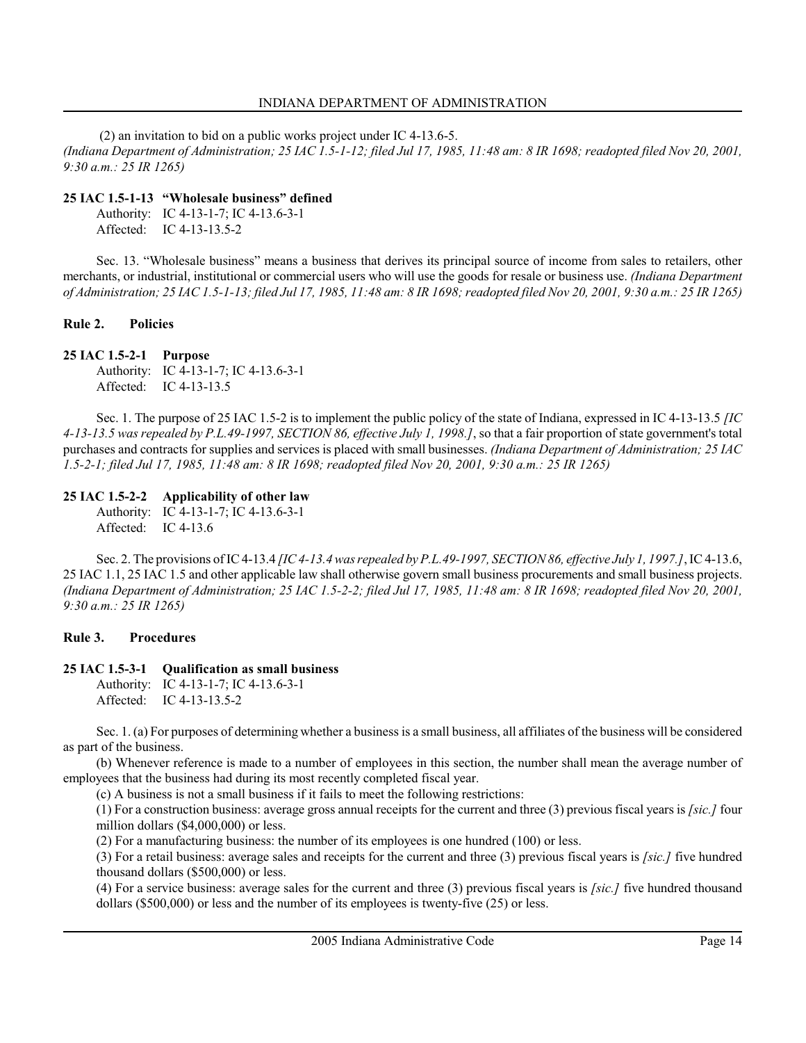(2) an invitation to bid on a public works project under IC 4-13.6-5. (Indiana Department of Administration; 25 IAC 1.5-1-12; filed Jul 17, 1985, 11:48 am: 8 IR 1698; readopted filed Nov 20, 2001, 9:30 a.m.: 25 IR 1265)

### 25 IAC 1.5-1-13 "Wholesale business" defined

Authority: IC 4-13-1-7; IC 4-13.6-3-1 Affected: IC 4-13-13.5-2

Sec. 13. "Wholesale business" means a business that derives its principal source of income from sales to retailers, other merchants, or industrial, institutional or commercial users who will use the goods for resale or business use. *(Indiana Department*) of Administration; 25 IAC 1.5-1-13; filed Jul 17, 1985, 11:48 am: 8 IR 1698; readopted filed Nov 20, 2001, 9:30 a.m.: 25 IR 1265)

### Rule 2. Policies

### 25 IAC 1.5-2-1 Purpose

Authority: IC 4-13-1-7; IC 4-13.6-3-1 Affected: IC 4-13-13.5

Sec. 1. The purpose of 25 IAC 1.5-2 is to implement the public policy of the state of Indiana, expressed in IC 4-13-13.5 [IC 4-13-13.5 was repealed by P.L.49-1997, SECTION 86, effective July 1, 1998.], so that a fair proportion of state government's total purchases and contracts for supplies and services is placed with small businesses. (Indiana Department of Administration; 25 IAC 1.5-2-1; filed Jul 17, 1985, 11:48 am: 8 IR 1698; readopted filed Nov 20, 2001, 9:30 a.m.: 25 IR 1265)

# 25 IAC 1.5-2-2 Applicability of other law

Authority: IC 4-13-1-7; IC 4-13.6-3-1 Affected: IC 4-13.6

Sec. 2. The provisions of IC 4-13.4 *[IC 4-13.4 was repealed by P.L.49-1997, SECTION 86, effective July 1, 1997.]*, IC 4-13.6, 25 IAC 1.1, 25 IAC 1.5 and other applicable law shall otherwise govern small business procurements and small business projects. (Indiana Department of Administration; 25 IAC 1.5-2-2; filed Jul 17, 1985, 11:48 am: 8 IR 1698; readopted filed Nov 20, 2001, 9:30 a.m.: 25 IR 1265)

# Rule 3. Procedures

# 25 IAC 1.5-3-1 Qualification as small business

Authority: IC 4-13-1-7; IC 4-13.6-3-1 Affected: IC 4-13-13.5-2

Sec. 1. (a) For purposes of determining whether a business is a small business, all affiliates of the business will be considered as part of the business.

(b) Whenever reference is made to a number of employees in this section, the number shall mean the average number of employees that the business had during its most recently completed fiscal year.

(c) A business is not a small business if it fails to meet the following restrictions:

(1) For a construction business: average gross annual receipts for the current and three (3) previous fiscal years is  $[sic.]$  four million dollars (\$4,000,000) or less.

(2) For a manufacturing business: the number of its employees is one hundred (100) or less.

(3) For a retail business: average sales and receipts for the current and three (3) previous fiscal years is [sic.] five hundred thousand dollars (\$500,000) or less.

(4) For a service business: average sales for the current and three  $(3)$  previous fiscal years is *[sic.]* five hundred thousand dollars (\$500,000) or less and the number of its employees is twenty-five (25) or less.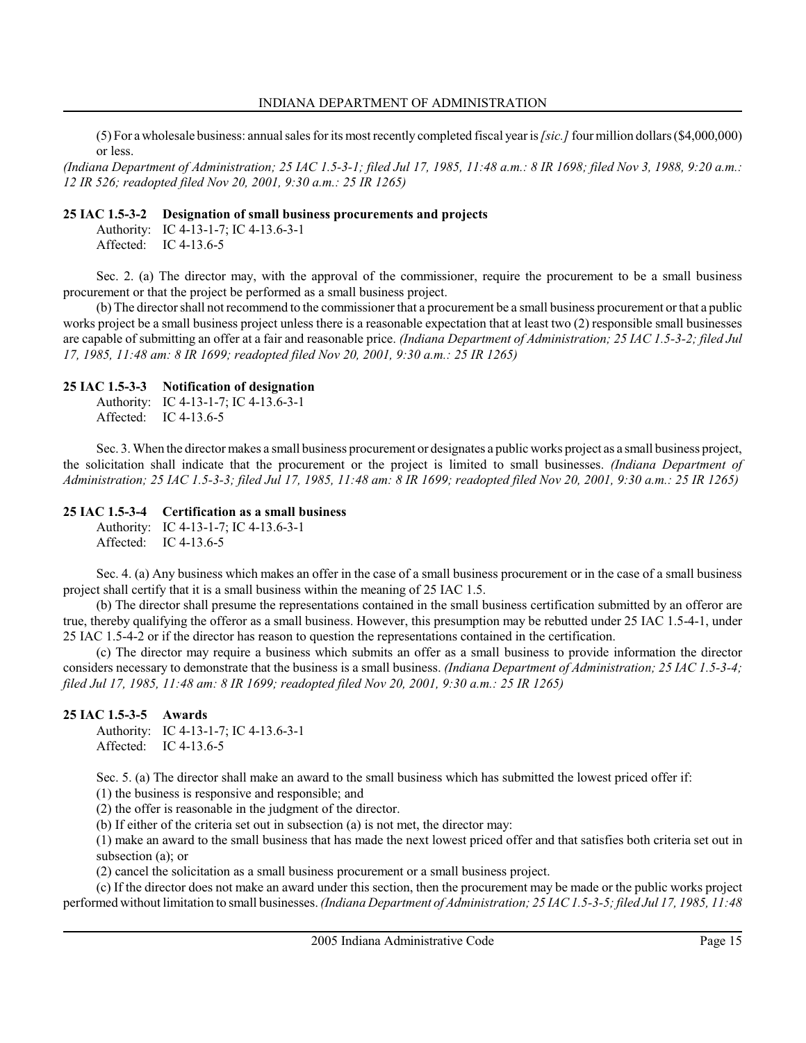(5) For a wholesale business: annual sales for its most recently completed fiscal year is [sic.] four million dollars (\$4,000,000) or less.

(Indiana Department of Administration; 25 IAC 1.5-3-1; filed Jul 17, 1985, 11:48 a.m.: 8 IR 1698; filed Nov 3, 1988, 9:20 a.m.: 12 IR 526; readopted filed Nov 20, 2001, 9:30 a.m.: 25 IR 1265)

### 25 IAC 1.5-3-2 Designation of small business procurements and projects

Authority: IC 4-13-1-7; IC 4-13.6-3-1 Affected: IC 4-13.6-5

Sec. 2. (a) The director may, with the approval of the commissioner, require the procurement to be a small business procurement or that the project be performed as a small business project.

(b) The director shall not recommend to the commissioner that a procurement be a small business procurement or that a public works project be a small business project unless there is a reasonable expectation that at least two (2) responsible small businesses are capable of submitting an offer at a fair and reasonable price. (Indiana Department of Administration; 25 IAC 1.5-3-2; filed Jul 17, 1985, 11:48 am: 8 IR 1699; readopted filed Nov 20, 2001, 9:30 a.m.: 25 IR 1265)

### 25 IAC 1.5-3-3 Notification of designation

Authority: IC 4-13-1-7; IC 4-13.6-3-1 Affected: IC 4-13.6-5

Sec. 3. When the director makes a small business procurement or designates a public works project as a small business project, the solicitation shall indicate that the procurement or the project is limited to small businesses. (Indiana Department of Administration; 25 IAC 1.5-3-3; filed Jul 17, 1985, 11:48 am: 8 IR 1699; readopted filed Nov 20, 2001, 9:30 a.m.: 25 IR 1265)

### 25 IAC 1.5-3-4 Certification as a small business

Authority: IC 4-13-1-7; IC 4-13.6-3-1 Affected: IC 4-13.6-5

Sec. 4. (a) Any business which makes an offer in the case of a small business procurement or in the case of a small business project shall certify that it is a small business within the meaning of 25 IAC 1.5.

(b) The director shall presume the representations contained in the small business certification submitted by an offeror are true, thereby qualifying the offeror as a small business. However, this presumption may be rebutted under 25 IAC 1.5-4-1, under 25 IAC 1.5-4-2 or if the director has reason to question the representations contained in the certification.

(c) The director may require a business which submits an offer as a small business to provide information the director considers necessary to demonstrate that the business is a small business. (Indiana Department of Administration; 25 IAC 1.5-3-4; filed Jul 17, 1985, 11:48 am: 8 IR 1699; readopted filed Nov 20, 2001, 9:30 a.m.: 25 IR 1265)

# 25 IAC 1.5-3-5 Awards

Authority: IC 4-13-1-7; IC 4-13.6-3-1 Affected: IC 4-13.6-5

Sec. 5. (a) The director shall make an award to the small business which has submitted the lowest priced offer if:

(1) the business is responsive and responsible; and

(2) the offer is reasonable in the judgment of the director.

(b) If either of the criteria set out in subsection (a) is not met, the director may:

(1) make an award to the small business that has made the next lowest priced offer and that satisfies both criteria set out in subsection (a); or

(2) cancel the solicitation as a small business procurement or a small business project.

(c) If the director does not make an award under this section, then the procurement may be made or the public works project performed without limitation to small businesses. (Indiana Department of Administration; 25 IAC 1.5-3-5; filed Jul 17, 1985, 11:48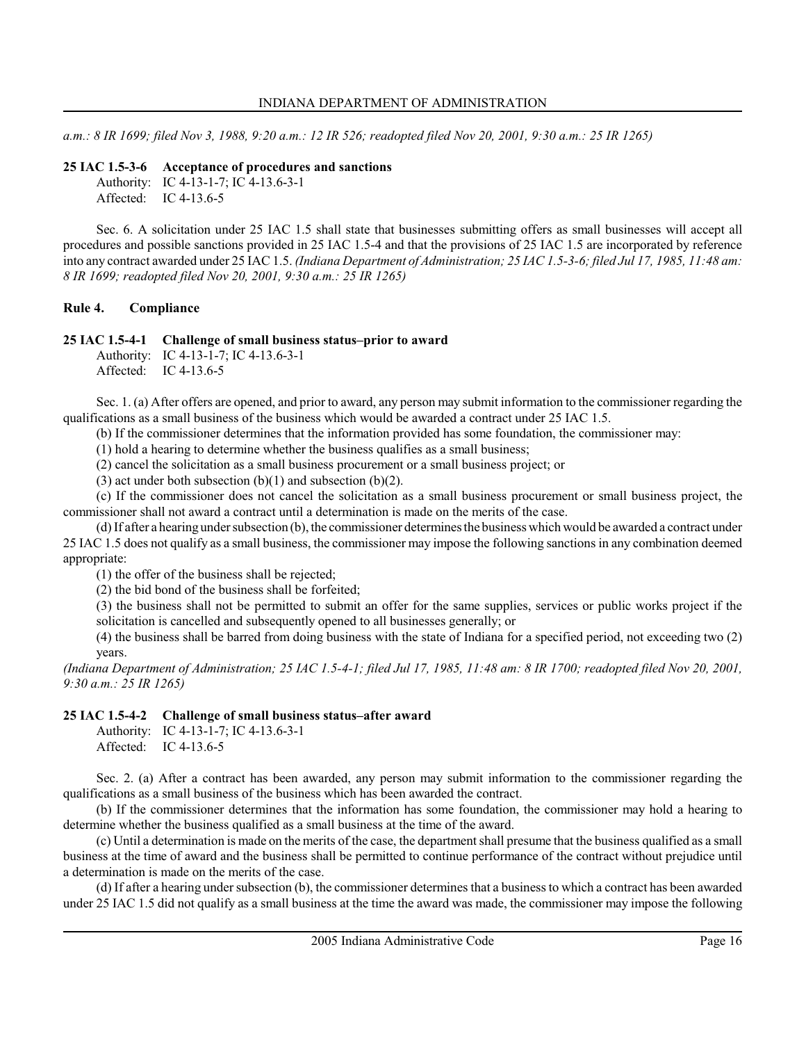a.m.: 8 IR 1699; filed Nov 3, 1988, 9:20 a.m.: 12 IR 526; readopted filed Nov 20, 2001, 9:30 a.m.: 25 IR 1265)

#### 25 IAC 1.5-3-6 Acceptance of procedures and sanctions

Authority: IC 4-13-1-7; IC 4-13.6-3-1 Affected: IC 4-13.6-5

Sec. 6. A solicitation under 25 IAC 1.5 shall state that businesses submitting offers as small businesses will accept all procedures and possible sanctions provided in 25 IAC 1.5-4 and that the provisions of 25 IAC 1.5 are incorporated by reference into any contract awarded under 25 IAC 1.5. (Indiana Department of Administration; 25 IAC 1.5-3-6; filed Jul 17, 1985, 11:48 am: 8 IR 1699; readopted filed Nov 20, 2001, 9:30 a.m.: 25 IR 1265)

### Rule 4. Compliance

### 25 IAC 1.5-4-1 Challenge of small business status–prior to award

Authority: IC 4-13-1-7; IC 4-13.6-3-1 Affected: IC 4-13.6-5

Sec. 1. (a) After offers are opened, and prior to award, any person may submit information to the commissioner regarding the qualifications as a small business of the business which would be awarded a contract under 25 IAC 1.5.

(b) If the commissioner determines that the information provided has some foundation, the commissioner may:

(1) hold a hearing to determine whether the business qualifies as a small business;

(2) cancel the solicitation as a small business procurement or a small business project; or

(3) act under both subsection  $(b)(1)$  and subsection  $(b)(2)$ .

(c) If the commissioner does not cancel the solicitation as a small business procurement or small business project, the commissioner shall not award a contract until a determination is made on the merits of the case.

(d) If after a hearing under subsection (b), the commissioner determines the business which would be awarded a contract under 25 IAC 1.5 does not qualify as a small business, the commissioner may impose the following sanctions in any combination deemed appropriate:

(1) the offer of the business shall be rejected;

(2) the bid bond of the business shall be forfeited;

(3) the business shall not be permitted to submit an offer for the same supplies, services or public works project if the solicitation is cancelled and subsequently opened to all businesses generally; or

(4) the business shall be barred from doing business with the state of Indiana for a specified period, not exceeding two (2) years.

(Indiana Department of Administration; 25 IAC 1.5-4-1; filed Jul 17, 1985, 11:48 am: 8 IR 1700; readopted filed Nov 20, 2001, 9:30 a.m.: 25 IR 1265)

#### 25 IAC 1.5-4-2 Challenge of small business status–after award

Authority: IC 4-13-1-7; IC 4-13.6-3-1 Affected: IC 4-13.6-5

Sec. 2. (a) After a contract has been awarded, any person may submit information to the commissioner regarding the qualifications as a small business of the business which has been awarded the contract.

(b) If the commissioner determines that the information has some foundation, the commissioner may hold a hearing to determine whether the business qualified as a small business at the time of the award.

(c) Until a determination is made on the merits of the case, the department shall presume that the business qualified as a small business at the time of award and the business shall be permitted to continue performance of the contract without prejudice until a determination is made on the merits of the case.

(d) If after a hearing under subsection (b), the commissioner determines that a business to which a contract has been awarded under 25 IAC 1.5 did not qualify as a small business at the time the award was made, the commissioner may impose the following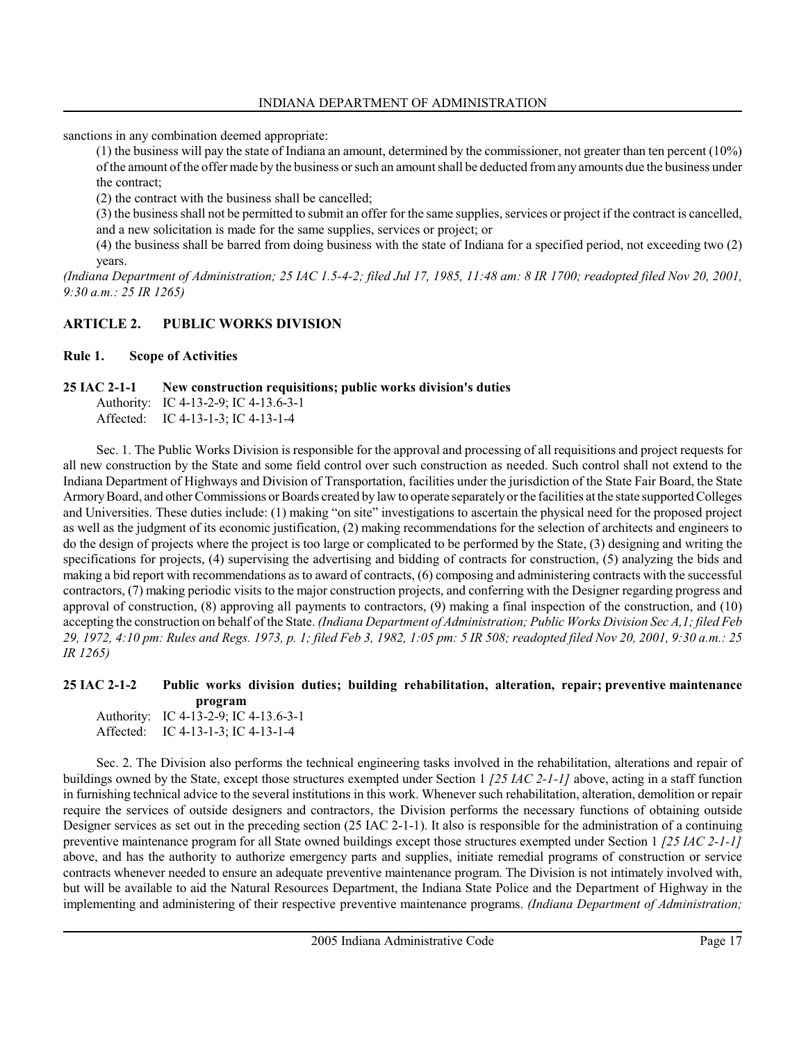sanctions in any combination deemed appropriate:

(1) the business will pay the state of Indiana an amount, determined by the commissioner, not greater than ten percent (10%) of the amount of the offer made by the business or such an amount shall be deducted from any amounts due the business under the contract;

(2) the contract with the business shall be cancelled;

(3) the business shall not be permitted to submit an offer for the same supplies, services or project if the contract is cancelled, and a new solicitation is made for the same supplies, services or project; or

(4) the business shall be barred from doing business with the state of Indiana for a specified period, not exceeding two (2) years.

(Indiana Department of Administration; 25 IAC 1.5-4-2; filed Jul 17, 1985, 11:48 am: 8 IR 1700; readopted filed Nov 20, 2001, 9:30 a.m.: 25 IR 1265)

# ARTICLE 2. PUBLIC WORKS DIVISION

#### Rule 1. Scope of Activities

### 25 IAC 2-1-1 New construction requisitions; public works division's duties

Authority: IC 4-13-2-9; IC 4-13.6-3-1 Affected: IC 4-13-1-3; IC 4-13-1-4

Sec. 1. The Public Works Division is responsible for the approval and processing of all requisitions and project requests for all new construction by the State and some field control over such construction as needed. Such control shall not extend to the Indiana Department of Highways and Division of Transportation, facilities under the jurisdiction of the State Fair Board, the State Armory Board, and other Commissions or Boards created by law to operate separately or the facilities at the state supported Colleges and Universities. These duties include: (1) making "on site" investigations to ascertain the physical need for the proposed project as well as the judgment of its economic justification, (2) making recommendations for the selection of architects and engineers to do the design of projects where the project is too large or complicated to be performed by the State, (3) designing and writing the specifications for projects, (4) supervising the advertising and bidding of contracts for construction, (5) analyzing the bids and making a bid report with recommendations as to award of contracts, (6) composing and administering contracts with the successful contractors, (7) making periodic visits to the major construction projects, and conferring with the Designer regarding progress and approval of construction, (8) approving all payments to contractors, (9) making a final inspection of the construction, and (10) accepting the construction on behalf of the State. (Indiana Department of Administration; Public Works Division Sec A,1; filed Feb 29, 1972, 4:10 pm: Rules and Regs. 1973, p. 1; filed Feb 3, 1982, 1:05 pm: 5 IR 508; readopted filed Nov 20, 2001, 9:30 a.m.: 25 IR 1265)

#### 25 IAC 2-1-2 Public works division duties; building rehabilitation, alteration, repair; preventive maintenance program

| Authority: IC 4-13-2-9; IC 4-13.6-3-1 |
|---------------------------------------|
| Affected: IC 4-13-1-3; IC 4-13-1-4    |

Sec. 2. The Division also performs the technical engineering tasks involved in the rehabilitation, alterations and repair of buildings owned by the State, except those structures exempted under Section 1  $/25$  *IAC 2-1-1]* above, acting in a staff function in furnishing technical advice to the several institutions in this work. Whenever such rehabilitation, alteration, demolition or repair require the services of outside designers and contractors, the Division performs the necessary functions of obtaining outside Designer services as set out in the preceding section (25 IAC 2-1-1). It also is responsible for the administration of a continuing preventive maintenance program for all State owned buildings except those structures exempted under Section 1 [25 IAC 2-1-1] above, and has the authority to authorize emergency parts and supplies, initiate remedial programs of construction or service contracts whenever needed to ensure an adequate preventive maintenance program. The Division is not intimately involved with, but will be available to aid the Natural Resources Department, the Indiana State Police and the Department of Highway in the implementing and administering of their respective preventive maintenance programs. (Indiana Department of Administration;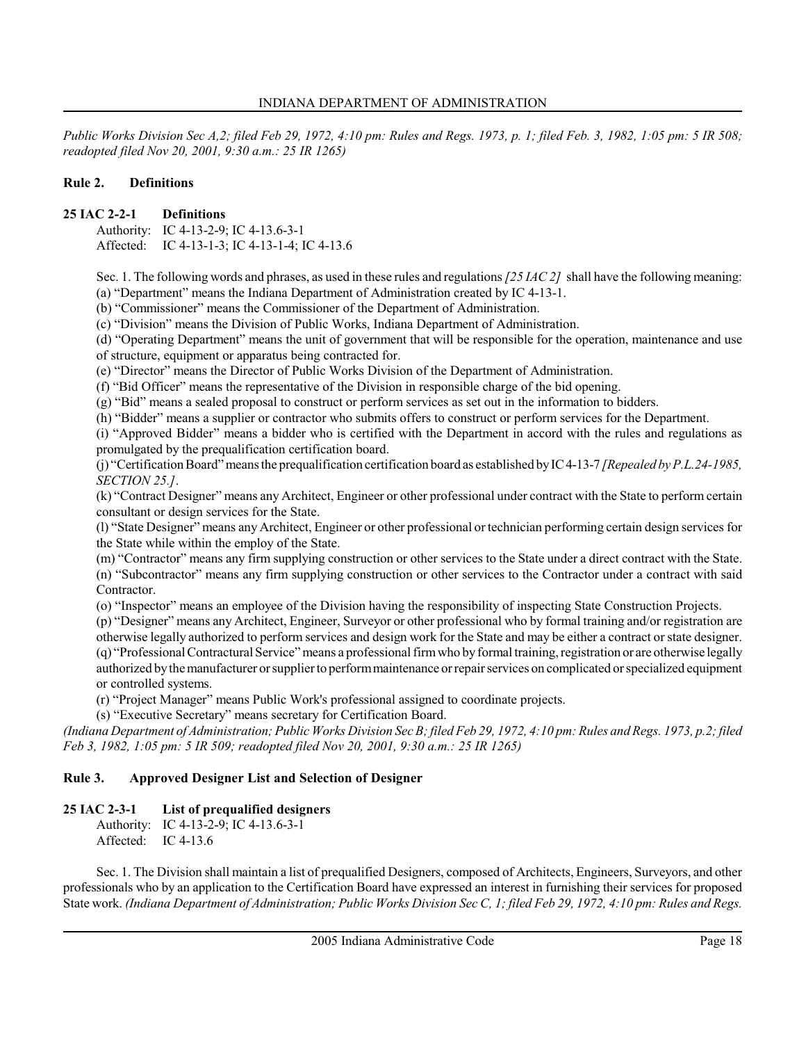Public Works Division Sec A,2; filed Feb 29, 1972, 4:10 pm: Rules and Regs. 1973, p. 1; filed Feb. 3, 1982, 1:05 pm: 5 IR 508; readopted filed Nov 20, 2001, 9:30 a.m.: 25 IR 1265)

### Rule 2. Definitions

### 25 IAC 2-2-1 Definitions

Authority: IC 4-13-2-9; IC 4-13.6-3-1 Affected: IC 4-13-1-3; IC 4-13-1-4; IC 4-13.6

Sec. 1. The following words and phrases, as used in these rules and regulations [25 IAC 2] shall have the following meaning: (a) "Department" means the Indiana Department of Administration created by IC 4-13-1.

(b) "Commissioner" means the Commissioner of the Department of Administration.

(c) "Division" means the Division of Public Works, Indiana Department of Administration.

(d) "Operating Department" means the unit of government that will be responsible for the operation, maintenance and use of structure, equipment or apparatus being contracted for.

(e) "Director" means the Director of Public Works Division of the Department of Administration.

(f) "Bid Officer" means the representative of the Division in responsible charge of the bid opening.

(g) "Bid" means a sealed proposal to construct or perform services as set out in the information to bidders.

(h) "Bidder" means a supplier or contractor who submits offers to construct or perform services for the Department.

(i) "Approved Bidder" means a bidder who is certified with the Department in accord with the rules and regulations as promulgated by the prequalification certification board.

(i) "Certification Board" means the prequalification certification board as established by IC 4-13-7 [Repealed by P.L.24-1985, SECTION 25.].

(k) "Contract Designer" means any Architect, Engineer or other professional under contract with the State to perform certain consultant or design services for the State.

(l) "State Designer" means any Architect, Engineer or other professional or technician performing certain design services for the State while within the employ of the State.

(m) "Contractor" means any firm supplying construction or other services to the State under a direct contract with the State. (n) "Subcontractor" means any firm supplying construction or other services to the Contractor under a contract with said Contractor.

(o) "Inspector" means an employee of the Division having the responsibility of inspecting State Construction Projects.

(p) "Designer" means any Architect, Engineer, Surveyor or other professional who by formal training and/or registration are otherwise legally authorized to perform services and design work for the State and may be either a contract or state designer. (q) "Professional Contractural Service" means a professional firm who by formal training, registration or are otherwise legally authorized by the manufacturer or supplier to perform maintenance or repair services on complicated or specialized equipment or controlled systems.

(r) "Project Manager" means Public Work's professional assigned to coordinate projects.

(s) "Executive Secretary" means secretary for Certification Board.

(Indiana Department of Administration; Public Works Division Sec B; filed Feb 29, 1972, 4:10 pm: Rules and Regs. 1973, p.2; filed Feb 3, 1982, 1:05 pm: 5 IR 509; readopted filed Nov 20, 2001, 9:30 a.m.: 25 IR 1265)

# Rule 3. Approved Designer List and Selection of Designer

# 25 IAC 2-3-1 List of prequalified designers

Authority: IC 4-13-2-9; IC 4-13.6-3-1 Affected: IC 4-13.6

Sec. 1. The Division shall maintain a list of prequalified Designers, composed of Architects, Engineers, Surveyors, and other professionals who by an application to the Certification Board have expressed an interest in furnishing their services for proposed State work. (Indiana Department of Administration; Public Works Division Sec C, 1; filed Feb 29, 1972, 4:10 pm: Rules and Regs.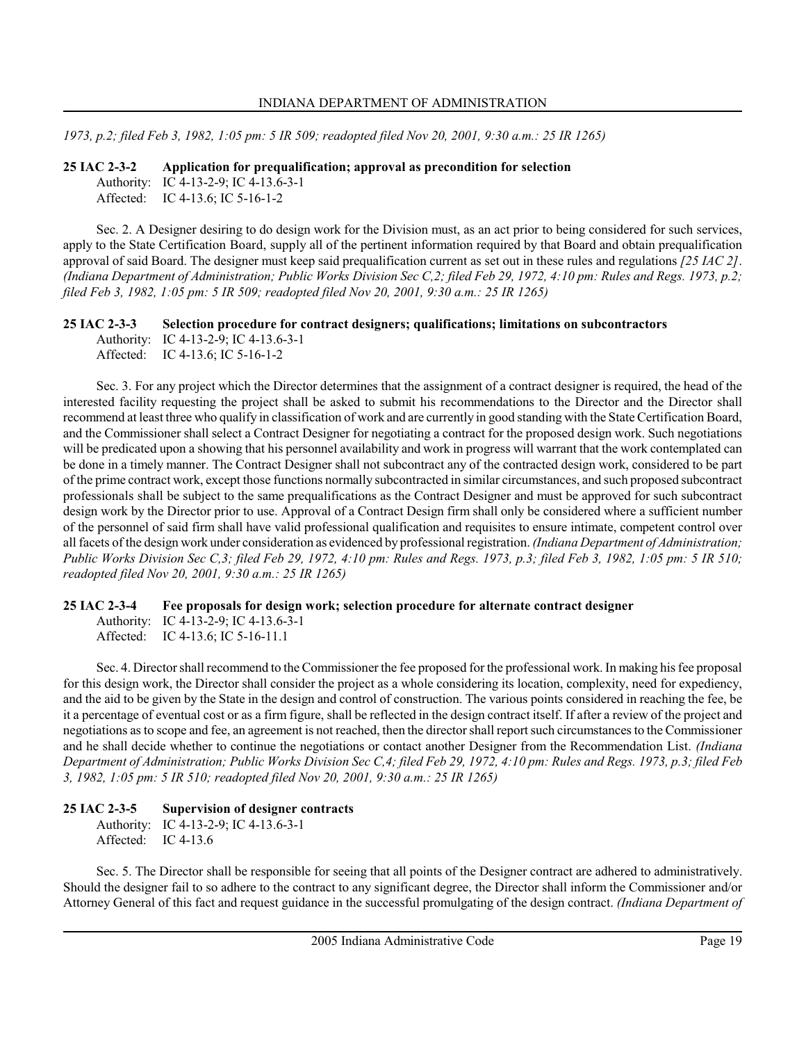1973, p.2; filed Feb 3, 1982, 1:05 pm: 5 IR 509; readopted filed Nov 20, 2001, 9:30 a.m.: 25 IR 1265)

25 IAC 2-3-2 Application for prequalification; approval as precondition for selection Authority: IC 4-13-2-9; IC 4-13.6-3-1 Affected: IC 4-13.6; IC 5-16-1-2

Sec. 2. A Designer desiring to do design work for the Division must, as an act prior to being considered for such services, apply to the State Certification Board, supply all of the pertinent information required by that Board and obtain prequalification approval of said Board. The designer must keep said prequalification current as set out in these rules and regulations [25 IAC 2]. (Indiana Department of Administration; Public Works Division Sec C,2; filed Feb 29, 1972, 4:10 pm: Rules and Regs. 1973, p.2; filed Feb 3, 1982, 1:05 pm: 5 IR 509; readopted filed Nov 20, 2001, 9:30 a.m.: 25 IR 1265)

25 IAC 2-3-3 Selection procedure for contract designers; qualifications; limitations on subcontractors Authority: IC 4-13-2-9; IC 4-13.6-3-1 Affected: IC 4-13.6; IC 5-16-1-2

Sec. 3. For any project which the Director determines that the assignment of a contract designer is required, the head of the interested facility requesting the project shall be asked to submit his recommendations to the Director and the Director shall recommend at least three who qualify in classification of work and are currently in good standing with the State Certification Board, and the Commissioner shall select a Contract Designer for negotiating a contract for the proposed design work. Such negotiations will be predicated upon a showing that his personnel availability and work in progress will warrant that the work contemplated can be done in a timely manner. The Contract Designer shall not subcontract any of the contracted design work, considered to be part of the prime contract work, except those functions normally subcontracted in similar circumstances, and such proposed subcontract professionals shall be subject to the same prequalifications as the Contract Designer and must be approved for such subcontract design work by the Director prior to use. Approval of a Contract Design firm shall only be considered where a sufficient number of the personnel of said firm shall have valid professional qualification and requisites to ensure intimate, competent control over all facets of the design work under consideration as evidenced by professional registration. (Indiana Department of Administration; Public Works Division Sec C,3; filed Feb 29, 1972, 4:10 pm: Rules and Regs. 1973, p.3; filed Feb 3, 1982, 1:05 pm: 5 IR 510; readopted filed Nov 20, 2001, 9:30 a.m.: 25 IR 1265)

# 25 IAC 2-3-4 Fee proposals for design work; selection procedure for alternate contract designer

Authority: IC 4-13-2-9; IC 4-13.6-3-1 Affected: IC 4-13.6; IC 5-16-11.1

Sec. 4. Director shall recommend to the Commissioner the fee proposed for the professional work. In making his fee proposal for this design work, the Director shall consider the project as a whole considering its location, complexity, need for expediency, and the aid to be given by the State in the design and control of construction. The various points considered in reaching the fee, be it a percentage of eventual cost or as a firm figure, shall be reflected in the design contract itself. If after a review of the project and negotiations as to scope and fee, an agreement is not reached, then the director shall report such circumstances to the Commissioner and he shall decide whether to continue the negotiations or contact another Designer from the Recommendation List. (Indiana Department of Administration; Public Works Division Sec C,4; filed Feb 29, 1972, 4:10 pm: Rules and Regs. 1973, p.3; filed Feb 3, 1982, 1:05 pm: 5 IR 510; readopted filed Nov 20, 2001, 9:30 a.m.: 25 IR 1265)

# 25 IAC 2-3-5 Supervision of designer contracts

Authority: IC 4-13-2-9; IC 4-13.6-3-1 Affected: IC 4-13.6

Sec. 5. The Director shall be responsible for seeing that all points of the Designer contract are adhered to administratively. Should the designer fail to so adhere to the contract to any significant degree, the Director shall inform the Commissioner and/or Attorney General of this fact and request guidance in the successful promulgating of the design contract. (Indiana Department of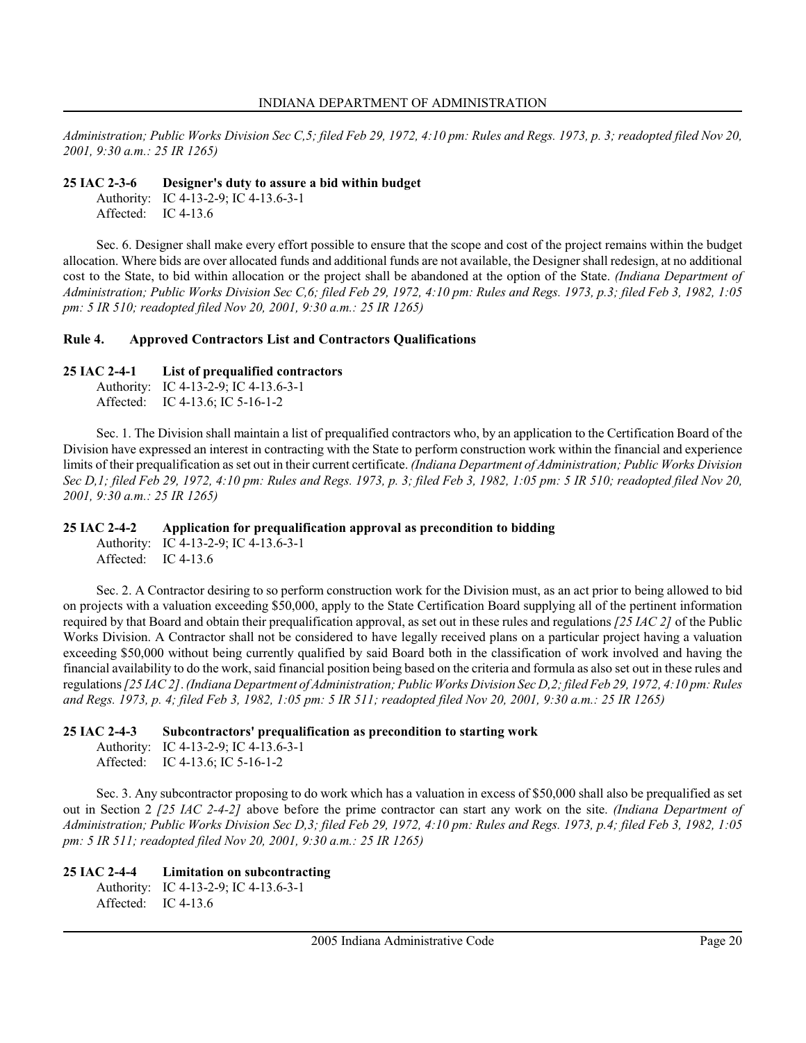Administration; Public Works Division Sec C,5; filed Feb 29, 1972, 4:10 pm: Rules and Regs. 1973, p. 3; readopted filed Nov 20, 2001, 9:30 a.m.: 25 IR 1265)

### 25 IAC 2-3-6 Designer's duty to assure a bid within budget

Authority: IC 4-13-2-9; IC 4-13.6-3-1 Affected: IC 4-13.6

Sec. 6. Designer shall make every effort possible to ensure that the scope and cost of the project remains within the budget allocation. Where bids are over allocated funds and additional funds are not available, the Designer shall redesign, at no additional cost to the State, to bid within allocation or the project shall be abandoned at the option of the State. (Indiana Department of Administration; Public Works Division Sec C,6; filed Feb 29, 1972, 4:10 pm: Rules and Regs. 1973, p.3; filed Feb 3, 1982, 1:05 pm: 5 IR 510; readopted filed Nov 20, 2001, 9:30 a.m.: 25 IR 1265)

### Rule 4. Approved Contractors List and Contractors Qualifications

# 25 IAC 2-4-1 List of prequalified contractors

Authority: IC 4-13-2-9; IC 4-13.6-3-1 Affected: IC 4-13.6; IC 5-16-1-2

Sec. 1. The Division shall maintain a list of prequalified contractors who, by an application to the Certification Board of the Division have expressed an interest in contracting with the State to perform construction work within the financial and experience limits of their prequalification as set out in their current certificate. (Indiana Department of Administration; Public Works Division Sec D,1; filed Feb 29, 1972, 4:10 pm: Rules and Regs. 1973, p. 3; filed Feb 3, 1982, 1:05 pm: 5 IR 510; readopted filed Nov 20, 2001, 9:30 a.m.: 25 IR 1265)

# 25 IAC 2-4-2 Application for prequalification approval as precondition to bidding

Authority: IC 4-13-2-9; IC 4-13.6-3-1 Affected: IC 4-13.6

Sec. 2. A Contractor desiring to so perform construction work for the Division must, as an act prior to being allowed to bid on projects with a valuation exceeding \$50,000, apply to the State Certification Board supplying all of the pertinent information required by that Board and obtain their prequalification approval, as set out in these rules and regulations [25 IAC 2] of the Public Works Division. A Contractor shall not be considered to have legally received plans on a particular project having a valuation exceeding \$50,000 without being currently qualified by said Board both in the classification of work involved and having the financial availability to do the work, said financial position being based on the criteria and formula as also set out in these rules and regulations [25 IAC 2]. (Indiana Department of Administration; Public Works Division Sec D,2; filed Feb 29, 1972, 4:10 pm: Rules and Regs. 1973, p. 4; filed Feb 3, 1982, 1:05 pm: 5 IR 511; readopted filed Nov 20, 2001, 9:30 a.m.: 25 IR 1265)

# 25 IAC 2-4-3 Subcontractors' prequalification as precondition to starting work

Authority: IC 4-13-2-9; IC 4-13.6-3-1 Affected: IC 4-13.6; IC 5-16-1-2

Sec. 3. Any subcontractor proposing to do work which has a valuation in excess of \$50,000 shall also be prequalified as set out in Section 2 [25 IAC 2-4-2] above before the prime contractor can start any work on the site. (Indiana Department of Administration; Public Works Division Sec D,3; filed Feb 29, 1972, 4:10 pm: Rules and Regs. 1973, p.4; filed Feb 3, 1982, 1:05 pm: 5 IR 511; readopted filed Nov 20, 2001, 9:30 a.m.: 25 IR 1265)

# 25 IAC 2-4-4 Limitation on subcontracting

Authority: IC 4-13-2-9; IC 4-13.6-3-1 Affected: IC 4-13.6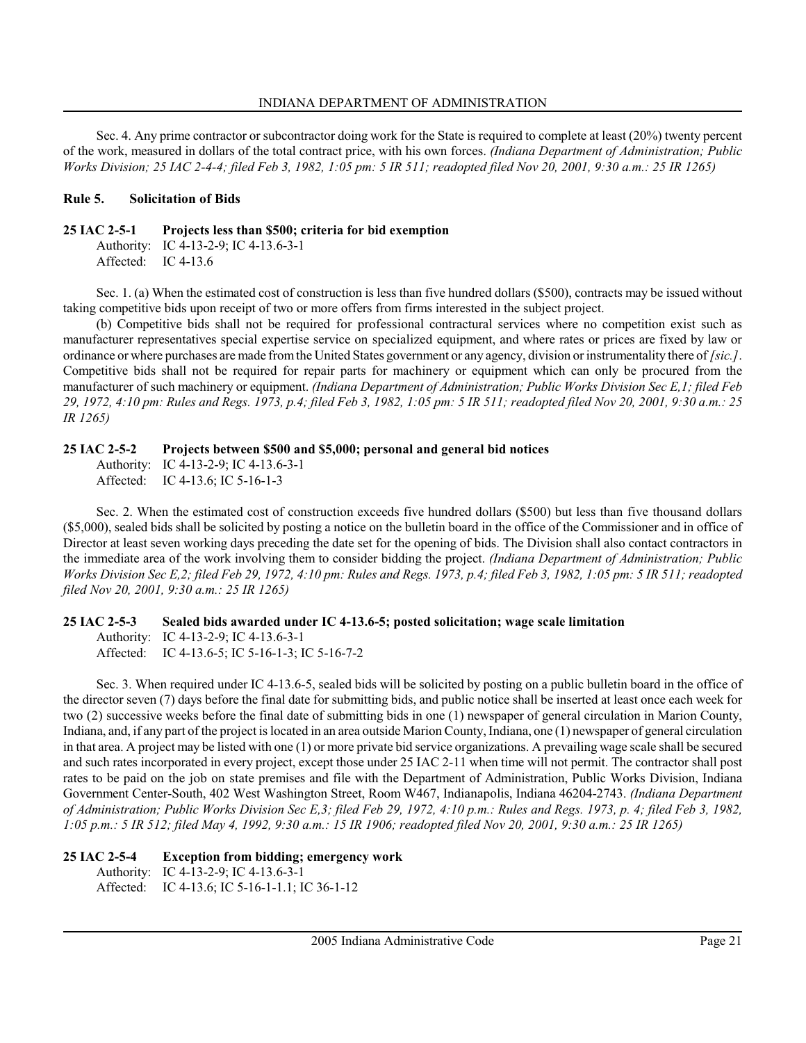Sec. 4. Any prime contractor or subcontractor doing work for the State is required to complete at least (20%) twenty percent of the work, measured in dollars of the total contract price, with his own forces. (Indiana Department of Administration; Public Works Division; 25 IAC 2-4-4; filed Feb 3, 1982, 1:05 pm: 5 IR 511; readopted filed Nov 20, 2001, 9:30 a.m.: 25 IR 1265)

#### Rule 5. Solicitation of Bids

### 25 IAC 2-5-1 Projects less than \$500; criteria for bid exemption

Authority: IC 4-13-2-9; IC 4-13.6-3-1 Affected: IC 4-13.6

Sec. 1. (a) When the estimated cost of construction is less than five hundred dollars (\$500), contracts may be issued without taking competitive bids upon receipt of two or more offers from firms interested in the subject project.

(b) Competitive bids shall not be required for professional contractural services where no competition exist such as manufacturer representatives special expertise service on specialized equipment, and where rates or prices are fixed by law or ordinance or where purchases are made from the United States government or any agency, division or instrumentality there of [sic.]. Competitive bids shall not be required for repair parts for machinery or equipment which can only be procured from the manufacturer of such machinery or equipment. (Indiana Department of Administration; Public Works Division Sec E, 1; filed Feb 29, 1972, 4:10 pm: Rules and Regs. 1973, p.4; filed Feb 3, 1982, 1:05 pm: 5 IR 511; readopted filed Nov 20, 2001, 9:30 a.m.: 25 IR 1265)

#### 25 IAC 2-5-2 Projects between \$500 and \$5,000; personal and general bid notices

Authority: IC 4-13-2-9; IC 4-13.6-3-1 Affected: IC 4-13.6; IC 5-16-1-3

Sec. 2. When the estimated cost of construction exceeds five hundred dollars (\$500) but less than five thousand dollars (\$5,000), sealed bids shall be solicited by posting a notice on the bulletin board in the office of the Commissioner and in office of Director at least seven working days preceding the date set for the opening of bids. The Division shall also contact contractors in the immediate area of the work involving them to consider bidding the project. (Indiana Department of Administration; Public Works Division Sec E,2; filed Feb 29, 1972, 4:10 pm: Rules and Regs. 1973, p.4; filed Feb 3, 1982, 1:05 pm: 5 IR 511; readopted filed Nov 20, 2001, 9:30 a.m.: 25 IR 1265)

#### 25 IAC 2-5-3 Sealed bids awarded under IC 4-13.6-5; posted solicitation; wage scale limitation

Authority: IC 4-13-2-9; IC 4-13.6-3-1 Affected: IC 4-13.6-5; IC 5-16-1-3; IC 5-16-7-2

Sec. 3. When required under IC 4-13.6-5, sealed bids will be solicited by posting on a public bulletin board in the office of the director seven (7) days before the final date for submitting bids, and public notice shall be inserted at least once each week for two (2) successive weeks before the final date of submitting bids in one (1) newspaper of general circulation in Marion County, Indiana, and, if any part of the project is located in an area outside Marion County, Indiana, one (1) newspaper of general circulation in that area. A project may be listed with one (1) or more private bid service organizations. A prevailing wage scale shall be secured and such rates incorporated in every project, except those under 25 IAC 2-11 when time will not permit. The contractor shall post rates to be paid on the job on state premises and file with the Department of Administration, Public Works Division, Indiana Government Center-South, 402 West Washington Street, Room W467, Indianapolis, Indiana 46204-2743. (Indiana Department of Administration; Public Works Division Sec E,3; filed Feb 29, 1972, 4:10 p.m.: Rules and Regs. 1973, p. 4; filed Feb 3, 1982, 1:05 p.m.: 5 IR 512; filed May 4, 1992, 9:30 a.m.: 15 IR 1906; readopted filed Nov 20, 2001, 9:30 a.m.: 25 IR 1265)

#### 25 IAC 2-5-4 Exception from bidding; emergency work Authority: IC 4-13-2-9; IC 4-13.6-3-1 Affected: IC 4-13.6; IC 5-16-1-1.1; IC 36-1-12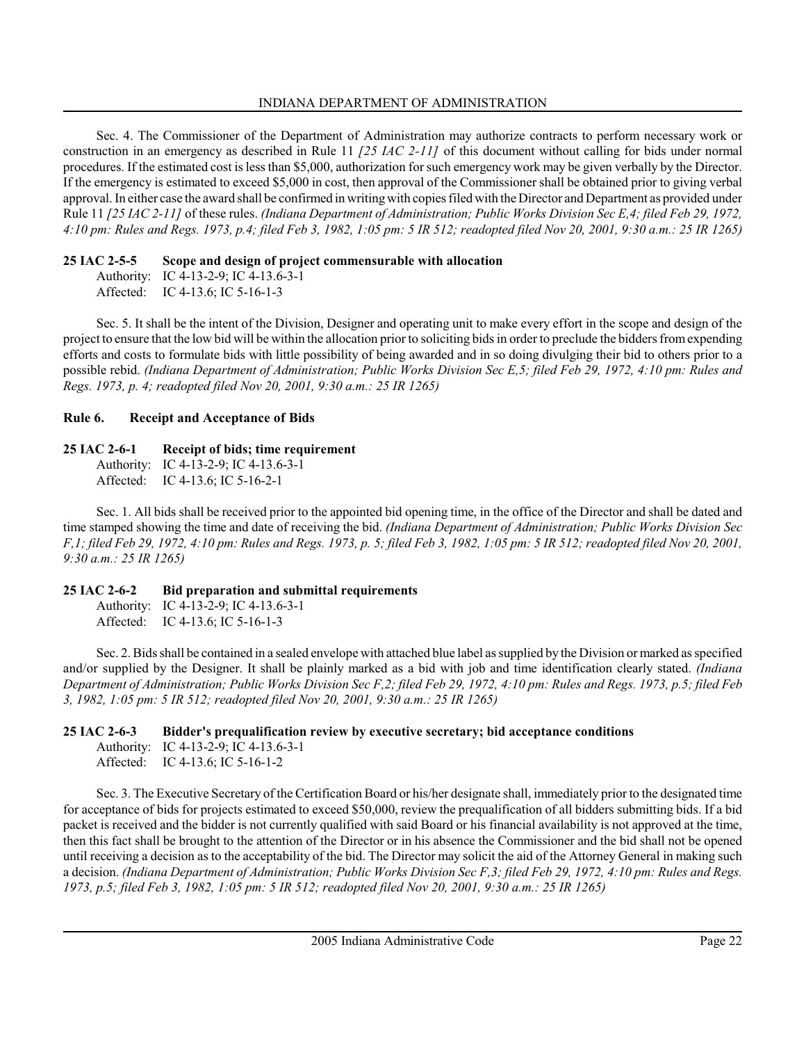Sec. 4. The Commissioner of the Department of Administration may authorize contracts to perform necessary work or construction in an emergency as described in Rule 11  $/25$  *IAC 2-11* $/$  of this document without calling for bids under normal procedures. If the estimated cost is less than \$5,000, authorization for such emergency work may be given verbally by the Director. If the emergency is estimated to exceed \$5,000 in cost, then approval of the Commissioner shall be obtained prior to giving verbal approval. In either case the award shall be confirmed in writing with copies filed with the Director and Department as provided under Rule 11 [25 IAC 2-11] of these rules. (Indiana Department of Administration; Public Works Division Sec E,4; filed Feb 29, 1972, 4:10 pm: Rules and Regs. 1973, p.4; filed Feb 3, 1982, 1:05 pm: 5 IR 512; readopted filed Nov 20, 2001, 9:30 a.m.: 25 IR 1265)

# 25 IAC 2-5-5 Scope and design of project commensurable with allocation

Authority: IC 4-13-2-9; IC 4-13.6-3-1 Affected: IC 4-13.6; IC 5-16-1-3

Sec. 5. It shall be the intent of the Division, Designer and operating unit to make every effort in the scope and design of the project to ensure that the low bid will be within the allocation prior to soliciting bids in order to preclude the bidders from expending efforts and costs to formulate bids with little possibility of being awarded and in so doing divulging their bid to others prior to a possible rebid. (Indiana Department of Administration; Public Works Division Sec E,5; filed Feb 29, 1972, 4:10 pm: Rules and Regs. 1973, p. 4; readopted filed Nov 20, 2001, 9:30 a.m.: 25 IR 1265)

# Rule 6. Receipt and Acceptance of Bids

# 25 IAC 2-6-1 Receipt of bids; time requirement

Authority: IC 4-13-2-9; IC 4-13.6-3-1 Affected: IC 4-13.6; IC 5-16-2-1

Sec. 1. All bids shall be received prior to the appointed bid opening time, in the office of the Director and shall be dated and time stamped showing the time and date of receiving the bid. (Indiana Department of Administration; Public Works Division Sec F,1; filed Feb 29, 1972, 4:10 pm: Rules and Regs. 1973, p. 5; filed Feb 3, 1982, 1:05 pm: 5 IR 512; readopted filed Nov 20, 2001, 9:30 a.m.: 25 IR 1265)

# 25 IAC 2-6-2 Bid preparation and submittal requirements

Authority: IC 4-13-2-9; IC 4-13.6-3-1 Affected: IC 4-13.6; IC 5-16-1-3

Sec. 2. Bids shall be contained in a sealed envelope with attached blue label as supplied by the Division or marked as specified and/or supplied by the Designer. It shall be plainly marked as a bid with job and time identification clearly stated. (Indiana Department of Administration; Public Works Division Sec F,2; filed Feb 29, 1972, 4:10 pm: Rules and Regs. 1973, p.5; filed Feb 3, 1982, 1:05 pm: 5 IR 512; readopted filed Nov 20, 2001, 9:30 a.m.: 25 IR 1265)

# 25 IAC 2-6-3 Bidder's prequalification review by executive secretary; bid acceptance conditions

Authority: IC 4-13-2-9; IC 4-13.6-3-1 Affected: IC 4-13.6; IC 5-16-1-2

Sec. 3. The Executive Secretary of the Certification Board or his/her designate shall, immediately prior to the designated time for acceptance of bids for projects estimated to exceed \$50,000, review the prequalification of all bidders submitting bids. If a bid packet is received and the bidder is not currently qualified with said Board or his financial availability is not approved at the time, then this fact shall be brought to the attention of the Director or in his absence the Commissioner and the bid shall not be opened until receiving a decision as to the acceptability of the bid. The Director may solicit the aid of the Attorney General in making such a decision. (Indiana Department of Administration; Public Works Division Sec F,3; filed Feb 29, 1972, 4:10 pm: Rules and Regs. 1973, p.5; filed Feb 3, 1982, 1:05 pm: 5 IR 512; readopted filed Nov 20, 2001, 9:30 a.m.: 25 IR 1265)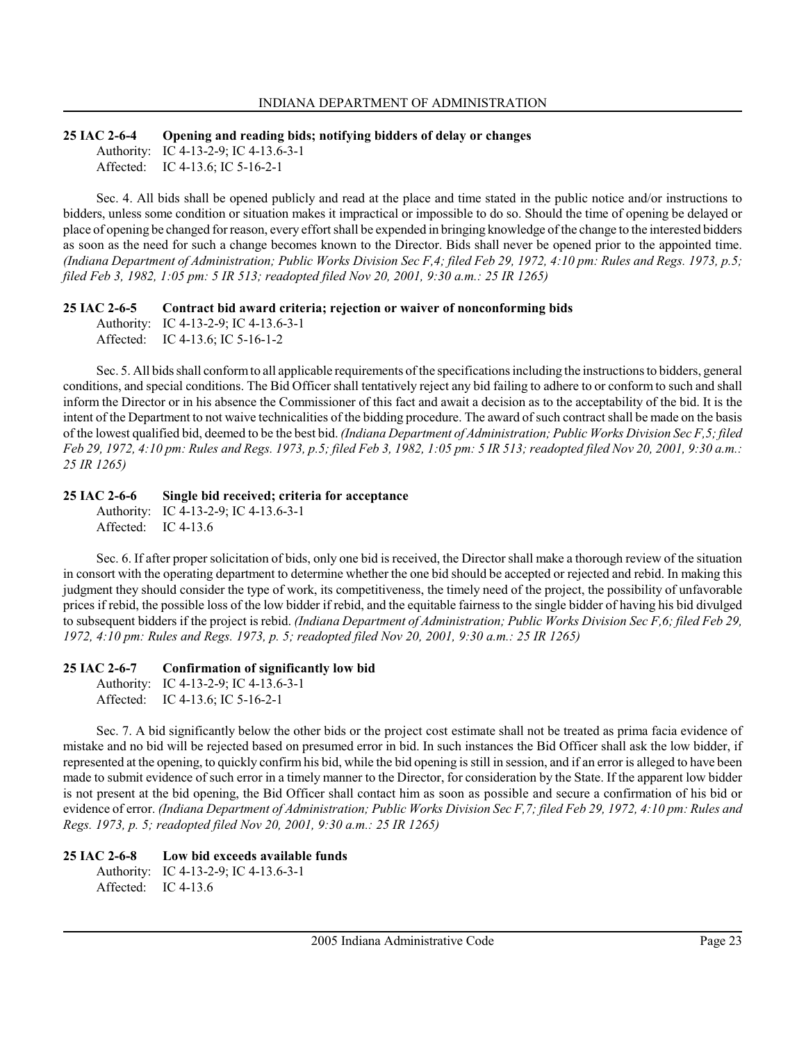#### 25 IAC 2-6-4 Opening and reading bids; notifying bidders of delay or changes Authority: IC 4-13-2-9; IC 4-13.6-3-1

Affected: IC 4-13.6; IC 5-16-2-1

Sec. 4. All bids shall be opened publicly and read at the place and time stated in the public notice and/or instructions to bidders, unless some condition or situation makes it impractical or impossible to do so. Should the time of opening be delayed or place of opening be changed for reason, every effort shall be expended in bringing knowledge of the change to the interested bidders as soon as the need for such a change becomes known to the Director. Bids shall never be opened prior to the appointed time. (Indiana Department of Administration; Public Works Division Sec F,4; filed Feb 29, 1972, 4:10 pm: Rules and Regs. 1973, p.5; filed Feb 3, 1982, 1:05 pm: 5 IR 513; readopted filed Nov 20, 2001, 9:30 a.m.: 25 IR 1265)

#### 25 IAC 2-6-5 Contract bid award criteria; rejection or waiver of nonconforming bids

Authority: IC 4-13-2-9; IC 4-13.6-3-1 Affected: IC 4-13.6; IC 5-16-1-2

Sec. 5. All bids shall conform to all applicable requirements of the specifications including the instructions to bidders, general conditions, and special conditions. The Bid Officer shall tentatively reject any bid failing to adhere to or conform to such and shall inform the Director or in his absence the Commissioner of this fact and await a decision as to the acceptability of the bid. It is the intent of the Department to not waive technicalities of the bidding procedure. The award of such contract shall be made on the basis of the lowest qualified bid, deemed to be the best bid. (Indiana Department of Administration; Public Works Division Sec F,5; filed Feb 29, 1972, 4:10 pm: Rules and Regs. 1973, p.5; filed Feb 3, 1982, 1:05 pm: 5 IR 513; readopted filed Nov 20, 2001, 9:30 a.m.: 25 IR 1265)

# 25 IAC 2-6-6 Single bid received; criteria for acceptance

Authority: IC 4-13-2-9; IC 4-13.6-3-1 Affected: IC 4-13.6

Sec. 6. If after proper solicitation of bids, only one bid is received, the Director shall make a thorough review of the situation in consort with the operating department to determine whether the one bid should be accepted or rejected and rebid. In making this judgment they should consider the type of work, its competitiveness, the timely need of the project, the possibility of unfavorable prices if rebid, the possible loss of the low bidder if rebid, and the equitable fairness to the single bidder of having his bid divulged to subsequent bidders if the project is rebid. (Indiana Department of Administration; Public Works Division Sec F,6; filed Feb 29, 1972, 4:10 pm: Rules and Regs. 1973, p. 5; readopted filed Nov 20, 2001, 9:30 a.m.: 25 IR 1265)

# 25 IAC 2-6-7 Confirmation of significantly low bid

Authority: IC 4-13-2-9; IC 4-13.6-3-1 Affected: IC 4-13.6; IC 5-16-2-1

Sec. 7. A bid significantly below the other bids or the project cost estimate shall not be treated as prima facia evidence of mistake and no bid will be rejected based on presumed error in bid. In such instances the Bid Officer shall ask the low bidder, if represented at the opening, to quickly confirm his bid, while the bid opening is still in session, and if an error is alleged to have been made to submit evidence of such error in a timely manner to the Director, for consideration by the State. If the apparent low bidder is not present at the bid opening, the Bid Officer shall contact him as soon as possible and secure a confirmation of his bid or evidence of error. (Indiana Department of Administration; Public Works Division Sec F,7; filed Feb 29, 1972, 4:10 pm: Rules and Regs. 1973, p. 5; readopted filed Nov 20, 2001, 9:30 a.m.: 25 IR 1265)

# 25 IAC 2-6-8 Low bid exceeds available funds

```
Authority: IC 4-13-2-9; IC 4-13.6-3-1
Affected: IC 4-13.6
```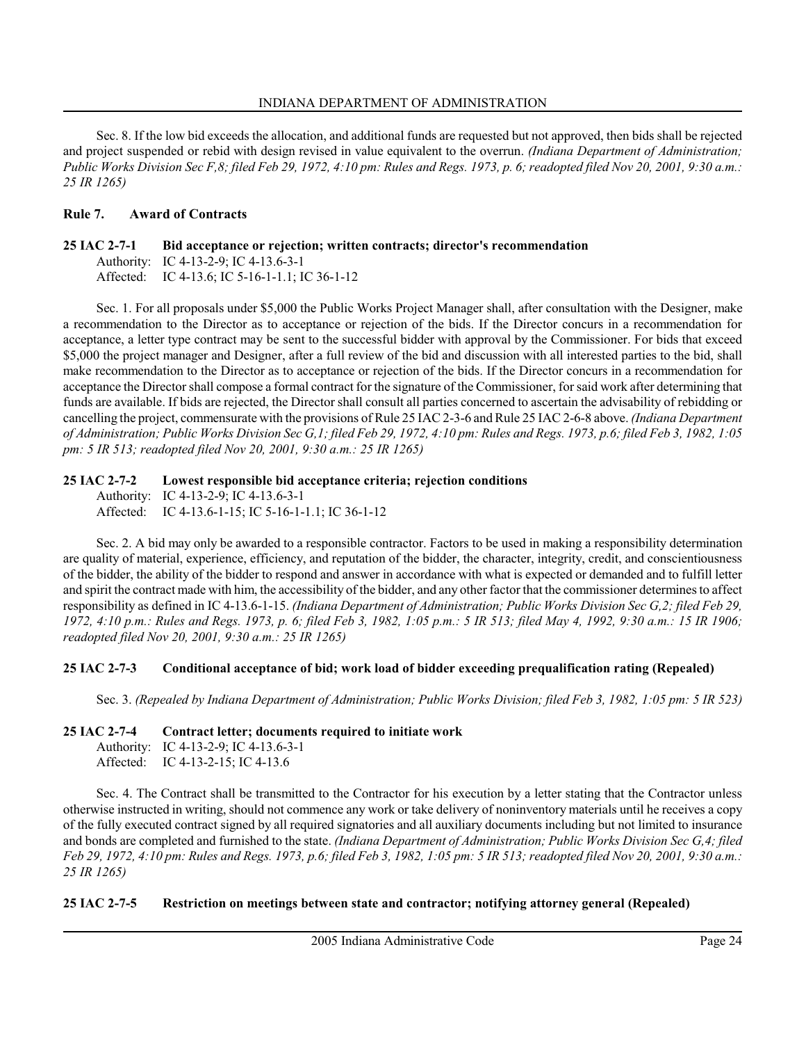Sec. 8. If the low bid exceeds the allocation, and additional funds are requested but not approved, then bids shall be rejected and project suspended or rebid with design revised in value equivalent to the overrun. (Indiana Department of Administration; Public Works Division Sec F,8; filed Feb 29, 1972, 4:10 pm: Rules and Regs. 1973, p. 6; readopted filed Nov 20, 2001, 9:30 a.m.: 25 IR 1265)

# Rule 7. Award of Contracts

### 25 IAC 2-7-1 Bid acceptance or rejection; written contracts; director's recommendation Authority: IC 4-13-2-9; IC 4-13.6-3-1

Affected: IC 4-13.6; IC 5-16-1-1.1; IC 36-1-12

Sec. 1. For all proposals under \$5,000 the Public Works Project Manager shall, after consultation with the Designer, make a recommendation to the Director as to acceptance or rejection of the bids. If the Director concurs in a recommendation for acceptance, a letter type contract may be sent to the successful bidder with approval by the Commissioner. For bids that exceed \$5,000 the project manager and Designer, after a full review of the bid and discussion with all interested parties to the bid, shall make recommendation to the Director as to acceptance or rejection of the bids. If the Director concurs in a recommendation for acceptance the Director shall compose a formal contract for the signature of the Commissioner, for said work after determining that funds are available. If bids are rejected, the Director shall consult all parties concerned to ascertain the advisability of rebidding or cancelling the project, commensurate with the provisions of Rule 25 IAC 2-3-6 and Rule 25 IAC 2-6-8 above. (Indiana Department of Administration; Public Works Division Sec G,1; filed Feb 29, 1972, 4:10 pm: Rules and Regs. 1973, p.6; filed Feb 3, 1982, 1:05 pm: 5 IR 513; readopted filed Nov 20, 2001, 9:30 a.m.: 25 IR 1265)

### 25 IAC 2-7-2 Lowest responsible bid acceptance criteria; rejection conditions

Authority: IC 4-13-2-9; IC 4-13.6-3-1 Affected: IC 4-13.6-1-15; IC 5-16-1-1.1; IC 36-1-12

Sec. 2. A bid may only be awarded to a responsible contractor. Factors to be used in making a responsibility determination are quality of material, experience, efficiency, and reputation of the bidder, the character, integrity, credit, and conscientiousness of the bidder, the ability of the bidder to respond and answer in accordance with what is expected or demanded and to fulfill letter and spirit the contract made with him, the accessibility of the bidder, and any other factor that the commissioner determines to affect responsibility as defined in IC 4-13.6-1-15. (Indiana Department of Administration; Public Works Division Sec G,2; filed Feb 29, 1972, 4:10 p.m.: Rules and Regs. 1973, p. 6; filed Feb 3, 1982, 1:05 p.m.: 5 IR 513; filed May 4, 1992, 9:30 a.m.: 15 IR 1906; readopted filed Nov 20, 2001, 9:30 a.m.: 25 IR 1265)

# 25 IAC 2-7-3 Conditional acceptance of bid; work load of bidder exceeding prequalification rating (Repealed)

Sec. 3. (Repealed by Indiana Department of Administration; Public Works Division; filed Feb 3, 1982, 1:05 pm: 5 IR 523)

# 25 IAC 2-7-4 Contract letter; documents required to initiate work

```
Authority: IC 4-13-2-9; IC 4-13.6-3-1
Affected: IC 4-13-2-15; IC 4-13.6
```
Sec. 4. The Contract shall be transmitted to the Contractor for his execution by a letter stating that the Contractor unless otherwise instructed in writing, should not commence any work or take delivery of noninventory materials until he receives a copy of the fully executed contract signed by all required signatories and all auxiliary documents including but not limited to insurance and bonds are completed and furnished to the state. (Indiana Department of Administration; Public Works Division Sec G,4; filed Feb 29, 1972, 4:10 pm: Rules and Regs. 1973, p.6; filed Feb 3, 1982, 1:05 pm: 5 IR 513; readopted filed Nov 20, 2001, 9:30 a.m.: 25 IR 1265)

# 25 IAC 2-7-5 Restriction on meetings between state and contractor; notifying attorney general (Repealed)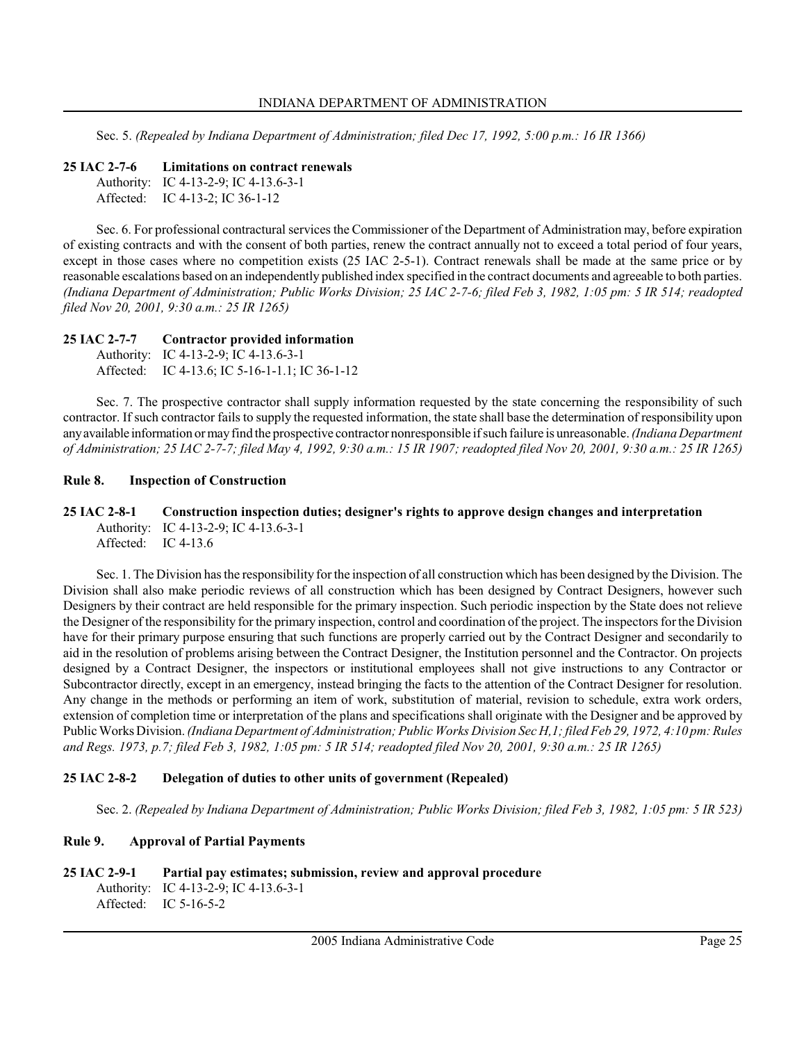Sec. 5. (Repealed by Indiana Department of Administration; filed Dec 17, 1992, 5:00 p.m.: 16 IR 1366)

25 IAC 2-7-6 Limitations on contract renewals

```
Authority: IC 4-13-2-9; IC 4-13.6-3-1
Affected: IC 4-13-2; IC 36-1-12
```
Sec. 6. For professional contractural services the Commissioner of the Department of Administration may, before expiration of existing contracts and with the consent of both parties, renew the contract annually not to exceed a total period of four years, except in those cases where no competition exists (25 IAC 2-5-1). Contract renewals shall be made at the same price or by reasonable escalations based on an independently published index specified in the contract documents and agreeable to both parties. (Indiana Department of Administration; Public Works Division; 25 IAC 2-7-6; filed Feb 3, 1982, 1:05 pm: 5 IR 514; readopted filed Nov 20, 2001, 9:30 a.m.: 25 IR 1265)

### 25 IAC 2-7-7 Contractor provided information

```
Authority: IC 4-13-2-9; IC 4-13.6-3-1
Affected: IC 4-13.6; IC 5-16-1-1.1; IC 36-1-12
```
Sec. 7. The prospective contractor shall supply information requested by the state concerning the responsibility of such contractor. If such contractor fails to supply the requested information, the state shall base the determination of responsibility upon any available information or may find the prospective contractor nonresponsible if such failure is unreasonable. (Indiana Department of Administration; 25 IAC 2-7-7; filed May 4, 1992, 9:30 a.m.: 15 IR 1907; readopted filed Nov 20, 2001, 9:30 a.m.: 25 IR 1265)

### Rule 8. Inspection of Construction

25 IAC 2-8-1 Construction inspection duties; designer's rights to approve design changes and interpretation Authority: IC 4-13-2-9; IC 4-13.6-3-1 Affected: IC 4-13.6

Sec. 1. The Division has the responsibility for the inspection of all construction which has been designed by the Division. The Division shall also make periodic reviews of all construction which has been designed by Contract Designers, however such Designers by their contract are held responsible for the primary inspection. Such periodic inspection by the State does not relieve the Designer of the responsibility for the primary inspection, control and coordination of the project. The inspectors for the Division have for their primary purpose ensuring that such functions are properly carried out by the Contract Designer and secondarily to aid in the resolution of problems arising between the Contract Designer, the Institution personnel and the Contractor. On projects designed by a Contract Designer, the inspectors or institutional employees shall not give instructions to any Contractor or Subcontractor directly, except in an emergency, instead bringing the facts to the attention of the Contract Designer for resolution. Any change in the methods or performing an item of work, substitution of material, revision to schedule, extra work orders, extension of completion time or interpretation of the plans and specifications shall originate with the Designer and be approved by Public Works Division. (Indiana Department of Administration; Public Works Division Sec H,1; filed Feb 29, 1972, 4:10 pm: Rules and Regs. 1973, p.7; filed Feb 3, 1982, 1:05 pm: 5 IR 514; readopted filed Nov 20, 2001, 9:30 a.m.: 25 IR 1265)

# 25 IAC 2-8-2 Delegation of duties to other units of government (Repealed)

Sec. 2. (Repealed by Indiana Department of Administration; Public Works Division; filed Feb 3, 1982, 1:05 pm: 5 IR 523)

# Rule 9. Approval of Partial Payments

```
25 IAC 2-9-1 Partial pay estimates; submission, review and approval procedure
     Authority: IC 4-13-2-9; IC 4-13.6-3-1
```

```
Affected: IC 5-16-5-2
```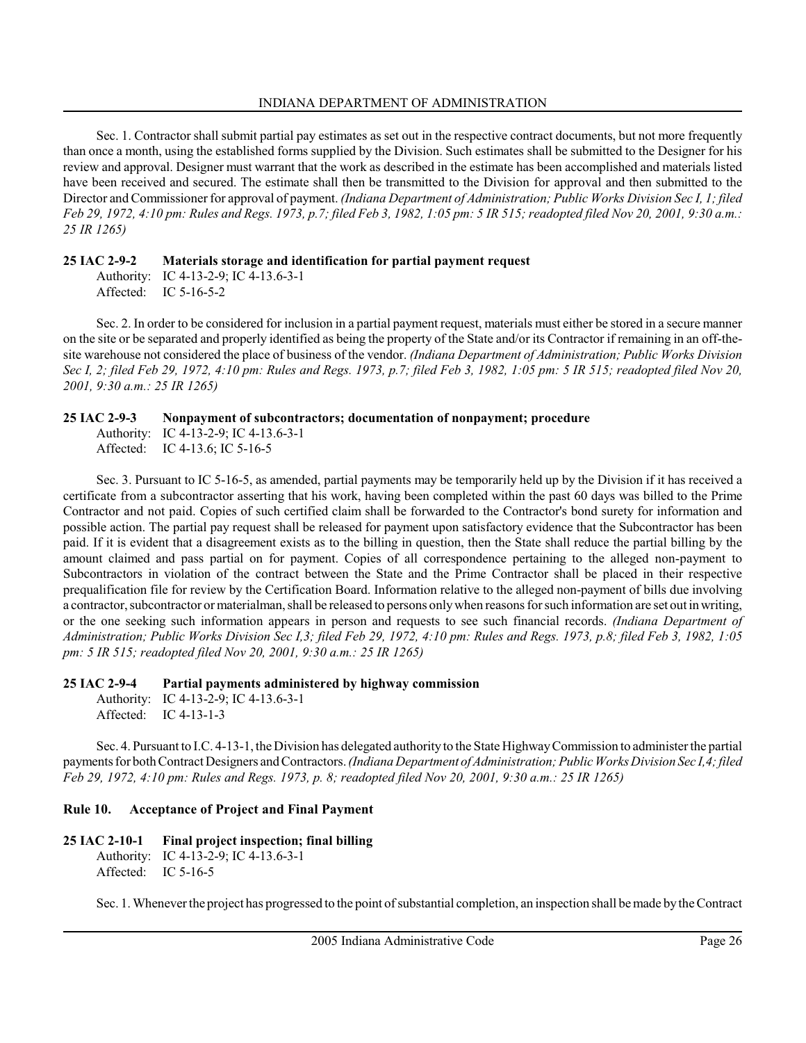Sec. 1. Contractor shall submit partial pay estimates as set out in the respective contract documents, but not more frequently than once a month, using the established forms supplied by the Division. Such estimates shall be submitted to the Designer for his review and approval. Designer must warrant that the work as described in the estimate has been accomplished and materials listed have been received and secured. The estimate shall then be transmitted to the Division for approval and then submitted to the Director and Commissioner for approval of payment. (Indiana Department of Administration; Public Works Division Sec I, 1; filed Feb 29, 1972, 4:10 pm: Rules and Regs. 1973, p.7; filed Feb 3, 1982, 1:05 pm: 5 IR 515; readopted filed Nov 20, 2001, 9:30 a.m.: 25 IR 1265)

### 25 IAC 2-9-2 Materials storage and identification for partial payment request

Authority: IC 4-13-2-9; IC 4-13.6-3-1 Affected: IC 5-16-5-2

Sec. 2. In order to be considered for inclusion in a partial payment request, materials must either be stored in a secure manner on the site or be separated and properly identified as being the property of the State and/or its Contractor if remaining in an off-thesite warehouse not considered the place of business of the vendor. (Indiana Department of Administration; Public Works Division Sec I, 2; filed Feb 29, 1972, 4:10 pm: Rules and Regs. 1973, p.7; filed Feb 3, 1982, 1:05 pm: 5 IR 515; readopted filed Nov 20, 2001, 9:30 a.m.: 25 IR 1265)

# 25 IAC 2-9-3 Nonpayment of subcontractors; documentation of nonpayment; procedure

Authority: IC 4-13-2-9; IC 4-13.6-3-1 Affected: IC 4-13.6; IC 5-16-5

Sec. 3. Pursuant to IC 5-16-5, as amended, partial payments may be temporarily held up by the Division if it has received a certificate from a subcontractor asserting that his work, having been completed within the past 60 days was billed to the Prime Contractor and not paid. Copies of such certified claim shall be forwarded to the Contractor's bond surety for information and possible action. The partial pay request shall be released for payment upon satisfactory evidence that the Subcontractor has been paid. If it is evident that a disagreement exists as to the billing in question, then the State shall reduce the partial billing by the amount claimed and pass partial on for payment. Copies of all correspondence pertaining to the alleged non-payment to Subcontractors in violation of the contract between the State and the Prime Contractor shall be placed in their respective prequalification file for review by the Certification Board. Information relative to the alleged non-payment of bills due involving a contractor, subcontractor or materialman, shall be released to persons only when reasons for such information are set out in writing, or the one seeking such information appears in person and requests to see such financial records. (Indiana Department of Administration; Public Works Division Sec I,3; filed Feb 29, 1972, 4:10 pm: Rules and Regs. 1973, p.8; filed Feb 3, 1982, 1:05 pm: 5 IR 515; readopted filed Nov 20, 2001, 9:30 a.m.: 25 IR 1265)

#### 25 IAC 2-9-4 Partial payments administered by highway commission Authority: IC 4-13-2-9; IC 4-13.6-3-1

Affected: IC 4-13-1-3

Sec. 4. Pursuant to I.C. 4-13-1, the Division has delegated authority to the State Highway Commission to administer the partial payments for both Contract Designers and Contractors. (Indiana Department of Administration; Public Works Division Sec I,4; filed Feb 29, 1972, 4:10 pm: Rules and Regs. 1973, p. 8; readopted filed Nov 20, 2001, 9:30 a.m.: 25 IR 1265)

# Rule 10. Acceptance of Project and Final Payment

# 25 IAC 2-10-1 Final project inspection; final billing

Authority: IC 4-13-2-9; IC 4-13.6-3-1 Affected: IC 5-16-5

Sec. 1. Whenever the project has progressed to the point of substantial completion, an inspection shall be made by the Contract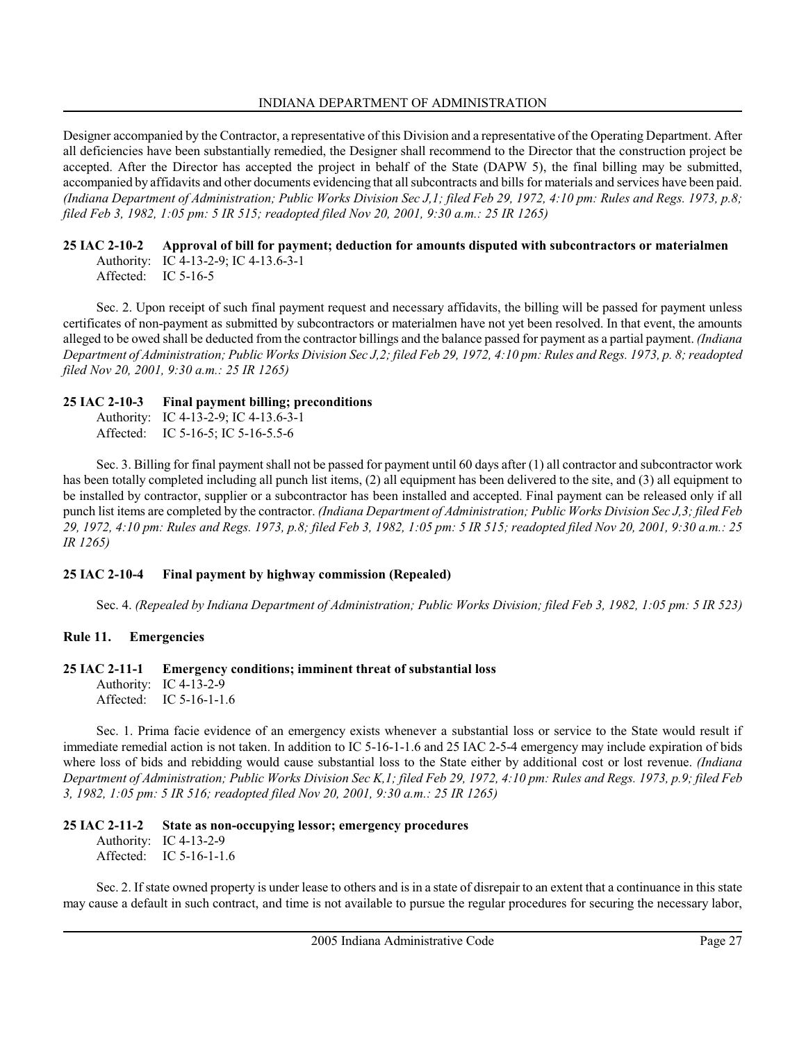Designer accompanied by the Contractor, a representative of this Division and a representative of the Operating Department. After all deficiencies have been substantially remedied, the Designer shall recommend to the Director that the construction project be accepted. After the Director has accepted the project in behalf of the State (DAPW 5), the final billing may be submitted, accompanied by affidavits and other documents evidencing that all subcontracts and bills for materials and services have been paid. (Indiana Department of Administration; Public Works Division Sec J,1; filed Feb 29, 1972, 4:10 pm: Rules and Regs. 1973, p.8; filed Feb 3, 1982, 1:05 pm: 5 IR 515; readopted filed Nov 20, 2001, 9:30 a.m.: 25 IR 1265)

#### 25 IAC 2-10-2 Approval of bill for payment; deduction for amounts disputed with subcontractors or materialmen Authority: IC 4-13-2-9; IC 4-13.6-3-1 Affected: IC 5-16-5

Sec. 2. Upon receipt of such final payment request and necessary affidavits, the billing will be passed for payment unless certificates of non-payment as submitted by subcontractors or materialmen have not yet been resolved. In that event, the amounts alleged to be owed shall be deducted from the contractor billings and the balance passed for payment as a partial payment. (Indiana Department of Administration; Public Works Division Sec J,2; filed Feb 29, 1972, 4:10 pm: Rules and Regs. 1973, p. 8; readopted filed Nov 20, 2001, 9:30 a.m.: 25 IR 1265)

# 25 IAC 2-10-3 Final payment billing; preconditions

Authority: IC 4-13-2-9; IC 4-13.6-3-1 Affected: IC 5-16-5; IC 5-16-5.5-6

Sec. 3. Billing for final payment shall not be passed for payment until 60 days after (1) all contractor and subcontractor work has been totally completed including all punch list items, (2) all equipment has been delivered to the site, and (3) all equipment to be installed by contractor, supplier or a subcontractor has been installed and accepted. Final payment can be released only if all punch list items are completed by the contractor. (Indiana Department of Administration; Public Works Division Sec J,3; filed Feb 29, 1972, 4:10 pm: Rules and Regs. 1973, p.8; filed Feb 3, 1982, 1:05 pm: 5 IR 515; readopted filed Nov 20, 2001, 9:30 a.m.: 25 IR 1265)

# 25 IAC 2-10-4 Final payment by highway commission (Repealed)

Sec. 4. (Repealed by Indiana Department of Administration; Public Works Division; filed Feb 3, 1982, 1:05 pm: 5 IR 523)

# Rule 11. Emergencies

# 25 IAC 2-11-1 Emergency conditions; imminent threat of substantial loss

Authority: IC 4-13-2-9 Affected: IC 5-16-1-1.6

Sec. 1. Prima facie evidence of an emergency exists whenever a substantial loss or service to the State would result if immediate remedial action is not taken. In addition to IC 5-16-1-1.6 and 25 IAC 2-5-4 emergency may include expiration of bids where loss of bids and rebidding would cause substantial loss to the State either by additional cost or lost revenue. (Indiana Department of Administration; Public Works Division Sec K,1; filed Feb 29, 1972, 4:10 pm: Rules and Regs. 1973, p.9; filed Feb 3, 1982, 1:05 pm: 5 IR 516; readopted filed Nov 20, 2001, 9:30 a.m.: 25 IR 1265)

# 25 IAC 2-11-2 State as non-occupying lessor; emergency procedures

Authority: IC 4-13-2-9 Affected: IC 5-16-1-1.6

Sec. 2. If state owned property is under lease to others and is in a state of disrepair to an extent that a continuance in this state may cause a default in such contract, and time is not available to pursue the regular procedures for securing the necessary labor,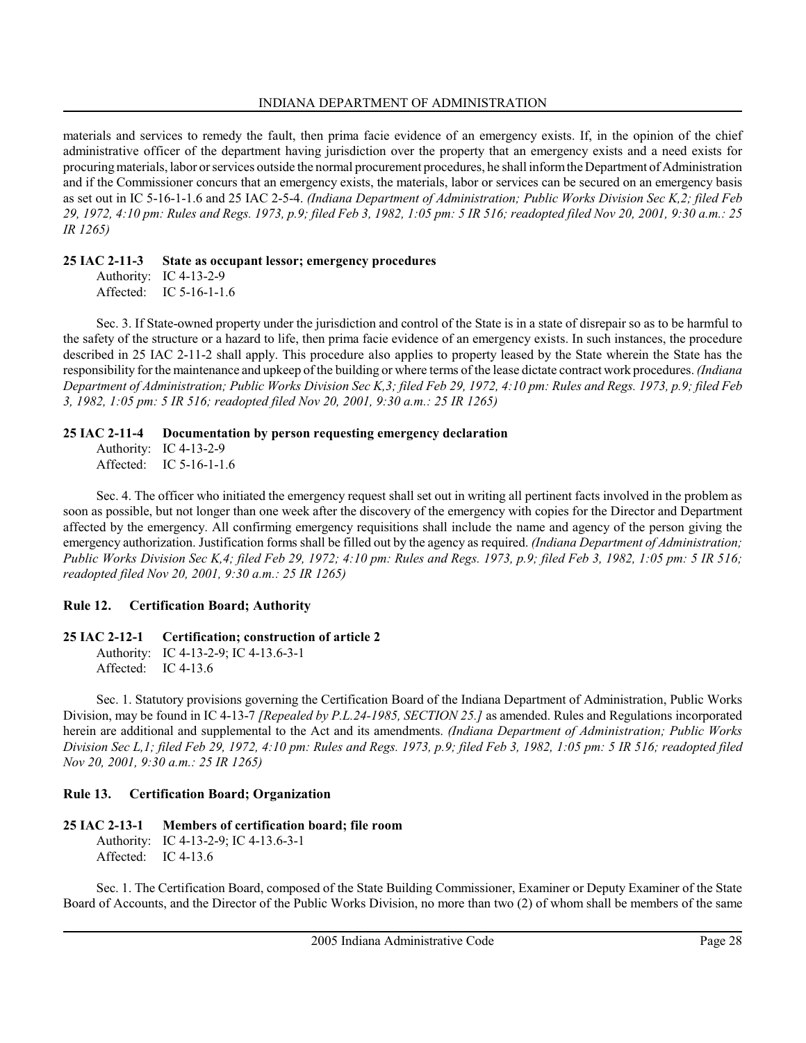materials and services to remedy the fault, then prima facie evidence of an emergency exists. If, in the opinion of the chief administrative officer of the department having jurisdiction over the property that an emergency exists and a need exists for procuring materials, labor or services outside the normal procurement procedures, he shall inform the Department of Administration and if the Commissioner concurs that an emergency exists, the materials, labor or services can be secured on an emergency basis as set out in IC 5-16-1-1.6 and 25 IAC 2-5-4. (Indiana Department of Administration; Public Works Division Sec K,2; filed Feb 29, 1972, 4:10 pm: Rules and Regs. 1973, p.9; filed Feb 3, 1982, 1:05 pm: 5 IR 516; readopted filed Nov 20, 2001, 9:30 a.m.: 25 IR 1265)

# 25 IAC 2-11-3 State as occupant lessor; emergency procedures

Authority: IC 4-13-2-9 Affected: IC 5-16-1-1.6

Sec. 3. If State-owned property under the jurisdiction and control of the State is in a state of disrepair so as to be harmful to the safety of the structure or a hazard to life, then prima facie evidence of an emergency exists. In such instances, the procedure described in 25 IAC 2-11-2 shall apply. This procedure also applies to property leased by the State wherein the State has the responsibility for the maintenance and upkeep of the building or where terms of the lease dictate contract work procedures. (Indiana Department of Administration; Public Works Division Sec K,3; filed Feb 29, 1972, 4:10 pm: Rules and Regs. 1973, p.9; filed Feb 3, 1982, 1:05 pm: 5 IR 516; readopted filed Nov 20, 2001, 9:30 a.m.: 25 IR 1265)

# 25 IAC 2-11-4 Documentation by person requesting emergency declaration

Authority: IC 4-13-2-9 Affected: IC 5-16-1-1.6

Sec. 4. The officer who initiated the emergency request shall set out in writing all pertinent facts involved in the problem as soon as possible, but not longer than one week after the discovery of the emergency with copies for the Director and Department affected by the emergency. All confirming emergency requisitions shall include the name and agency of the person giving the emergency authorization. Justification forms shall be filled out by the agency as required. (Indiana Department of Administration; Public Works Division Sec K,4; filed Feb 29, 1972; 4:10 pm: Rules and Regs. 1973, p.9; filed Feb 3, 1982, 1:05 pm: 5 IR 516; readopted filed Nov 20, 2001, 9:30 a.m.: 25 IR 1265)

# Rule 12. Certification Board; Authority

# 25 IAC 2-12-1 Certification; construction of article 2

Authority: IC 4-13-2-9; IC 4-13.6-3-1 Affected: IC 4-13.6

Sec. 1. Statutory provisions governing the Certification Board of the Indiana Department of Administration, Public Works Division, may be found in IC 4-13-7 [Repealed by P.L.24-1985, SECTION 25.] as amended. Rules and Regulations incorporated herein are additional and supplemental to the Act and its amendments. (Indiana Department of Administration; Public Works Division Sec L,1; filed Feb 29, 1972, 4:10 pm: Rules and Regs. 1973, p.9; filed Feb 3, 1982, 1:05 pm: 5 IR 516; readopted filed Nov 20, 2001, 9:30 a.m.: 25 IR 1265)

# Rule 13. Certification Board; Organization

#### 25 IAC 2-13-1 Members of certification board; file room Authority: IC 4-13-2-9; IC 4-13.6-3-1 Affected: IC 4-13.6

Sec. 1. The Certification Board, composed of the State Building Commissioner, Examiner or Deputy Examiner of the State Board of Accounts, and the Director of the Public Works Division, no more than two (2) of whom shall be members of the same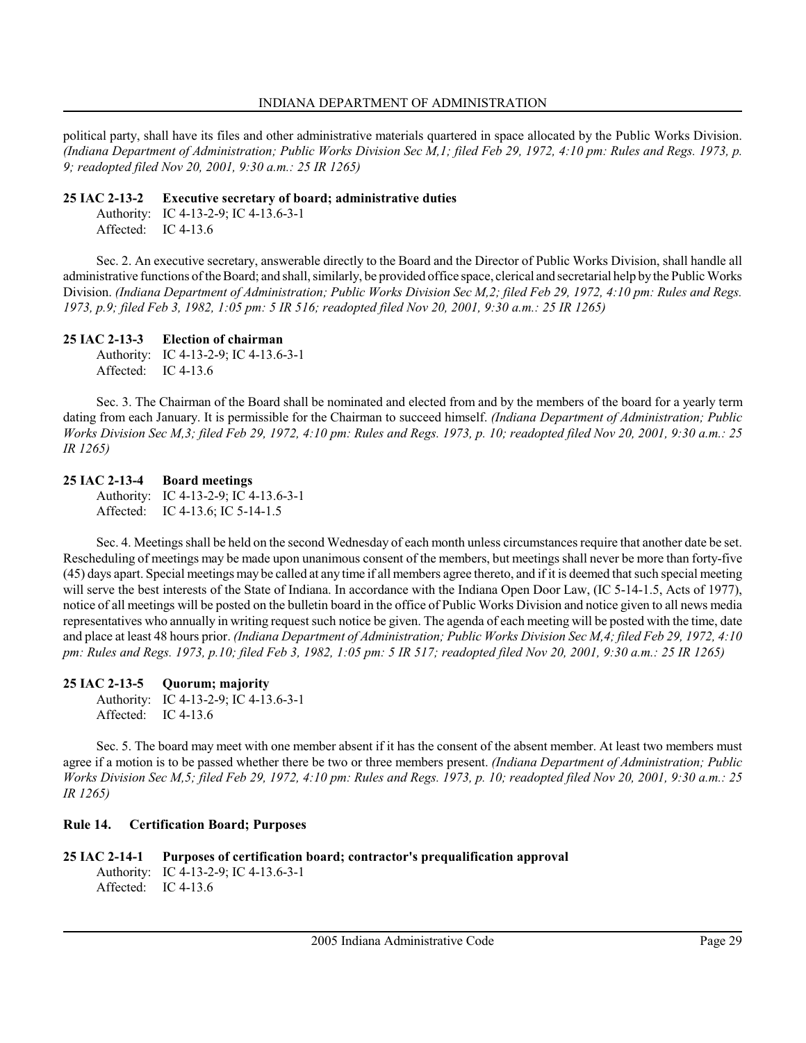political party, shall have its files and other administrative materials quartered in space allocated by the Public Works Division. (Indiana Department of Administration; Public Works Division Sec M,1; filed Feb 29, 1972, 4:10 pm: Rules and Regs. 1973, p. 9; readopted filed Nov 20, 2001, 9:30 a.m.: 25 IR 1265)

### 25 IAC 2-13-2 Executive secretary of board; administrative duties

Authority: IC 4-13-2-9; IC 4-13.6-3-1 Affected: IC 4-13.6

Sec. 2. An executive secretary, answerable directly to the Board and the Director of Public Works Division, shall handle all administrative functions of the Board; and shall, similarly, be provided office space, clerical and secretarial help by the Public Works Division. (Indiana Department of Administration; Public Works Division Sec M,2; filed Feb 29, 1972, 4:10 pm: Rules and Regs. 1973, p.9; filed Feb 3, 1982, 1:05 pm: 5 IR 516; readopted filed Nov 20, 2001, 9:30 a.m.: 25 IR 1265)

# 25 IAC 2-13-3 Election of chairman

Authority: IC 4-13-2-9; IC 4-13.6-3-1 Affected: IC 4-13.6

Sec. 3. The Chairman of the Board shall be nominated and elected from and by the members of the board for a yearly term dating from each January. It is permissible for the Chairman to succeed himself. (Indiana Department of Administration; Public Works Division Sec M,3; filed Feb 29, 1972, 4:10 pm: Rules and Regs. 1973, p. 10; readopted filed Nov 20, 2001, 9:30 a.m.: 25 IR 1265)

25 IAC 2-13-4 Board meetings Authority: IC 4-13-2-9; IC 4-13.6-3-1 Affected: IC 4-13.6; IC 5-14-1.5

Sec. 4. Meetings shall be held on the second Wednesday of each month unless circumstances require that another date be set. Rescheduling of meetings may be made upon unanimous consent of the members, but meetings shall never be more than forty-five (45) days apart. Special meetings may be called at any time if all members agree thereto, and if it is deemed that such special meeting will serve the best interests of the State of Indiana. In accordance with the Indiana Open Door Law, (IC 5-14-1.5, Acts of 1977), notice of all meetings will be posted on the bulletin board in the office of Public Works Division and notice given to all news media representatives who annually in writing request such notice be given. The agenda of each meeting will be posted with the time, date and place at least 48 hours prior. (Indiana Department of Administration; Public Works Division Sec M,4; filed Feb 29, 1972, 4:10 pm: Rules and Regs. 1973, p.10; filed Feb 3, 1982, 1:05 pm: 5 IR 517; readopted filed Nov 20, 2001, 9:30 a.m.: 25 IR 1265)

# 25 IAC 2-13-5 Quorum; majority

Authority: IC 4-13-2-9; IC 4-13.6-3-1 Affected: IC 4-13.6

Sec. 5. The board may meet with one member absent if it has the consent of the absent member. At least two members must agree if a motion is to be passed whether there be two or three members present. (Indiana Department of Administration; Public Works Division Sec M,5; filed Feb 29, 1972, 4:10 pm: Rules and Regs. 1973, p. 10; readopted filed Nov 20, 2001, 9:30 a.m.: 25 IR 1265)

# Rule 14. Certification Board; Purposes

```
25 IAC 2-14-1 Purposes of certification board; contractor's prequalification approval
     Authority: IC 4-13-2-9; IC 4-13.6-3-1
     Affected: IC 4-13.6
```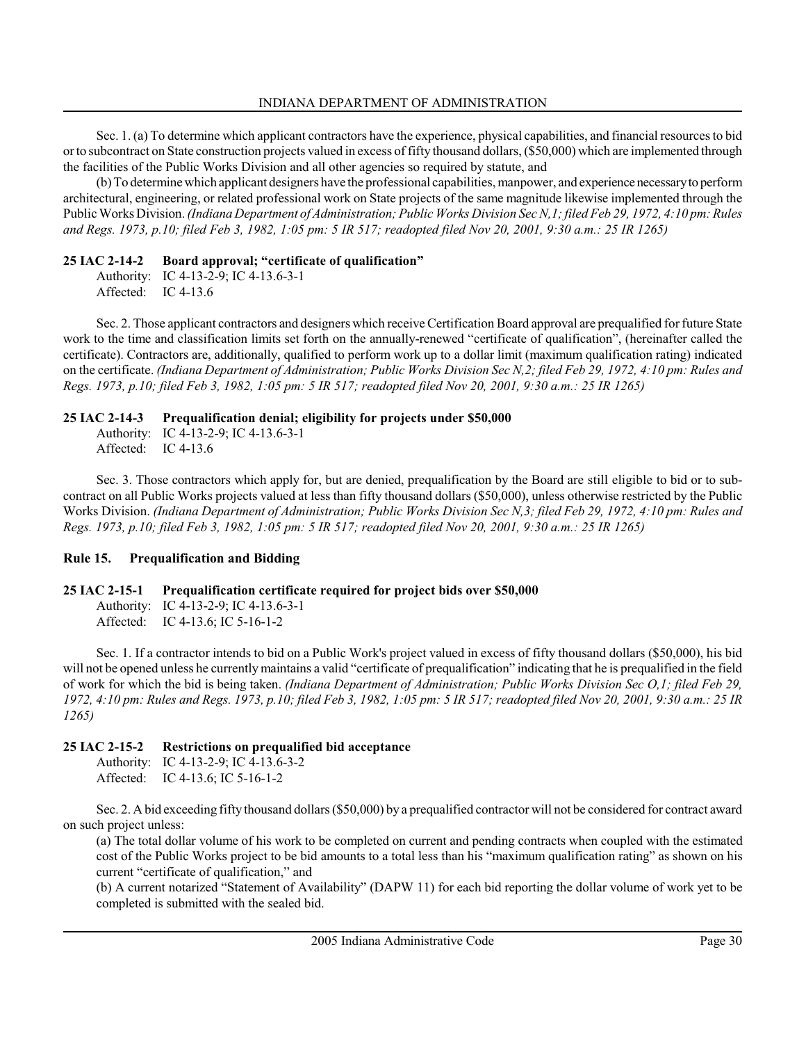Sec. 1. (a) To determine which applicant contractors have the experience, physical capabilities, and financial resources to bid or to subcontract on State construction projects valued in excess of fifty thousand dollars, (\$50,000) which are implemented through the facilities of the Public Works Division and all other agencies so required by statute, and

(b) To determine which applicant designers have the professional capabilities, manpower, and experience necessary to perform architectural, engineering, or related professional work on State projects of the same magnitude likewise implemented through the Public Works Division. (Indiana Department of Administration; Public Works Division Sec N,1; filed Feb 29, 1972, 4:10 pm: Rules and Regs. 1973, p.10; filed Feb 3, 1982, 1:05 pm: 5 IR 517; readopted filed Nov 20, 2001, 9:30 a.m.: 25 IR 1265)

### 25 IAC 2-14-2 Board approval; "certificate of qualification"

Authority: IC 4-13-2-9; IC 4-13.6-3-1 Affected: IC 4-13.6

Sec. 2. Those applicant contractors and designers which receive Certification Board approval are prequalified for future State work to the time and classification limits set forth on the annually-renewed "certificate of qualification", (hereinafter called the certificate). Contractors are, additionally, qualified to perform work up to a dollar limit (maximum qualification rating) indicated on the certificate. (Indiana Department of Administration; Public Works Division Sec N,2; filed Feb 29, 1972, 4:10 pm: Rules and Regs. 1973, p.10; filed Feb 3, 1982, 1:05 pm: 5 IR 517; readopted filed Nov 20, 2001, 9:30 a.m.: 25 IR 1265)

### 25 IAC 2-14-3 Prequalification denial; eligibility for projects under \$50,000

Authority: IC 4-13-2-9; IC 4-13.6-3-1 Affected: IC 4-13.6

Sec. 3. Those contractors which apply for, but are denied, prequalification by the Board are still eligible to bid or to subcontract on all Public Works projects valued at less than fifty thousand dollars (\$50,000), unless otherwise restricted by the Public Works Division. (Indiana Department of Administration; Public Works Division Sec N,3; filed Feb 29, 1972, 4:10 pm: Rules and Regs. 1973, p.10; filed Feb 3, 1982, 1:05 pm: 5 IR 517; readopted filed Nov 20, 2001, 9:30 a.m.: 25 IR 1265)

# Rule 15. Prequalification and Bidding

# 25 IAC 2-15-1 Prequalification certificate required for project bids over \$50,000

Authority: IC 4-13-2-9; IC 4-13.6-3-1 Affected: IC 4-13.6; IC 5-16-1-2

Sec. 1. If a contractor intends to bid on a Public Work's project valued in excess of fifty thousand dollars (\$50,000), his bid will not be opened unless he currently maintains a valid "certificate of prequalification" indicating that he is prequalified in the field of work for which the bid is being taken. (Indiana Department of Administration; Public Works Division Sec O,1; filed Feb 29, 1972, 4:10 pm: Rules and Regs. 1973, p.10; filed Feb 3, 1982, 1:05 pm: 5 IR 517; readopted filed Nov 20, 2001, 9:30 a.m.: 25 IR 1265)

# 25 IAC 2-15-2 Restrictions on prequalified bid acceptance

Authority: IC 4-13-2-9; IC 4-13.6-3-2 Affected: IC 4-13.6; IC 5-16-1-2

Sec. 2. A bid exceeding fifty thousand dollars (\$50,000) by a prequalified contractor will not be considered for contract award on such project unless:

(a) The total dollar volume of his work to be completed on current and pending contracts when coupled with the estimated cost of the Public Works project to be bid amounts to a total less than his "maximum qualification rating" as shown on his current "certificate of qualification," and

(b) A current notarized "Statement of Availability" (DAPW 11) for each bid reporting the dollar volume of work yet to be completed is submitted with the sealed bid.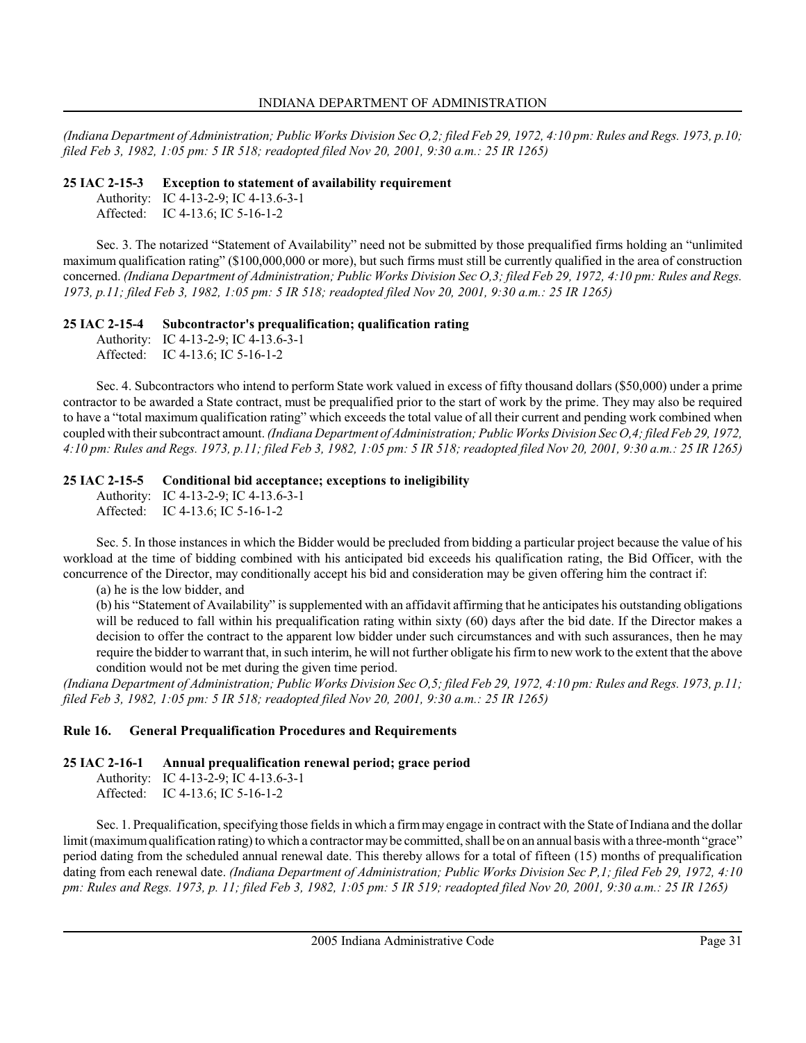(Indiana Department of Administration; Public Works Division Sec O,2; filed Feb 29, 1972, 4:10 pm: Rules and Regs. 1973, p.10; filed Feb 3, 1982, 1:05 pm: 5 IR 518; readopted filed Nov 20, 2001, 9:30 a.m.: 25 IR 1265)

### 25 IAC 2-15-3 Exception to statement of availability requirement

Authority: IC 4-13-2-9; IC 4-13.6-3-1

Affected: IC 4-13.6; IC 5-16-1-2

Sec. 3. The notarized "Statement of Availability" need not be submitted by those prequalified firms holding an "unlimited maximum qualification rating" (\$100,000,000 or more), but such firms must still be currently qualified in the area of construction concerned. (Indiana Department of Administration; Public Works Division Sec O,3; filed Feb 29, 1972, 4:10 pm: Rules and Regs. 1973, p.11; filed Feb 3, 1982, 1:05 pm: 5 IR 518; readopted filed Nov 20, 2001, 9:30 a.m.: 25 IR 1265)

# 25 IAC 2-15-4 Subcontractor's prequalification; qualification rating

Authority: IC 4-13-2-9; IC 4-13.6-3-1 Affected: IC 4-13.6; IC 5-16-1-2

Sec. 4. Subcontractors who intend to perform State work valued in excess of fifty thousand dollars (\$50,000) under a prime contractor to be awarded a State contract, must be prequalified prior to the start of work by the prime. They may also be required to have a "total maximum qualification rating" which exceeds the total value of all their current and pending work combined when coupled with their subcontract amount. (Indiana Department of Administration; Public Works Division Sec O,4; filed Feb 29, 1972, 4:10 pm: Rules and Regs. 1973, p.11; filed Feb 3, 1982, 1:05 pm: 5 IR 518; readopted filed Nov 20, 2001, 9:30 a.m.: 25 IR 1265)

# 25 IAC 2-15-5 Conditional bid acceptance; exceptions to ineligibility

Authority: IC 4-13-2-9; IC 4-13.6-3-1 Affected: IC 4-13.6; IC 5-16-1-2

Sec. 5. In those instances in which the Bidder would be precluded from bidding a particular project because the value of his workload at the time of bidding combined with his anticipated bid exceeds his qualification rating, the Bid Officer, with the concurrence of the Director, may conditionally accept his bid and consideration may be given offering him the contract if:

(a) he is the low bidder, and

(b) his "Statement of Availability" is supplemented with an affidavit affirming that he anticipates his outstanding obligations will be reduced to fall within his prequalification rating within sixty (60) days after the bid date. If the Director makes a decision to offer the contract to the apparent low bidder under such circumstances and with such assurances, then he may require the bidder to warrant that, in such interim, he will not further obligate his firm to new work to the extent that the above condition would not be met during the given time period.

(Indiana Department of Administration; Public Works Division Sec O,5; filed Feb 29, 1972, 4:10 pm: Rules and Regs. 1973, p.11; filed Feb 3, 1982, 1:05 pm: 5 IR 518; readopted filed Nov 20, 2001, 9:30 a.m.: 25 IR 1265)

# Rule 16. General Prequalification Procedures and Requirements

25 IAC 2-16-1 Annual prequalification renewal period; grace period

Authority: IC 4-13-2-9; IC 4-13.6-3-1 Affected: IC 4-13.6; IC 5-16-1-2

Sec. 1. Prequalification, specifying those fields in which a firm may engage in contract with the State of Indiana and the dollar limit (maximum qualification rating) to which a contractor may be committed, shall be on an annual basis with a three-month "grace" period dating from the scheduled annual renewal date. This thereby allows for a total of fifteen (15) months of prequalification dating from each renewal date. *(Indiana Department of Administration; Public Works Division Sec P,1; filed Feb 29, 1972, 4:10* pm: Rules and Regs. 1973, p. 11; filed Feb 3, 1982, 1:05 pm: 5 IR 519; readopted filed Nov 20, 2001, 9:30 a.m.: 25 IR 1265)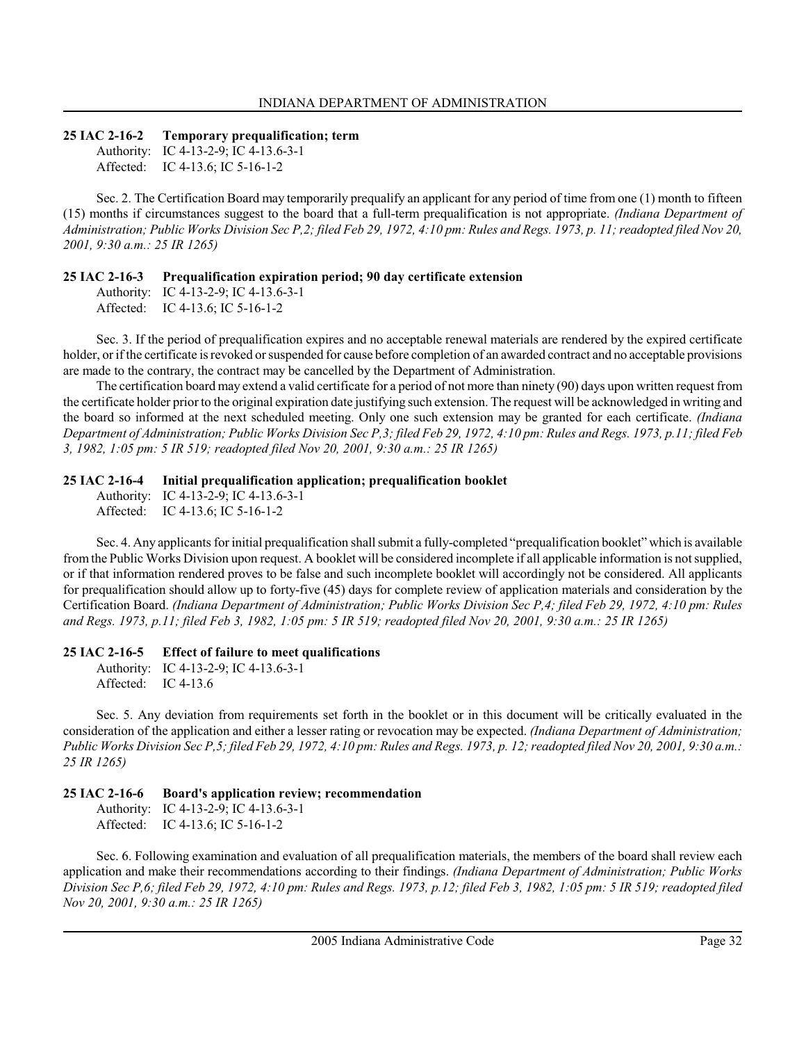#### 25 IAC 2-16-2 Temporary prequalification; term

Authority: IC 4-13-2-9; IC 4-13.6-3-1 Affected: IC 4-13.6; IC 5-16-1-2

Sec. 2. The Certification Board may temporarily prequalify an applicant for any period of time from one (1) month to fifteen (15) months if circumstances suggest to the board that a full-term prequalification is not appropriate. (Indiana Department of Administration; Public Works Division Sec P,2; filed Feb 29, 1972, 4:10 pm: Rules and Regs. 1973, p. 11; readopted filed Nov 20, 2001, 9:30 a.m.: 25 IR 1265)

#### 25 IAC 2-16-3 Prequalification expiration period; 90 day certificate extension

Authority: IC 4-13-2-9; IC 4-13.6-3-1 Affected: IC 4-13.6; IC 5-16-1-2

Sec. 3. If the period of prequalification expires and no acceptable renewal materials are rendered by the expired certificate holder, or if the certificate is revoked or suspended for cause before completion of an awarded contract and no acceptable provisions are made to the contrary, the contract may be cancelled by the Department of Administration.

The certification board may extend a valid certificate for a period of not more than ninety (90) days upon written request from the certificate holder prior to the original expiration date justifying such extension. The request will be acknowledged in writing and the board so informed at the next scheduled meeting. Only one such extension may be granted for each certificate. (Indiana Department of Administration; Public Works Division Sec P,3; filed Feb 29, 1972, 4:10 pm: Rules and Regs. 1973, p.11; filed Feb 3, 1982, 1:05 pm: 5 IR 519; readopted filed Nov 20, 2001, 9:30 a.m.: 25 IR 1265)

#### 25 IAC 2-16-4 Initial prequalification application; prequalification booklet

Authority: IC 4-13-2-9; IC 4-13.6-3-1 Affected: IC 4-13.6; IC 5-16-1-2

Sec. 4. Any applicants for initial prequalification shall submit a fully-completed "prequalification booklet" which is available from the Public Works Division upon request. A booklet will be considered incomplete if all applicable information is not supplied, or if that information rendered proves to be false and such incomplete booklet will accordingly not be considered. All applicants for prequalification should allow up to forty-five (45) days for complete review of application materials and consideration by the Certification Board. (Indiana Department of Administration; Public Works Division Sec P,4; filed Feb 29, 1972, 4:10 pm: Rules and Regs. 1973, p.11; filed Feb 3, 1982, 1:05 pm: 5 IR 519; readopted filed Nov 20, 2001, 9:30 a.m.: 25 IR 1265)

#### 25 IAC 2-16-5 Effect of failure to meet qualifications

Authority: IC 4-13-2-9; IC 4-13.6-3-1 Affected: IC 4-13.6

Sec. 5. Any deviation from requirements set forth in the booklet or in this document will be critically evaluated in the consideration of the application and either a lesser rating or revocation may be expected. (Indiana Department of Administration; Public Works Division Sec P,5; filed Feb 29, 1972, 4:10 pm: Rules and Regs. 1973, p. 12; readopted filed Nov 20, 2001, 9:30 a.m.: 25 IR 1265)

#### 25 IAC 2-16-6 Board's application review; recommendation

Authority: IC 4-13-2-9; IC 4-13.6-3-1 Affected: IC 4-13.6; IC 5-16-1-2

Sec. 6. Following examination and evaluation of all prequalification materials, the members of the board shall review each application and make their recommendations according to their findings. (Indiana Department of Administration; Public Works Division Sec P,6; filed Feb 29, 1972, 4:10 pm: Rules and Regs. 1973, p.12; filed Feb 3, 1982, 1:05 pm: 5 IR 519; readopted filed Nov 20, 2001, 9:30 a.m.: 25 IR 1265)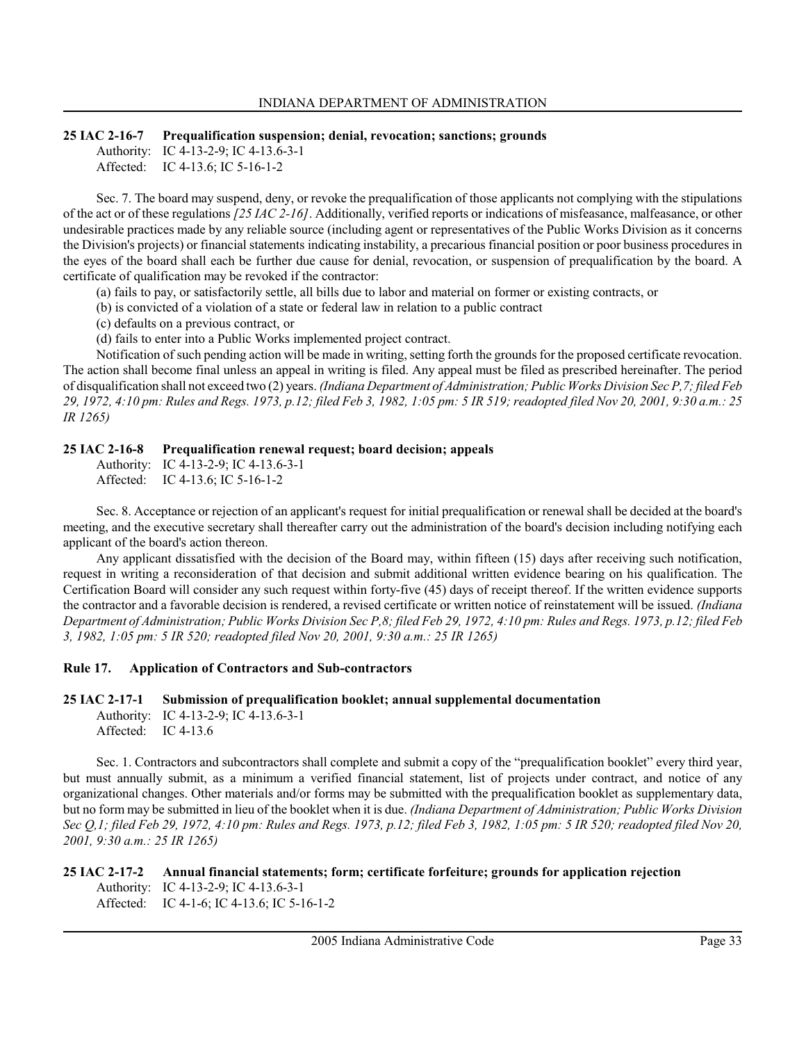#### 25 IAC 2-16-7 Prequalification suspension; denial, revocation; sanctions; grounds

Authority: IC 4-13-2-9; IC 4-13.6-3-1

Affected: IC 4-13.6; IC 5-16-1-2

Sec. 7. The board may suspend, deny, or revoke the prequalification of those applicants not complying with the stipulations of the act or of these regulations [25 IAC 2-16]. Additionally, verified reports or indications of misfeasance, malfeasance, or other undesirable practices made by any reliable source (including agent or representatives of the Public Works Division as it concerns the Division's projects) or financial statements indicating instability, a precarious financial position or poor business procedures in the eyes of the board shall each be further due cause for denial, revocation, or suspension of prequalification by the board. A certificate of qualification may be revoked if the contractor:

(a) fails to pay, or satisfactorily settle, all bills due to labor and material on former or existing contracts, or

- (b) is convicted of a violation of a state or federal law in relation to a public contract
- (c) defaults on a previous contract, or
- (d) fails to enter into a Public Works implemented project contract.

Notification of such pending action will be made in writing, setting forth the grounds for the proposed certificate revocation. The action shall become final unless an appeal in writing is filed. Any appeal must be filed as prescribed hereinafter. The period of disqualification shall not exceed two (2) years. (Indiana Department of Administration; Public Works Division Sec P,7; filed Feb 29, 1972, 4:10 pm: Rules and Regs. 1973, p.12; filed Feb 3, 1982, 1:05 pm: 5 IR 519; readopted filed Nov 20, 2001, 9:30 a.m.: 25 IR 1265)

### 25 IAC 2-16-8 Prequalification renewal request; board decision; appeals

Authority: IC 4-13-2-9; IC 4-13.6-3-1 Affected: IC 4-13.6; IC 5-16-1-2

Sec. 8. Acceptance or rejection of an applicant's request for initial prequalification or renewal shall be decided at the board's meeting, and the executive secretary shall thereafter carry out the administration of the board's decision including notifying each applicant of the board's action thereon.

Any applicant dissatisfied with the decision of the Board may, within fifteen (15) days after receiving such notification, request in writing a reconsideration of that decision and submit additional written evidence bearing on his qualification. The Certification Board will consider any such request within forty-five (45) days of receipt thereof. If the written evidence supports the contractor and a favorable decision is rendered, a revised certificate or written notice of reinstatement will be issued. (Indiana Department of Administration; Public Works Division Sec P,8; filed Feb 29, 1972, 4:10 pm: Rules and Regs. 1973, p.12; filed Feb 3, 1982, 1:05 pm: 5 IR 520; readopted filed Nov 20, 2001, 9:30 a.m.: 25 IR 1265)

#### Rule 17. Application of Contractors and Sub-contractors

#### 25 IAC 2-17-1 Submission of prequalification booklet; annual supplemental documentation

Authority: IC 4-13-2-9; IC 4-13.6-3-1 Affected: IC 4-13.6

Sec. 1. Contractors and subcontractors shall complete and submit a copy of the "prequalification booklet" every third year, but must annually submit, as a minimum a verified financial statement, list of projects under contract, and notice of any organizational changes. Other materials and/or forms may be submitted with the prequalification booklet as supplementary data, but no form may be submitted in lieu of the booklet when it is due. (Indiana Department of Administration; Public Works Division Sec Q,1; filed Feb 29, 1972, 4:10 pm: Rules and Regs. 1973, p.12; filed Feb 3, 1982, 1:05 pm: 5 IR 520; readopted filed Nov 20, 2001, 9:30 a.m.: 25 IR 1265)

#### 25 IAC 2-17-2 Annual financial statements; form; certificate forfeiture; grounds for application rejection Authority: IC 4-13-2-9; IC 4-13.6-3-1 Affected: IC 4-1-6; IC 4-13.6; IC 5-16-1-2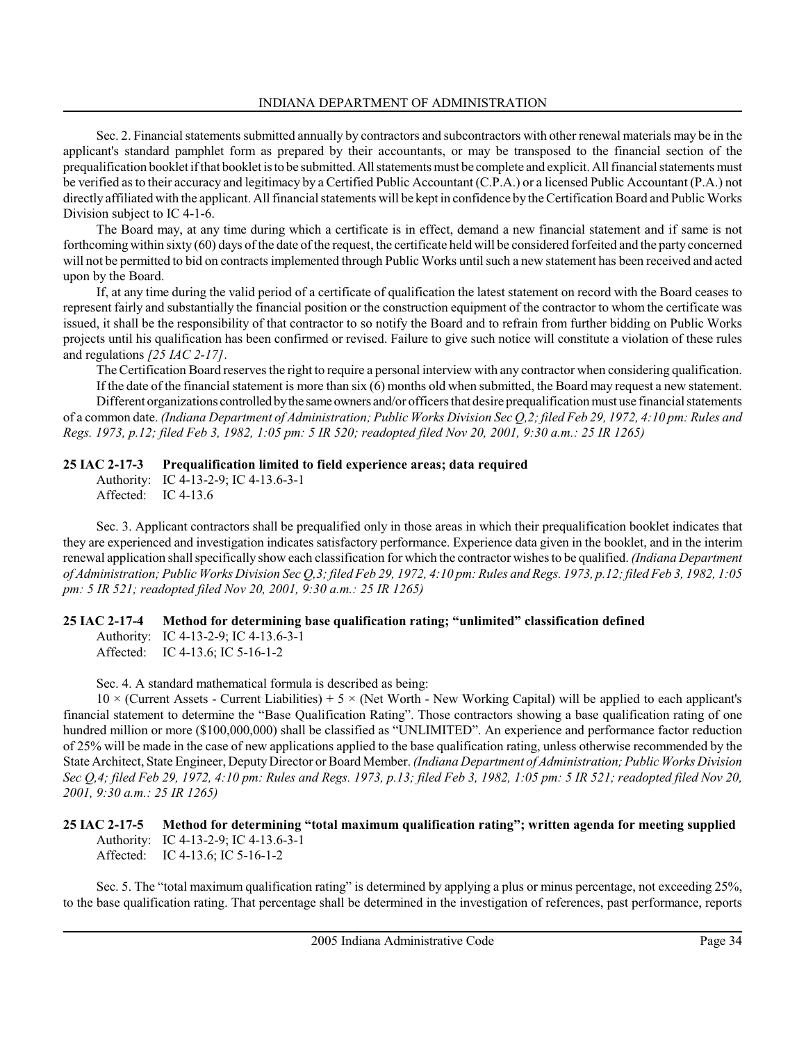Sec. 2. Financial statements submitted annually by contractors and subcontractors with other renewal materials may be in the applicant's standard pamphlet form as prepared by their accountants, or may be transposed to the financial section of the prequalification booklet if that booklet is to be submitted. All statements must be complete and explicit. All financial statements must be verified as to their accuracy and legitimacy by a Certified Public Accountant (C.P.A.) or a licensed Public Accountant (P.A.) not directly affiliated with the applicant. All financial statements will be kept in confidence by the Certification Board and Public Works Division subject to IC 4-1-6.

The Board may, at any time during which a certificate is in effect, demand a new financial statement and if same is not forthcoming within sixty (60) days of the date of the request, the certificate held will be considered forfeited and the party concerned will not be permitted to bid on contracts implemented through Public Works until such a new statement has been received and acted upon by the Board.

If, at any time during the valid period of a certificate of qualification the latest statement on record with the Board ceases to represent fairly and substantially the financial position or the construction equipment of the contractor to whom the certificate was issued, it shall be the responsibility of that contractor to so notify the Board and to refrain from further bidding on Public Works projects until his qualification has been confirmed or revised. Failure to give such notice will constitute a violation of these rules and regulations [25 IAC 2-17].

The Certification Board reserves the right to require a personal interview with any contractor when considering qualification. If the date of the financial statement is more than six (6) months old when submitted, the Board may request a new statement.

Different organizations controlled by the same owners and/or officers that desire prequalification must use financial statements of a common date. (Indiana Department of Administration; Public Works Division Sec Q,2; filed Feb 29, 1972, 4:10 pm: Rules and Regs. 1973, p.12; filed Feb 3, 1982, 1:05 pm: 5 IR 520; readopted filed Nov 20, 2001, 9:30 a.m.: 25 IR 1265)

# 25 IAC 2-17-3 Prequalification limited to field experience areas; data required

Authority: IC 4-13-2-9; IC 4-13.6-3-1 Affected: IC 4-13.6

Sec. 3. Applicant contractors shall be prequalified only in those areas in which their prequalification booklet indicates that they are experienced and investigation indicates satisfactory performance. Experience data given in the booklet, and in the interim renewal application shall specifically show each classification for which the contractor wishes to be qualified. (Indiana Department of Administration; Public Works Division Sec Q,3; filed Feb 29, 1972, 4:10 pm: Rules and Regs. 1973, p.12; filed Feb 3, 1982, 1:05 pm: 5 IR 521; readopted filed Nov 20, 2001, 9:30 a.m.: 25 IR 1265)

# 25 IAC 2-17-4 Method for determining base qualification rating; "unlimited" classification defined

Authority: IC 4-13-2-9; IC 4-13.6-3-1 Affected: IC 4-13.6; IC 5-16-1-2

Sec. 4. A standard mathematical formula is described as being:

 $10 \times$  (Current Assets - Current Liabilities) + 5  $\times$  (Net Worth - New Working Capital) will be applied to each applicant's financial statement to determine the "Base Qualification Rating". Those contractors showing a base qualification rating of one hundred million or more (\$100,000,000) shall be classified as "UNLIMITED". An experience and performance factor reduction of 25% will be made in the case of new applications applied to the base qualification rating, unless otherwise recommended by the State Architect, State Engineer, Deputy Director or Board Member. (Indiana Department of Administration; Public Works Division Sec Q,4; filed Feb 29, 1972, 4:10 pm: Rules and Regs. 1973, p.13; filed Feb 3, 1982, 1:05 pm: 5 IR 521; readopted filed Nov 20, 2001, 9:30 a.m.: 25 IR 1265)

# 25 IAC 2-17-5 Method for determining "total maximum qualification rating"; written agenda for meeting supplied Authority: IC 4-13-2-9; IC 4-13.6-3-1

Affected: IC 4-13.6; IC 5-16-1-2

Sec. 5. The "total maximum qualification rating" is determined by applying a plus or minus percentage, not exceeding 25%, to the base qualification rating. That percentage shall be determined in the investigation of references, past performance, reports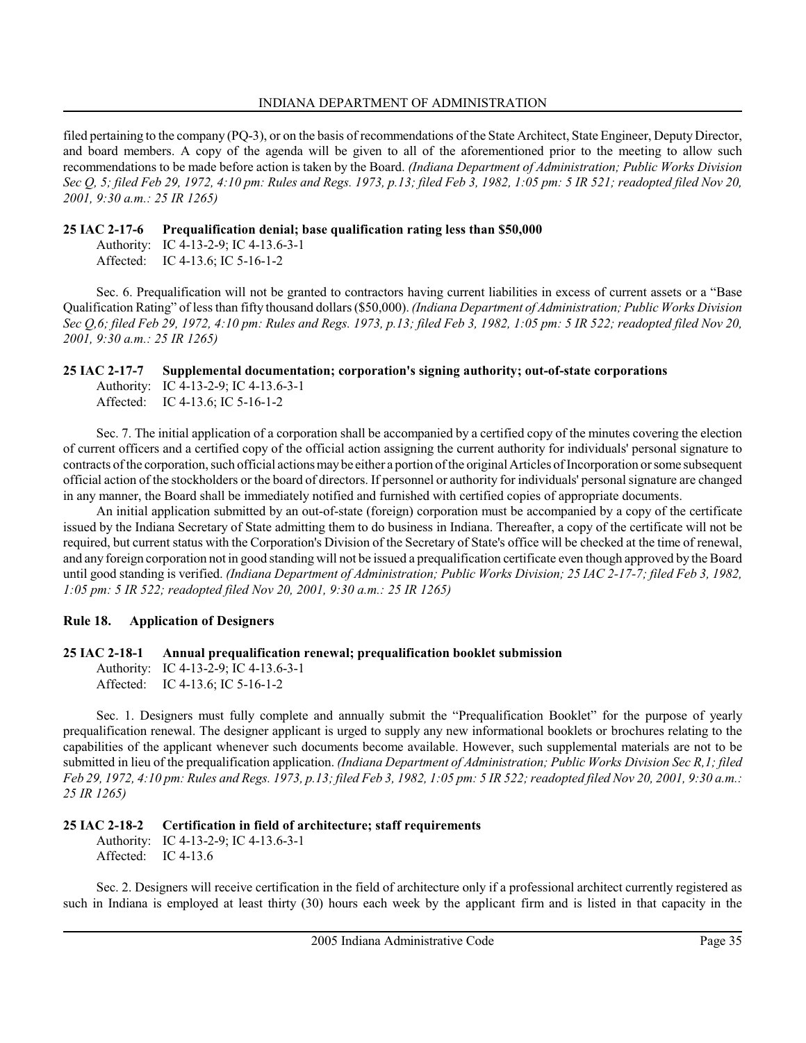filed pertaining to the company (PQ-3), or on the basis of recommendations of the State Architect, State Engineer, Deputy Director, and board members. A copy of the agenda will be given to all of the aforementioned prior to the meeting to allow such recommendations to be made before action is taken by the Board. (Indiana Department of Administration; Public Works Division Sec Q, 5; filed Feb 29, 1972, 4:10 pm: Rules and Regs. 1973, p.13; filed Feb 3, 1982, 1:05 pm: 5 IR 521; readopted filed Nov 20, 2001, 9:30 a.m.: 25 IR 1265)

### 25 IAC 2-17-6 Prequalification denial; base qualification rating less than \$50,000

Authority: IC 4-13-2-9; IC 4-13.6-3-1 Affected: IC 4-13.6; IC 5-16-1-2

Sec. 6. Prequalification will not be granted to contractors having current liabilities in excess of current assets or a "Base Qualification Rating" of less than fifty thousand dollars (\$50,000). (Indiana Department of Administration; Public Works Division Sec Q,6; filed Feb 29, 1972, 4:10 pm: Rules and Regs. 1973, p.13; filed Feb 3, 1982, 1:05 pm: 5 IR 522; readopted filed Nov 20, 2001, 9:30 a.m.: 25 IR 1265)

### 25 IAC 2-17-7 Supplemental documentation; corporation's signing authority; out-of-state corporations

Authority: IC 4-13-2-9; IC 4-13.6-3-1 Affected: IC 4-13.6; IC 5-16-1-2

Sec. 7. The initial application of a corporation shall be accompanied by a certified copy of the minutes covering the election of current officers and a certified copy of the official action assigning the current authority for individuals' personal signature to contracts of the corporation, such official actions may be either a portion of the original Articles of Incorporation or some subsequent official action of the stockholders or the board of directors. If personnel or authority for individuals' personal signature are changed in any manner, the Board shall be immediately notified and furnished with certified copies of appropriate documents.

An initial application submitted by an out-of-state (foreign) corporation must be accompanied by a copy of the certificate issued by the Indiana Secretary of State admitting them to do business in Indiana. Thereafter, a copy of the certificate will not be required, but current status with the Corporation's Division of the Secretary of State's office will be checked at the time of renewal, and any foreign corporation not in good standing will not be issued a prequalification certificate even though approved by the Board until good standing is verified. (Indiana Department of Administration; Public Works Division; 25 IAC 2-17-7; filed Feb 3, 1982, 1:05 pm: 5 IR 522; readopted filed Nov 20, 2001, 9:30 a.m.: 25 IR 1265)

# Rule 18. Application of Designers

# 25 IAC 2-18-1 Annual prequalification renewal; prequalification booklet submission

Authority: IC 4-13-2-9; IC 4-13.6-3-1 Affected: IC 4-13.6; IC 5-16-1-2

Sec. 1. Designers must fully complete and annually submit the "Prequalification Booklet" for the purpose of yearly prequalification renewal. The designer applicant is urged to supply any new informational booklets or brochures relating to the capabilities of the applicant whenever such documents become available. However, such supplemental materials are not to be submitted in lieu of the prequalification application. (Indiana Department of Administration; Public Works Division Sec R, 1; filed Feb 29, 1972, 4:10 pm: Rules and Regs. 1973, p.13; filed Feb 3, 1982, 1:05 pm: 5 IR 522; readopted filed Nov 20, 2001, 9:30 a.m.: 25 IR 1265)

# 25 IAC 2-18-2 Certification in field of architecture; staff requirements

Authority: IC 4-13-2-9; IC 4-13.6-3-1 Affected: IC 4-13.6

Sec. 2. Designers will receive certification in the field of architecture only if a professional architect currently registered as such in Indiana is employed at least thirty (30) hours each week by the applicant firm and is listed in that capacity in the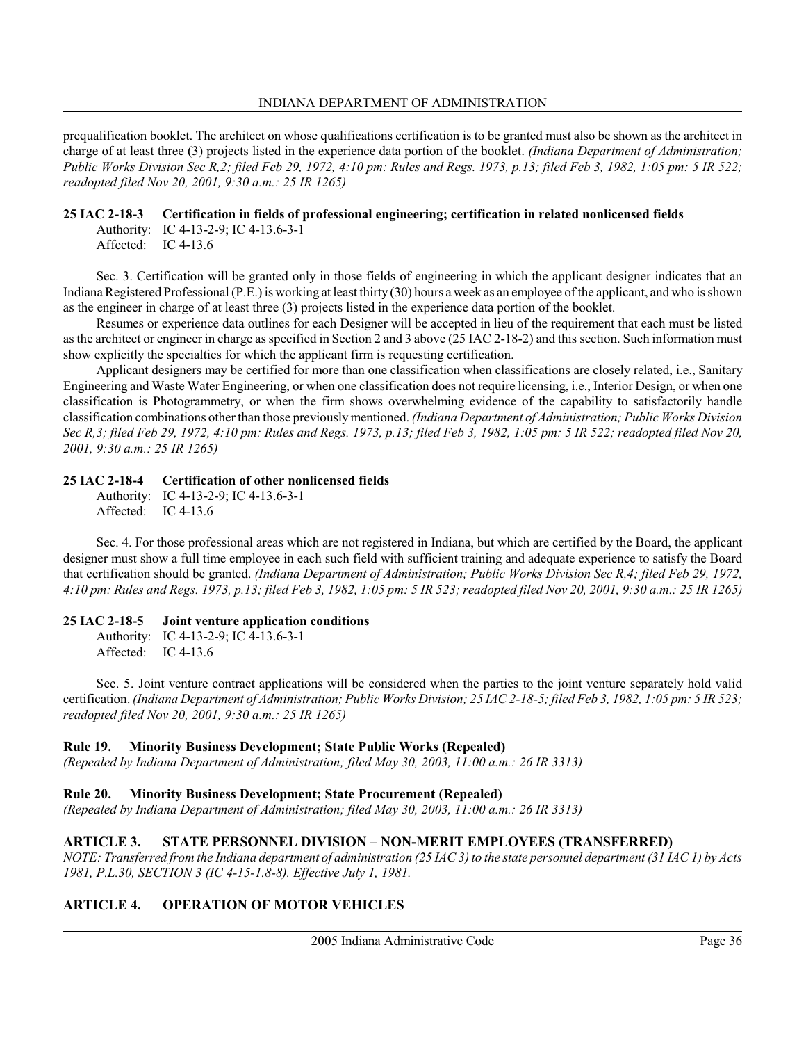prequalification booklet. The architect on whose qualifications certification is to be granted must also be shown as the architect in charge of at least three (3) projects listed in the experience data portion of the booklet. (Indiana Department of Administration; Public Works Division Sec R,2; filed Feb 29, 1972, 4:10 pm: Rules and Regs. 1973, p.13; filed Feb 3, 1982, 1:05 pm: 5 IR 522; readopted filed Nov 20, 2001, 9:30 a.m.: 25 IR 1265)

### 25 IAC 2-18-3 Certification in fields of professional engineering; certification in related nonlicensed fields

Authority: IC 4-13-2-9; IC 4-13.6-3-1 Affected: IC 4-13.6

Sec. 3. Certification will be granted only in those fields of engineering in which the applicant designer indicates that an Indiana Registered Professional (P.E.) is working at least thirty (30) hours a week as an employee of the applicant, and who is shown as the engineer in charge of at least three (3) projects listed in the experience data portion of the booklet.

Resumes or experience data outlines for each Designer will be accepted in lieu of the requirement that each must be listed as the architect or engineer in charge as specified in Section 2 and 3 above (25 IAC 2-18-2) and this section. Such information must show explicitly the specialties for which the applicant firm is requesting certification.

Applicant designers may be certified for more than one classification when classifications are closely related, i.e., Sanitary Engineering and Waste Water Engineering, or when one classification does not require licensing, i.e., Interior Design, or when one classification is Photogrammetry, or when the firm shows overwhelming evidence of the capability to satisfactorily handle classification combinations other than those previously mentioned. (Indiana Department of Administration; Public Works Division Sec R,3; filed Feb 29, 1972, 4:10 pm: Rules and Regs. 1973, p.13; filed Feb 3, 1982, 1:05 pm: 5 IR 522; readopted filed Nov 20, 2001, 9:30 a.m.: 25 IR 1265)

# 25 IAC 2-18-4 Certification of other nonlicensed fields

Authority: IC 4-13-2-9; IC 4-13.6-3-1 Affected: IC 4-13.6

Sec. 4. For those professional areas which are not registered in Indiana, but which are certified by the Board, the applicant designer must show a full time employee in each such field with sufficient training and adequate experience to satisfy the Board that certification should be granted. (Indiana Department of Administration; Public Works Division Sec R,4; filed Feb 29, 1972, 4:10 pm: Rules and Regs. 1973, p.13; filed Feb 3, 1982, 1:05 pm: 5 IR 523; readopted filed Nov 20, 2001, 9:30 a.m.: 25 IR 1265)

# 25 IAC 2-18-5 Joint venture application conditions

Authority: IC 4-13-2-9; IC 4-13.6-3-1 Affected: IC 4-13.6

Sec. 5. Joint venture contract applications will be considered when the parties to the joint venture separately hold valid certification. (Indiana Department of Administration; Public Works Division; 25 IAC 2-18-5; filed Feb 3, 1982, 1:05 pm: 5 IR 523; readopted filed Nov 20, 2001, 9:30 a.m.: 25 IR 1265)

# Rule 19. Minority Business Development; State Public Works (Repealed)

(Repealed by Indiana Department of Administration; filed May 30, 2003, 11:00 a.m.: 26 IR 3313)

# Rule 20. Minority Business Development; State Procurement (Repealed)

(Repealed by Indiana Department of Administration; filed May 30, 2003, 11:00 a.m.: 26 IR 3313)

# ARTICLE 3. STATE PERSONNEL DIVISION – NON-MERIT EMPLOYEES (TRANSFERRED)

NOTE: Transferred from the Indiana department of administration (25 IAC 3) to the state personnel department (31 IAC 1) by Acts 1981, P.L.30, SECTION 3 (IC 4-15-1.8-8). Effective July 1, 1981.

# ARTICLE 4. OPERATION OF MOTOR VEHICLES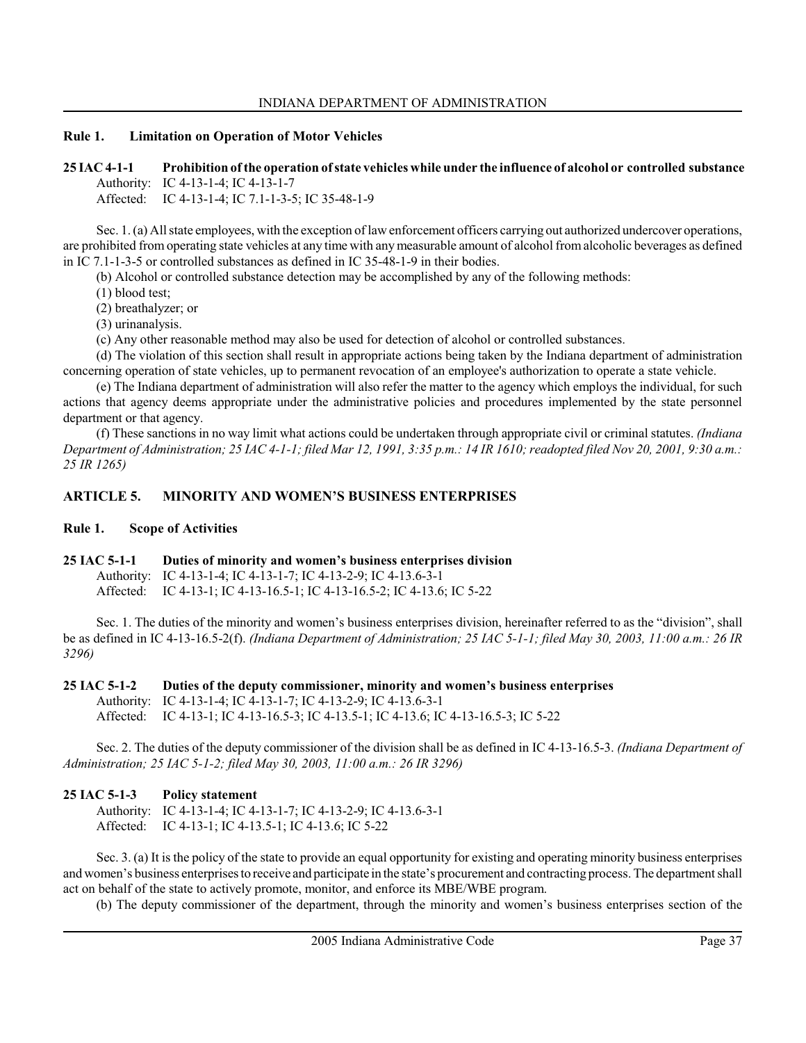### Rule 1. Limitation on Operation of Motor Vehicles

25 IAC 4-1-1 Prohibition of the operation of state vehicles while under the influence of alcohol or controlled substance Authority: IC 4-13-1-4; IC 4-13-1-7

Affected: IC 4-13-1-4; IC 7.1-1-3-5; IC 35-48-1-9

Sec. 1. (a) All state employees, with the exception of law enforcement officers carrying out authorized undercover operations, are prohibited from operating state vehicles at any time with any measurable amount of alcohol from alcoholic beverages as defined in IC 7.1-1-3-5 or controlled substances as defined in IC 35-48-1-9 in their bodies.

(b) Alcohol or controlled substance detection may be accomplished by any of the following methods:

(1) blood test;

(2) breathalyzer; or

(3) urinanalysis.

(c) Any other reasonable method may also be used for detection of alcohol or controlled substances.

(d) The violation of this section shall result in appropriate actions being taken by the Indiana department of administration concerning operation of state vehicles, up to permanent revocation of an employee's authorization to operate a state vehicle.

(e) The Indiana department of administration will also refer the matter to the agency which employs the individual, for such actions that agency deems appropriate under the administrative policies and procedures implemented by the state personnel department or that agency.

(f) These sanctions in no way limit what actions could be undertaken through appropriate civil or criminal statutes. (Indiana Department of Administration; 25 IAC 4-1-1; filed Mar 12, 1991, 3:35 p.m.: 14 IR 1610; readopted filed Nov 20, 2001, 9:30 a.m.: 25 IR 1265)

# ARTICLE 5. MINORITY AND WOMEN'S BUSINESS ENTERPRISES

### Rule 1. Scope of Activities

#### 25 IAC 5-1-1 Duties of minority and women's business enterprises division

Authority: IC 4-13-1-4; IC 4-13-1-7; IC 4-13-2-9; IC 4-13.6-3-1 Affected: IC 4-13-1; IC 4-13-16.5-1; IC 4-13-16.5-2; IC 4-13.6; IC 5-22

Sec. 1. The duties of the minority and women's business enterprises division, hereinafter referred to as the "division", shall be as defined in IC 4-13-16.5-2(f). (Indiana Department of Administration; 25 IAC 5-1-1; filed May 30, 2003, 11:00 a.m.: 26 IR 3296)

#### 25 IAC 5-1-2 Duties of the deputy commissioner, minority and women's business enterprises

Authority: IC 4-13-1-4; IC 4-13-1-7; IC 4-13-2-9; IC 4-13.6-3-1

Affected: IC 4-13-1; IC 4-13-16.5-3; IC 4-13.5-1; IC 4-13.6; IC 4-13-16.5-3; IC 5-22

Sec. 2. The duties of the deputy commissioner of the division shall be as defined in IC 4-13-16.5-3. (Indiana Department of Administration; 25 IAC 5-1-2; filed May 30, 2003, 11:00 a.m.: 26 IR 3296)

# 25 IAC 5-1-3 Policy statement

Authority: IC 4-13-1-4; IC 4-13-1-7; IC 4-13-2-9; IC 4-13.6-3-1 Affected: IC 4-13-1; IC 4-13.5-1; IC 4-13.6; IC 5-22

Sec. 3. (a) It is the policy of the state to provide an equal opportunity for existing and operating minority business enterprises and women's business enterprises to receive and participate in the state's procurement and contracting process. The department shall act on behalf of the state to actively promote, monitor, and enforce its MBE/WBE program.

(b) The deputy commissioner of the department, through the minority and women's business enterprises section of the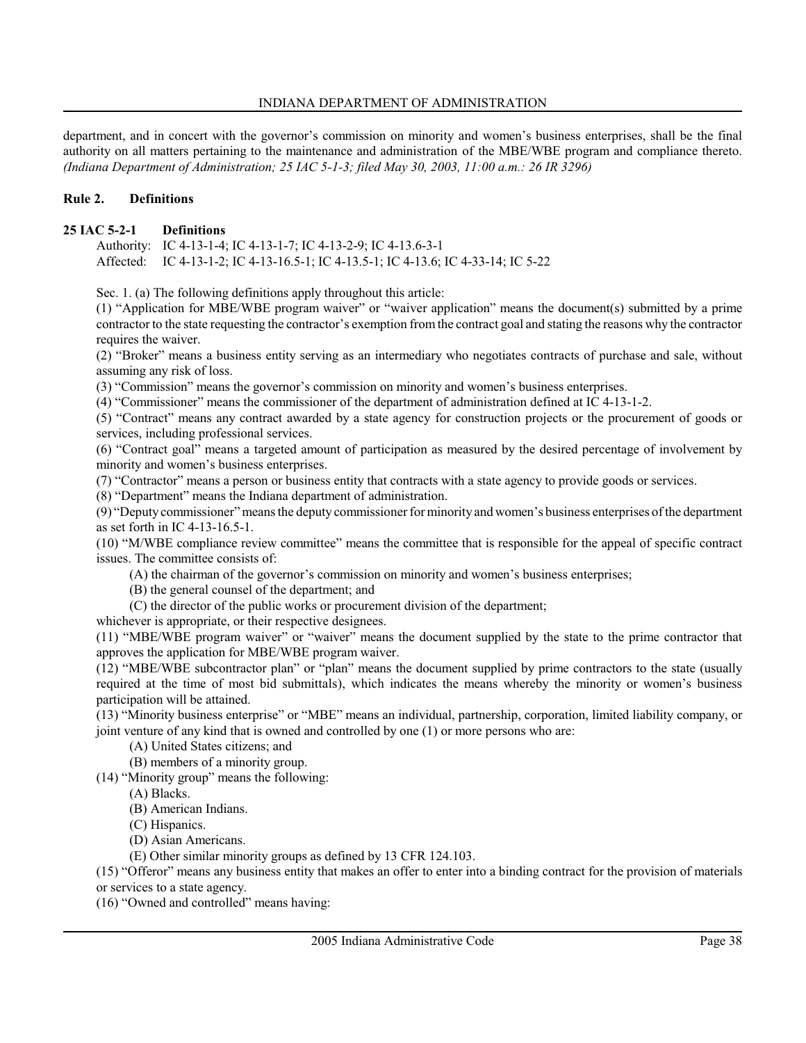department, and in concert with the governor's commission on minority and women's business enterprises, shall be the final authority on all matters pertaining to the maintenance and administration of the MBE/WBE program and compliance thereto. (Indiana Department of Administration; 25 IAC 5-1-3; filed May 30, 2003, 11:00 a.m.: 26 IR 3296)

### Rule 2. Definitions

#### 25 IAC 5-2-1 Definitions

Authority: IC 4-13-1-4; IC 4-13-1-7; IC 4-13-2-9; IC 4-13.6-3-1 Affected: IC 4-13-1-2; IC 4-13-16.5-1; IC 4-13.5-1; IC 4-13.6; IC 4-33-14; IC 5-22

Sec. 1. (a) The following definitions apply throughout this article:

(1) "Application for MBE/WBE program waiver" or "waiver application" means the document(s) submitted by a prime contractor to the state requesting the contractor's exemption from the contract goal and stating the reasons why the contractor requires the waiver.

(2) "Broker" means a business entity serving as an intermediary who negotiates contracts of purchase and sale, without assuming any risk of loss.

(3) "Commission" means the governor's commission on minority and women's business enterprises.

(4) "Commissioner" means the commissioner of the department of administration defined at IC 4-13-1-2.

(5) "Contract" means any contract awarded by a state agency for construction projects or the procurement of goods or services, including professional services.

(6) "Contract goal" means a targeted amount of participation as measured by the desired percentage of involvement by minority and women's business enterprises.

(7) "Contractor" means a person or business entity that contracts with a state agency to provide goods or services.

(8) "Department" means the Indiana department of administration.

(9) "Deputy commissioner" means the deputy commissioner for minority and women's business enterprises of the department as set forth in IC 4-13-16.5-1.

(10) "M/WBE compliance review committee" means the committee that is responsible for the appeal of specific contract issues. The committee consists of:

(A) the chairman of the governor's commission on minority and women's business enterprises;

(B) the general counsel of the department; and

(C) the director of the public works or procurement division of the department;

whichever is appropriate, or their respective designees.

(11) "MBE/WBE program waiver" or "waiver" means the document supplied by the state to the prime contractor that approves the application for MBE/WBE program waiver.

(12) "MBE/WBE subcontractor plan" or "plan" means the document supplied by prime contractors to the state (usually required at the time of most bid submittals), which indicates the means whereby the minority or women's business participation will be attained.

(13) "Minority business enterprise" or "MBE" means an individual, partnership, corporation, limited liability company, or joint venture of any kind that is owned and controlled by one (1) or more persons who are:

(A) United States citizens; and

(B) members of a minority group.

(14) "Minority group" means the following:

(A) Blacks.

(B) American Indians.

(C) Hispanics.

(D) Asian Americans.

(E) Other similar minority groups as defined by 13 CFR 124.103.

(15) "Offeror" means any business entity that makes an offer to enter into a binding contract for the provision of materials

or services to a state agency.

(16) "Owned and controlled" means having: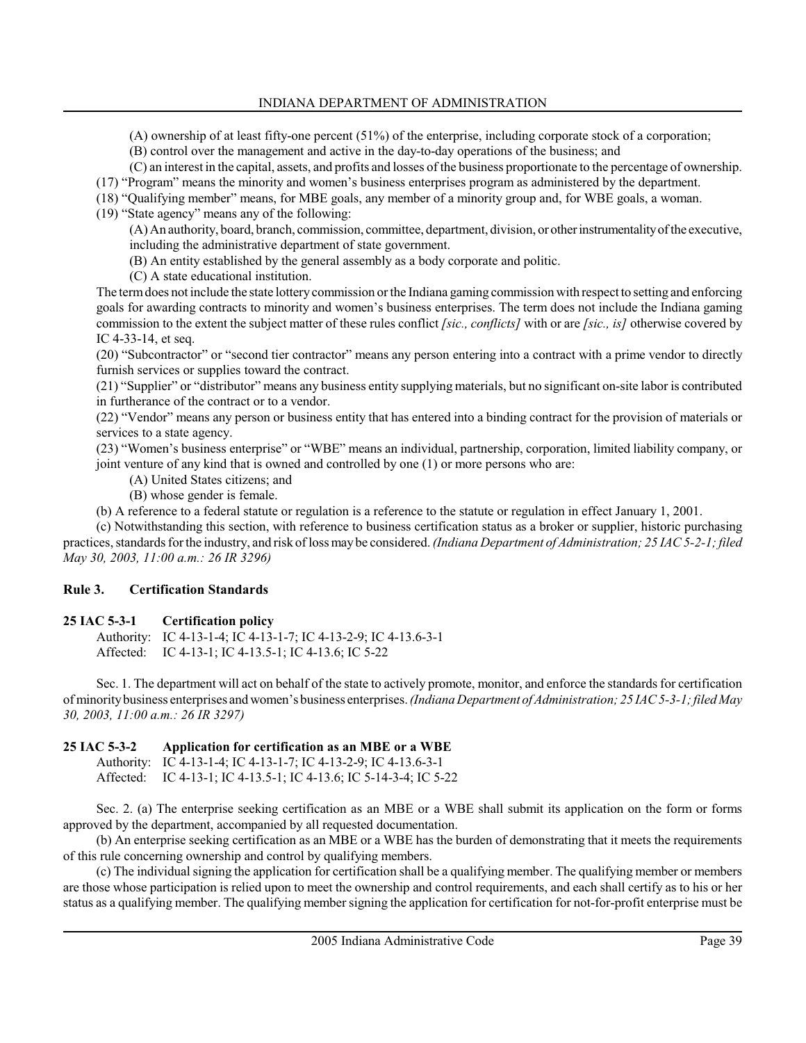(A) ownership of at least fifty-one percent (51%) of the enterprise, including corporate stock of a corporation;

(B) control over the management and active in the day-to-day operations of the business; and

(C) an interest in the capital, assets, and profits and losses of the business proportionate to the percentage of ownership.

(17) "Program" means the minority and women's business enterprises program as administered by the department.

(18) "Qualifying member" means, for MBE goals, any member of a minority group and, for WBE goals, a woman.

(19) "State agency" means any of the following:

(A) An authority, board, branch, commission, committee, department, division, or other instrumentality of the executive, including the administrative department of state government.

(B) An entity established by the general assembly as a body corporate and politic.

(C) A state educational institution.

The term does not include the state lottery commission or the Indiana gaming commission with respect to setting and enforcing goals for awarding contracts to minority and women's business enterprises. The term does not include the Indiana gaming commission to the extent the subject matter of these rules conflict [sic., conflicts] with or are [sic., is] otherwise covered by IC 4-33-14, et seq.

(20) "Subcontractor" or "second tier contractor" means any person entering into a contract with a prime vendor to directly furnish services or supplies toward the contract.

(21) "Supplier" or "distributor" means any business entity supplying materials, but no significant on-site labor is contributed in furtherance of the contract or to a vendor.

(22) "Vendor" means any person or business entity that has entered into a binding contract for the provision of materials or services to a state agency.

(23) "Women's business enterprise" or "WBE" means an individual, partnership, corporation, limited liability company, or joint venture of any kind that is owned and controlled by one (1) or more persons who are:

(A) United States citizens; and

(B) whose gender is female.

(b) A reference to a federal statute or regulation is a reference to the statute or regulation in effect January 1, 2001.

(c) Notwithstanding this section, with reference to business certification status as a broker or supplier, historic purchasing practices, standards for the industry, and risk of loss may be considered. (Indiana Department of Administration; 25 IAC 5-2-1; filed May 30, 2003, 11:00 a.m.: 26 IR 3296)

# Rule 3. Certification Standards

# 25 IAC 5-3-1 Certification policy

Authority: IC 4-13-1-4; IC 4-13-1-7; IC 4-13-2-9; IC 4-13.6-3-1 Affected: IC 4-13-1; IC 4-13.5-1; IC 4-13.6; IC 5-22

Sec. 1. The department will act on behalf of the state to actively promote, monitor, and enforce the standards for certification of minority business enterprises and women's business enterprises. (Indiana Department of Administration; 25 IAC 5-3-1; filed May 30, 2003, 11:00 a.m.: 26 IR 3297)

# 25 IAC 5-3-2 Application for certification as an MBE or a WBE

Authority: IC 4-13-1-4; IC 4-13-1-7; IC 4-13-2-9; IC 4-13.6-3-1 Affected: IC 4-13-1; IC 4-13.5-1; IC 4-13.6; IC 5-14-3-4; IC 5-22

Sec. 2. (a) The enterprise seeking certification as an MBE or a WBE shall submit its application on the form or forms approved by the department, accompanied by all requested documentation.

(b) An enterprise seeking certification as an MBE or a WBE has the burden of demonstrating that it meets the requirements of this rule concerning ownership and control by qualifying members.

(c) The individual signing the application for certification shall be a qualifying member. The qualifying member or members are those whose participation is relied upon to meet the ownership and control requirements, and each shall certify as to his or her status as a qualifying member. The qualifying member signing the application for certification for not-for-profit enterprise must be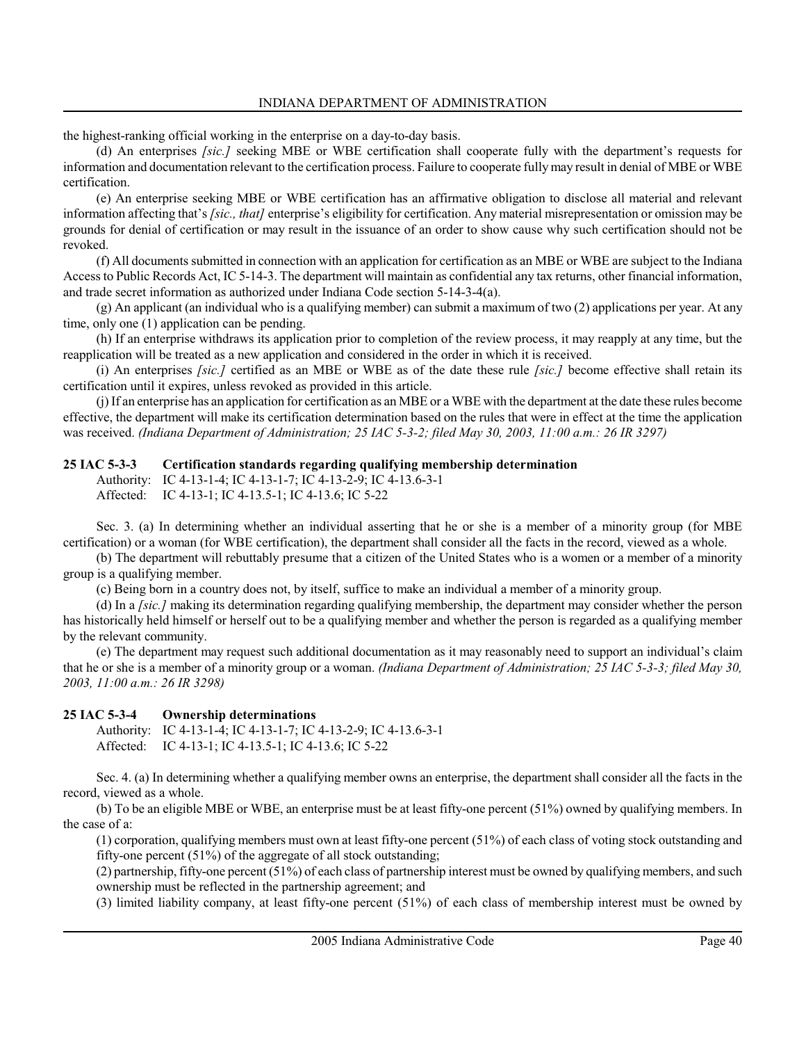the highest-ranking official working in the enterprise on a day-to-day basis.

(d) An enterprises *[sic.]* seeking MBE or WBE certification shall cooperate fully with the department's requests for information and documentation relevant to the certification process. Failure to cooperate fully may result in denial of MBE or WBE certification.

(e) An enterprise seeking MBE or WBE certification has an affirmative obligation to disclose all material and relevant information affecting that's [sic., that] enterprise's eligibility for certification. Any material misrepresentation or omission may be grounds for denial of certification or may result in the issuance of an order to show cause why such certification should not be revoked.

(f) All documents submitted in connection with an application for certification as an MBE or WBE are subject to the Indiana Access to Public Records Act, IC 5-14-3. The department will maintain as confidential any tax returns, other financial information, and trade secret information as authorized under Indiana Code section 5-14-3-4(a).

(g) An applicant (an individual who is a qualifying member) can submit a maximum of two (2) applications per year. At any time, only one (1) application can be pending.

(h) If an enterprise withdraws its application prior to completion of the review process, it may reapply at any time, but the reapplication will be treated as a new application and considered in the order in which it is received.

(i) An enterprises [sic.] certified as an MBE or WBE as of the date these rule [sic.] become effective shall retain its certification until it expires, unless revoked as provided in this article.

(j) If an enterprise has an application for certification as an MBE or a WBE with the department at the date these rules become effective, the department will make its certification determination based on the rules that were in effect at the time the application was received. (Indiana Department of Administration; 25 IAC 5-3-2; filed May 30, 2003, 11:00 a.m.: 26 IR 3297)

# 25 IAC 5-3-3 Certification standards regarding qualifying membership determination

Authority: IC 4-13-1-4; IC 4-13-1-7; IC 4-13-2-9; IC 4-13.6-3-1 Affected: IC 4-13-1; IC 4-13.5-1; IC 4-13.6; IC 5-22

Sec. 3. (a) In determining whether an individual asserting that he or she is a member of a minority group (for MBE certification) or a woman (for WBE certification), the department shall consider all the facts in the record, viewed as a whole.

(b) The department will rebuttably presume that a citizen of the United States who is a women or a member of a minority group is a qualifying member.

(c) Being born in a country does not, by itself, suffice to make an individual a member of a minority group.

(d) In a [sic.] making its determination regarding qualifying membership, the department may consider whether the person has historically held himself or herself out to be a qualifying member and whether the person is regarded as a qualifying member by the relevant community.

(e) The department may request such additional documentation as it may reasonably need to support an individual's claim that he or she is a member of a minority group or a woman. *(Indiana Department of Administration; 25 IAC 5-3-3; filed May 30,* 2003, 11:00 a.m.: 26 IR 3298)

# 25 IAC 5-3-4 Ownership determinations

Authority: IC 4-13-1-4; IC 4-13-1-7; IC 4-13-2-9; IC 4-13.6-3-1 Affected: IC 4-13-1; IC 4-13.5-1; IC 4-13.6; IC 5-22

Sec. 4. (a) In determining whether a qualifying member owns an enterprise, the department shall consider all the facts in the record, viewed as a whole.

(b) To be an eligible MBE or WBE, an enterprise must be at least fifty-one percent (51%) owned by qualifying members. In the case of a:

(1) corporation, qualifying members must own at least fifty-one percent (51%) of each class of voting stock outstanding and fifty-one percent (51%) of the aggregate of all stock outstanding;

(2) partnership, fifty-one percent (51%) of each class of partnership interest must be owned by qualifying members, and such ownership must be reflected in the partnership agreement; and

(3) limited liability company, at least fifty-one percent (51%) of each class of membership interest must be owned by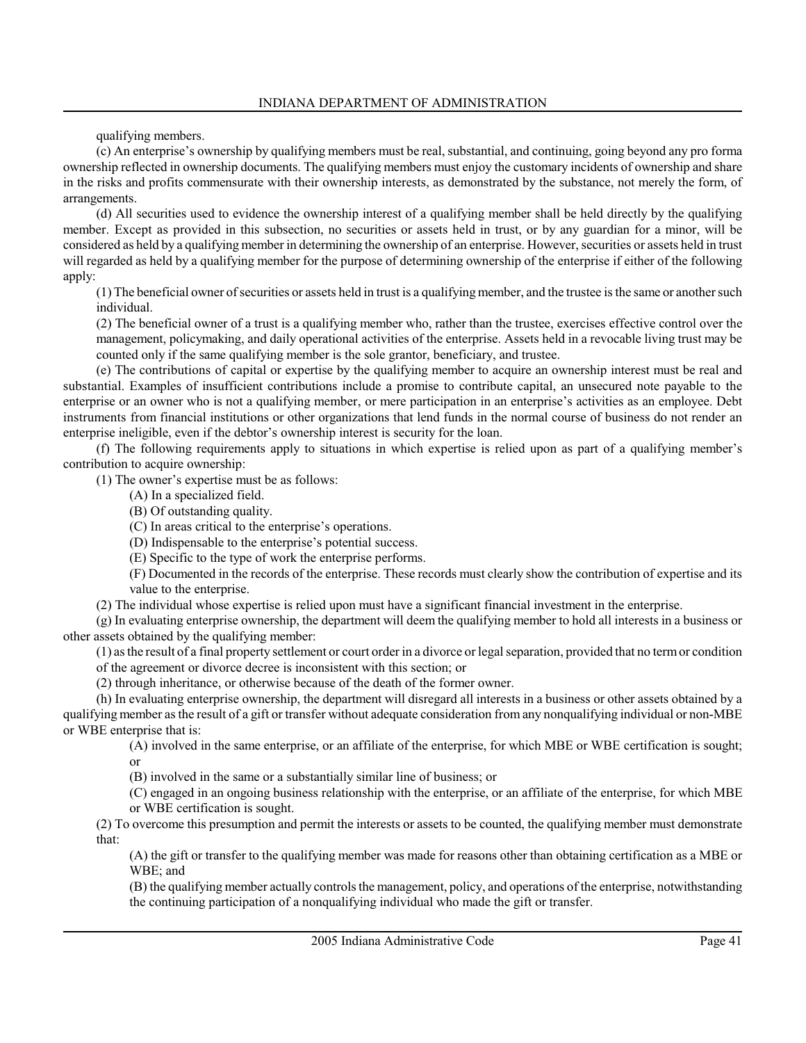qualifying members.

(c) An enterprise's ownership by qualifying members must be real, substantial, and continuing, going beyond any pro forma ownership reflected in ownership documents. The qualifying members must enjoy the customary incidents of ownership and share in the risks and profits commensurate with their ownership interests, as demonstrated by the substance, not merely the form, of arrangements.

(d) All securities used to evidence the ownership interest of a qualifying member shall be held directly by the qualifying member. Except as provided in this subsection, no securities or assets held in trust, or by any guardian for a minor, will be considered as held by a qualifying member in determining the ownership of an enterprise. However, securities or assets held in trust will regarded as held by a qualifying member for the purpose of determining ownership of the enterprise if either of the following apply:

(1) The beneficial owner of securities or assets held in trust is a qualifying member, and the trustee is the same or another such individual.

(2) The beneficial owner of a trust is a qualifying member who, rather than the trustee, exercises effective control over the management, policymaking, and daily operational activities of the enterprise. Assets held in a revocable living trust may be counted only if the same qualifying member is the sole grantor, beneficiary, and trustee.

(e) The contributions of capital or expertise by the qualifying member to acquire an ownership interest must be real and substantial. Examples of insufficient contributions include a promise to contribute capital, an unsecured note payable to the enterprise or an owner who is not a qualifying member, or mere participation in an enterprise's activities as an employee. Debt instruments from financial institutions or other organizations that lend funds in the normal course of business do not render an enterprise ineligible, even if the debtor's ownership interest is security for the loan.

(f) The following requirements apply to situations in which expertise is relied upon as part of a qualifying member's contribution to acquire ownership:

(1) The owner's expertise must be as follows:

- (A) In a specialized field.
- (B) Of outstanding quality.
- (C) In areas critical to the enterprise's operations.
- (D) Indispensable to the enterprise's potential success.
- (E) Specific to the type of work the enterprise performs.

(F) Documented in the records of the enterprise. These records must clearly show the contribution of expertise and its value to the enterprise.

(2) The individual whose expertise is relied upon must have a significant financial investment in the enterprise.

(g) In evaluating enterprise ownership, the department will deem the qualifying member to hold all interests in a business or other assets obtained by the qualifying member:

(1) as the result of a final property settlement or court order in a divorce or legal separation, provided that no term or condition of the agreement or divorce decree is inconsistent with this section; or

(2) through inheritance, or otherwise because of the death of the former owner.

(h) In evaluating enterprise ownership, the department will disregard all interests in a business or other assets obtained by a qualifying member as the result of a gift or transfer without adequate consideration from any nonqualifying individual or non-MBE or WBE enterprise that is:

(A) involved in the same enterprise, or an affiliate of the enterprise, for which MBE or WBE certification is sought; or

(B) involved in the same or a substantially similar line of business; or

(C) engaged in an ongoing business relationship with the enterprise, or an affiliate of the enterprise, for which MBE or WBE certification is sought.

(2) To overcome this presumption and permit the interests or assets to be counted, the qualifying member must demonstrate that:

(A) the gift or transfer to the qualifying member was made for reasons other than obtaining certification as a MBE or WBE; and

(B) the qualifying member actually controls the management, policy, and operations of the enterprise, notwithstanding the continuing participation of a nonqualifying individual who made the gift or transfer.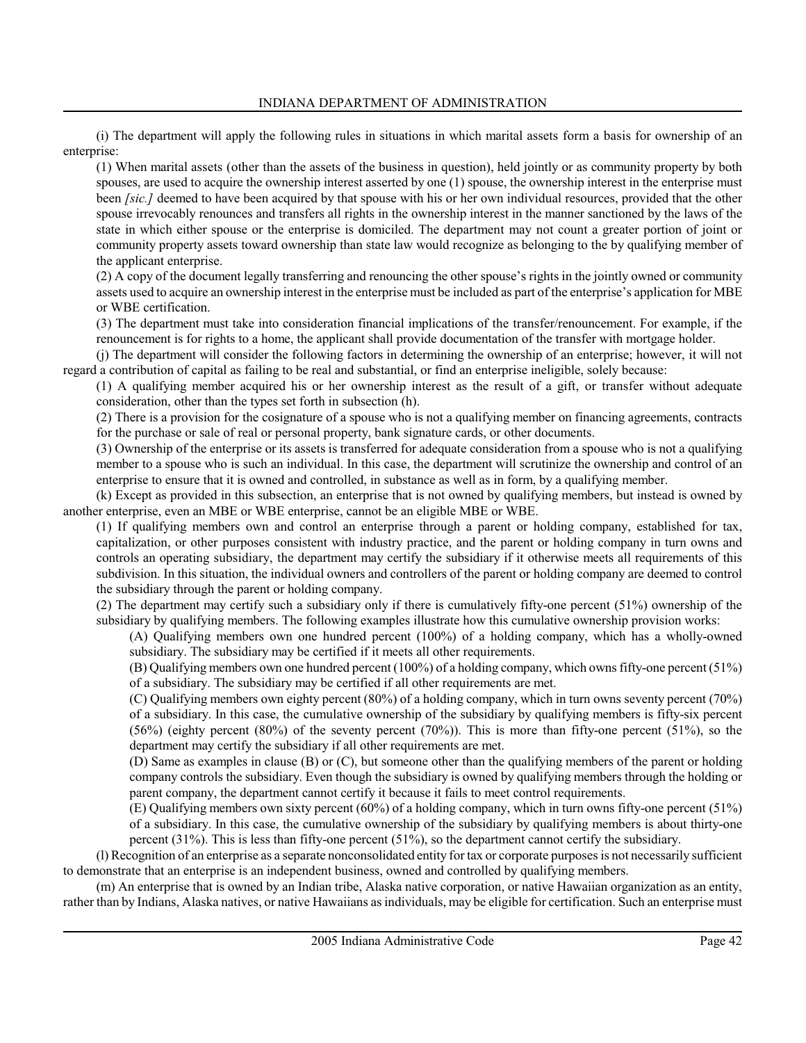(i) The department will apply the following rules in situations in which marital assets form a basis for ownership of an enterprise:

(1) When marital assets (other than the assets of the business in question), held jointly or as community property by both spouses, are used to acquire the ownership interest asserted by one (1) spouse, the ownership interest in the enterprise must been *[sic.]* deemed to have been acquired by that spouse with his or her own individual resources, provided that the other spouse irrevocably renounces and transfers all rights in the ownership interest in the manner sanctioned by the laws of the state in which either spouse or the enterprise is domiciled. The department may not count a greater portion of joint or community property assets toward ownership than state law would recognize as belonging to the by qualifying member of the applicant enterprise.

(2) A copy of the document legally transferring and renouncing the other spouse's rights in the jointly owned or community assets used to acquire an ownership interest in the enterprise must be included as part of the enterprise's application for MBE or WBE certification.

(3) The department must take into consideration financial implications of the transfer/renouncement. For example, if the renouncement is for rights to a home, the applicant shall provide documentation of the transfer with mortgage holder.

(j) The department will consider the following factors in determining the ownership of an enterprise; however, it will not regard a contribution of capital as failing to be real and substantial, or find an enterprise ineligible, solely because:

(1) A qualifying member acquired his or her ownership interest as the result of a gift, or transfer without adequate consideration, other than the types set forth in subsection (h).

(2) There is a provision for the cosignature of a spouse who is not a qualifying member on financing agreements, contracts for the purchase or sale of real or personal property, bank signature cards, or other documents.

(3) Ownership of the enterprise or its assets is transferred for adequate consideration from a spouse who is not a qualifying member to a spouse who is such an individual. In this case, the department will scrutinize the ownership and control of an enterprise to ensure that it is owned and controlled, in substance as well as in form, by a qualifying member.

(k) Except as provided in this subsection, an enterprise that is not owned by qualifying members, but instead is owned by another enterprise, even an MBE or WBE enterprise, cannot be an eligible MBE or WBE.

(1) If qualifying members own and control an enterprise through a parent or holding company, established for tax, capitalization, or other purposes consistent with industry practice, and the parent or holding company in turn owns and controls an operating subsidiary, the department may certify the subsidiary if it otherwise meets all requirements of this subdivision. In this situation, the individual owners and controllers of the parent or holding company are deemed to control the subsidiary through the parent or holding company.

(2) The department may certify such a subsidiary only if there is cumulatively fifty-one percent (51%) ownership of the subsidiary by qualifying members. The following examples illustrate how this cumulative ownership provision works:

(A) Qualifying members own one hundred percent (100%) of a holding company, which has a wholly-owned subsidiary. The subsidiary may be certified if it meets all other requirements.

(B) Qualifying members own one hundred percent (100%) of a holding company, which owns fifty-one percent (51%) of a subsidiary. The subsidiary may be certified if all other requirements are met.

(C) Qualifying members own eighty percent (80%) of a holding company, which in turn owns seventy percent (70%) of a subsidiary. In this case, the cumulative ownership of the subsidiary by qualifying members is fifty-six percent  $(56%)$  (eighty percent  $(80%)$  of the seventy percent  $(70%)$ ). This is more than fifty-one percent  $(51%)$ , so the department may certify the subsidiary if all other requirements are met.

(D) Same as examples in clause (B) or (C), but someone other than the qualifying members of the parent or holding company controls the subsidiary. Even though the subsidiary is owned by qualifying members through the holding or parent company, the department cannot certify it because it fails to meet control requirements.

(E) Qualifying members own sixty percent (60%) of a holding company, which in turn owns fifty-one percent (51%) of a subsidiary. In this case, the cumulative ownership of the subsidiary by qualifying members is about thirty-one percent (31%). This is less than fifty-one percent (51%), so the department cannot certify the subsidiary.

(l) Recognition of an enterprise as a separate nonconsolidated entity for tax or corporate purposes is not necessarily sufficient to demonstrate that an enterprise is an independent business, owned and controlled by qualifying members.

(m) An enterprise that is owned by an Indian tribe, Alaska native corporation, or native Hawaiian organization as an entity, rather than by Indians, Alaska natives, or native Hawaiians as individuals, may be eligible for certification. Such an enterprise must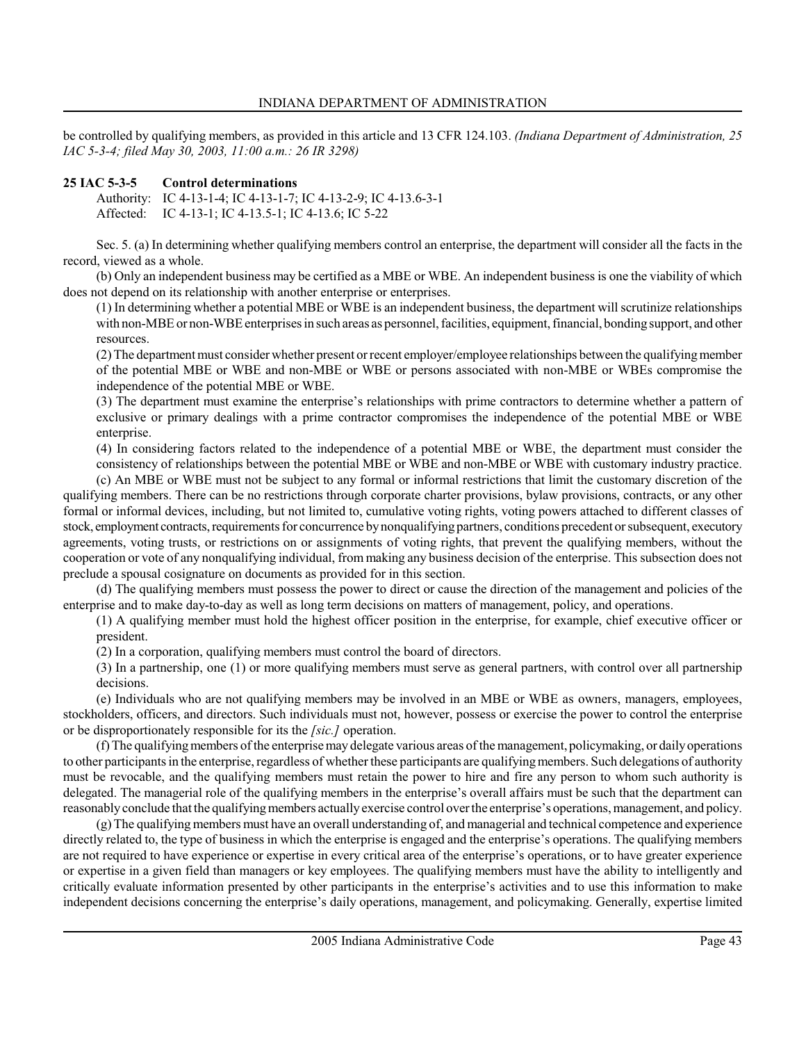be controlled by qualifying members, as provided in this article and 13 CFR 124.103. (Indiana Department of Administration, 25 IAC 5-3-4; filed May 30, 2003, 11:00 a.m.: 26 IR 3298)

### 25 IAC 5-3-5 Control determinations

Authority: IC 4-13-1-4; IC 4-13-1-7; IC 4-13-2-9; IC 4-13.6-3-1 Affected: IC 4-13-1; IC 4-13.5-1; IC 4-13.6; IC 5-22

Sec. 5. (a) In determining whether qualifying members control an enterprise, the department will consider all the facts in the record, viewed as a whole.

(b) Only an independent business may be certified as a MBE or WBE. An independent business is one the viability of which does not depend on its relationship with another enterprise or enterprises.

(1) In determining whether a potential MBE or WBE is an independent business, the department will scrutinize relationships with non-MBE or non-WBE enterprises in such areas as personnel, facilities, equipment, financial, bonding support, and other resources.

(2) The department must consider whether present or recent employer/employee relationships between the qualifying member of the potential MBE or WBE and non-MBE or WBE or persons associated with non-MBE or WBEs compromise the independence of the potential MBE or WBE.

(3) The department must examine the enterprise's relationships with prime contractors to determine whether a pattern of exclusive or primary dealings with a prime contractor compromises the independence of the potential MBE or WBE enterprise.

(4) In considering factors related to the independence of a potential MBE or WBE, the department must consider the consistency of relationships between the potential MBE or WBE and non-MBE or WBE with customary industry practice.

(c) An MBE or WBE must not be subject to any formal or informal restrictions that limit the customary discretion of the qualifying members. There can be no restrictions through corporate charter provisions, bylaw provisions, contracts, or any other formal or informal devices, including, but not limited to, cumulative voting rights, voting powers attached to different classes of stock, employment contracts, requirements for concurrence by nonqualifying partners, conditions precedent or subsequent, executory agreements, voting trusts, or restrictions on or assignments of voting rights, that prevent the qualifying members, without the cooperation or vote of any nonqualifying individual, from making any business decision of the enterprise. This subsection does not preclude a spousal cosignature on documents as provided for in this section.

(d) The qualifying members must possess the power to direct or cause the direction of the management and policies of the enterprise and to make day-to-day as well as long term decisions on matters of management, policy, and operations.

(1) A qualifying member must hold the highest officer position in the enterprise, for example, chief executive officer or president.

(2) In a corporation, qualifying members must control the board of directors.

(3) In a partnership, one (1) or more qualifying members must serve as general partners, with control over all partnership decisions.

(e) Individuals who are not qualifying members may be involved in an MBE or WBE as owners, managers, employees, stockholders, officers, and directors. Such individuals must not, however, possess or exercise the power to control the enterprise or be disproportionately responsible for its the [sic.] operation.

(f) The qualifying members of the enterprise may delegate various areas of the management, policymaking, or daily operations to other participants in the enterprise, regardless of whether these participants are qualifying members. Such delegations of authority must be revocable, and the qualifying members must retain the power to hire and fire any person to whom such authority is delegated. The managerial role of the qualifying members in the enterprise's overall affairs must be such that the department can reasonably conclude that the qualifying members actually exercise control over the enterprise's operations, management, and policy.

(g) The qualifying members must have an overall understanding of, and managerial and technical competence and experience directly related to, the type of business in which the enterprise is engaged and the enterprise's operations. The qualifying members are not required to have experience or expertise in every critical area of the enterprise's operations, or to have greater experience or expertise in a given field than managers or key employees. The qualifying members must have the ability to intelligently and critically evaluate information presented by other participants in the enterprise's activities and to use this information to make independent decisions concerning the enterprise's daily operations, management, and policymaking. Generally, expertise limited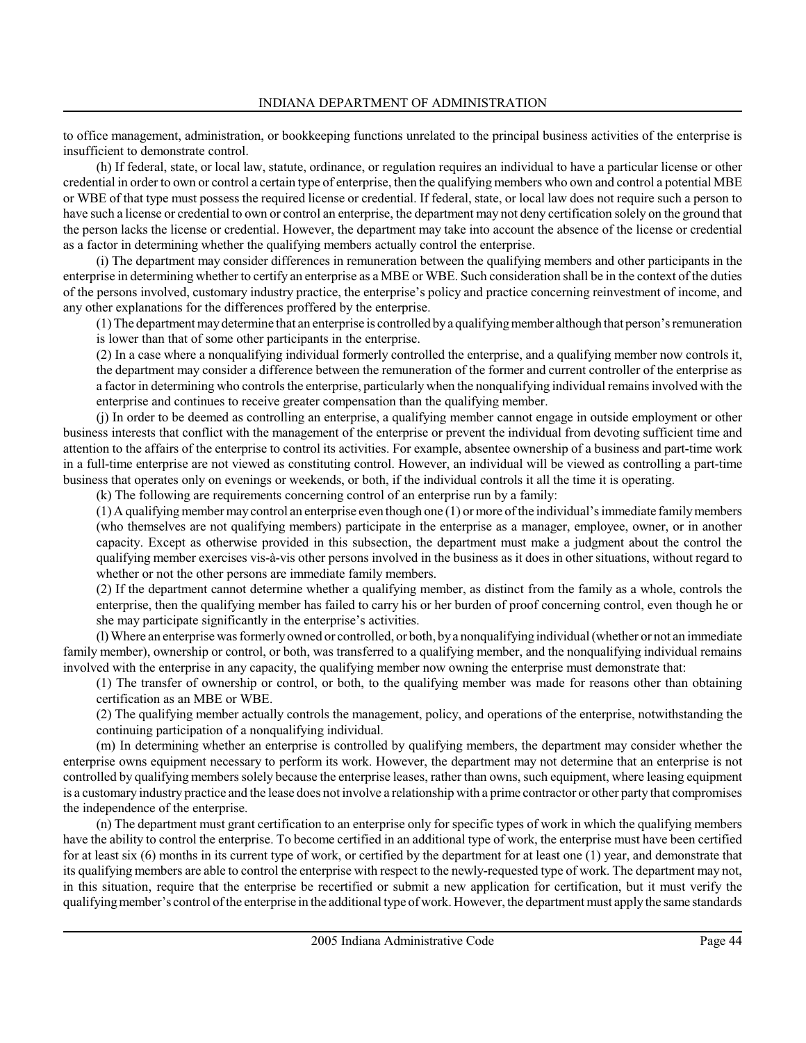to office management, administration, or bookkeeping functions unrelated to the principal business activities of the enterprise is insufficient to demonstrate control.

(h) If federal, state, or local law, statute, ordinance, or regulation requires an individual to have a particular license or other credential in order to own or control a certain type of enterprise, then the qualifying members who own and control a potential MBE or WBE of that type must possess the required license or credential. If federal, state, or local law does not require such a person to have such a license or credential to own or control an enterprise, the department may not deny certification solely on the ground that the person lacks the license or credential. However, the department may take into account the absence of the license or credential as a factor in determining whether the qualifying members actually control the enterprise.

(i) The department may consider differences in remuneration between the qualifying members and other participants in the enterprise in determining whether to certify an enterprise as a MBE or WBE. Such consideration shall be in the context of the duties of the persons involved, customary industry practice, the enterprise's policy and practice concerning reinvestment of income, and any other explanations for the differences proffered by the enterprise.

(1) The department may determine that an enterprise is controlled by a qualifying member although that person's remuneration is lower than that of some other participants in the enterprise.

(2) In a case where a nonqualifying individual formerly controlled the enterprise, and a qualifying member now controls it, the department may consider a difference between the remuneration of the former and current controller of the enterprise as a factor in determining who controls the enterprise, particularly when the nonqualifying individual remains involved with the enterprise and continues to receive greater compensation than the qualifying member.

(j) In order to be deemed as controlling an enterprise, a qualifying member cannot engage in outside employment or other business interests that conflict with the management of the enterprise or prevent the individual from devoting sufficient time and attention to the affairs of the enterprise to control its activities. For example, absentee ownership of a business and part-time work in a full-time enterprise are not viewed as constituting control. However, an individual will be viewed as controlling a part-time business that operates only on evenings or weekends, or both, if the individual controls it all the time it is operating.

(k) The following are requirements concerning control of an enterprise run by a family:

(1) A qualifying member may control an enterprise even though one (1) or more of the individual's immediate family members (who themselves are not qualifying members) participate in the enterprise as a manager, employee, owner, or in another capacity. Except as otherwise provided in this subsection, the department must make a judgment about the control the qualifying member exercises vis-à-vis other persons involved in the business as it does in other situations, without regard to whether or not the other persons are immediate family members.

(2) If the department cannot determine whether a qualifying member, as distinct from the family as a whole, controls the enterprise, then the qualifying member has failed to carry his or her burden of proof concerning control, even though he or she may participate significantly in the enterprise's activities.

(l) Where an enterprise was formerly owned or controlled, or both, by a nonqualifying individual (whether or not an immediate family member), ownership or control, or both, was transferred to a qualifying member, and the nonqualifying individual remains involved with the enterprise in any capacity, the qualifying member now owning the enterprise must demonstrate that:

(1) The transfer of ownership or control, or both, to the qualifying member was made for reasons other than obtaining certification as an MBE or WBE.

(2) The qualifying member actually controls the management, policy, and operations of the enterprise, notwithstanding the continuing participation of a nonqualifying individual.

(m) In determining whether an enterprise is controlled by qualifying members, the department may consider whether the enterprise owns equipment necessary to perform its work. However, the department may not determine that an enterprise is not controlled by qualifying members solely because the enterprise leases, rather than owns, such equipment, where leasing equipment is a customary industry practice and the lease does not involve a relationship with a prime contractor or other party that compromises the independence of the enterprise.

(n) The department must grant certification to an enterprise only for specific types of work in which the qualifying members have the ability to control the enterprise. To become certified in an additional type of work, the enterprise must have been certified for at least six (6) months in its current type of work, or certified by the department for at least one (1) year, and demonstrate that its qualifying members are able to control the enterprise with respect to the newly-requested type of work. The department may not, in this situation, require that the enterprise be recertified or submit a new application for certification, but it must verify the qualifying member's control of the enterprise in the additional type of work. However, the department must apply the same standards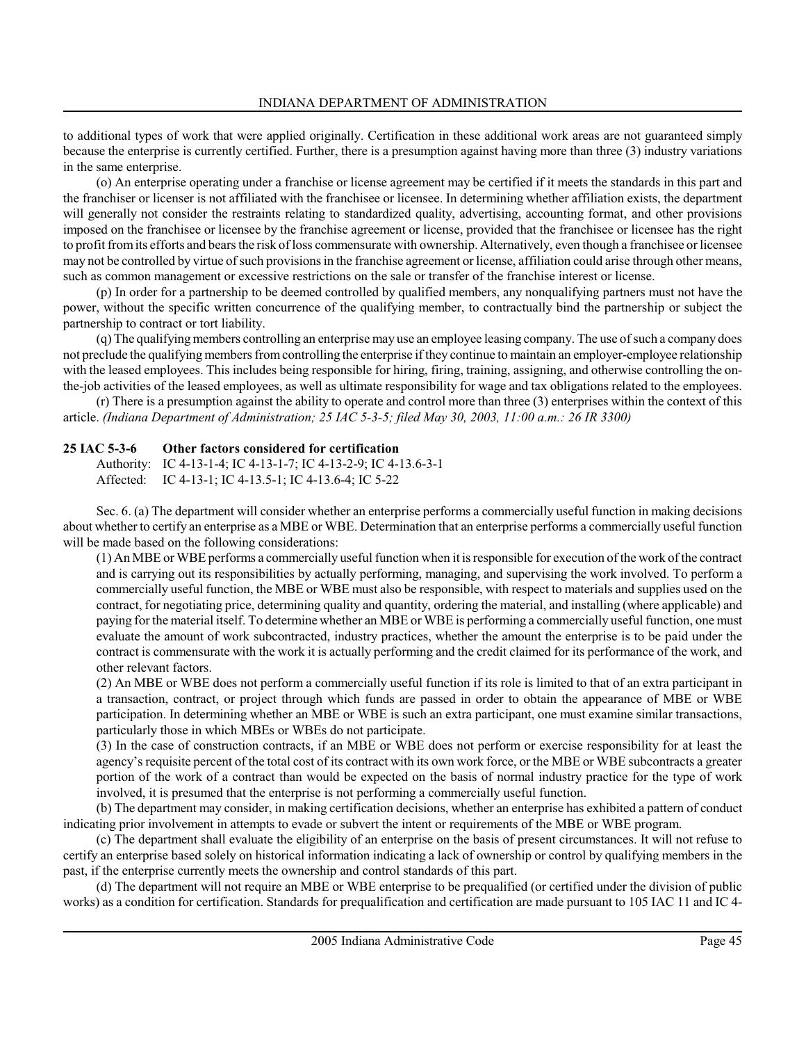to additional types of work that were applied originally. Certification in these additional work areas are not guaranteed simply because the enterprise is currently certified. Further, there is a presumption against having more than three (3) industry variations in the same enterprise.

(o) An enterprise operating under a franchise or license agreement may be certified if it meets the standards in this part and the franchiser or licenser is not affiliated with the franchisee or licensee. In determining whether affiliation exists, the department will generally not consider the restraints relating to standardized quality, advertising, accounting format, and other provisions imposed on the franchisee or licensee by the franchise agreement or license, provided that the franchisee or licensee has the right to profit from its efforts and bears the risk of loss commensurate with ownership. Alternatively, even though a franchisee or licensee may not be controlled by virtue of such provisions in the franchise agreement or license, affiliation could arise through other means, such as common management or excessive restrictions on the sale or transfer of the franchise interest or license.

(p) In order for a partnership to be deemed controlled by qualified members, any nonqualifying partners must not have the power, without the specific written concurrence of the qualifying member, to contractually bind the partnership or subject the partnership to contract or tort liability.

(q) The qualifying members controlling an enterprise may use an employee leasing company. The use of such a company does not preclude the qualifying members from controlling the enterprise if they continue to maintain an employer-employee relationship with the leased employees. This includes being responsible for hiring, firing, training, assigning, and otherwise controlling the onthe-job activities of the leased employees, as well as ultimate responsibility for wage and tax obligations related to the employees.

(r) There is a presumption against the ability to operate and control more than three (3) enterprises within the context of this article. (Indiana Department of Administration; 25 IAC 5-3-5; filed May 30, 2003, 11:00 a.m.: 26 IR 3300)

# 25 IAC 5-3-6 Other factors considered for certification

Authority: IC 4-13-1-4; IC 4-13-1-7; IC 4-13-2-9; IC 4-13.6-3-1 Affected: IC 4-13-1; IC 4-13.5-1; IC 4-13.6-4; IC 5-22

Sec. 6. (a) The department will consider whether an enterprise performs a commercially useful function in making decisions about whether to certify an enterprise as a MBE or WBE. Determination that an enterprise performs a commercially useful function will be made based on the following considerations:

(1) An MBE or WBE performs a commercially useful function when it is responsible for execution of the work of the contract and is carrying out its responsibilities by actually performing, managing, and supervising the work involved. To perform a commercially useful function, the MBE or WBE must also be responsible, with respect to materials and supplies used on the contract, for negotiating price, determining quality and quantity, ordering the material, and installing (where applicable) and paying for the material itself. To determine whether an MBE or WBE is performing a commercially useful function, one must evaluate the amount of work subcontracted, industry practices, whether the amount the enterprise is to be paid under the contract is commensurate with the work it is actually performing and the credit claimed for its performance of the work, and other relevant factors.

(2) An MBE or WBE does not perform a commercially useful function if its role is limited to that of an extra participant in a transaction, contract, or project through which funds are passed in order to obtain the appearance of MBE or WBE participation. In determining whether an MBE or WBE is such an extra participant, one must examine similar transactions, particularly those in which MBEs or WBEs do not participate.

(3) In the case of construction contracts, if an MBE or WBE does not perform or exercise responsibility for at least the agency's requisite percent of the total cost of its contract with its own work force, or the MBE or WBE subcontracts a greater portion of the work of a contract than would be expected on the basis of normal industry practice for the type of work involved, it is presumed that the enterprise is not performing a commercially useful function.

(b) The department may consider, in making certification decisions, whether an enterprise has exhibited a pattern of conduct indicating prior involvement in attempts to evade or subvert the intent or requirements of the MBE or WBE program.

(c) The department shall evaluate the eligibility of an enterprise on the basis of present circumstances. It will not refuse to certify an enterprise based solely on historical information indicating a lack of ownership or control by qualifying members in the past, if the enterprise currently meets the ownership and control standards of this part.

(d) The department will not require an MBE or WBE enterprise to be prequalified (or certified under the division of public works) as a condition for certification. Standards for prequalification and certification are made pursuant to 105 IAC 11 and IC 4-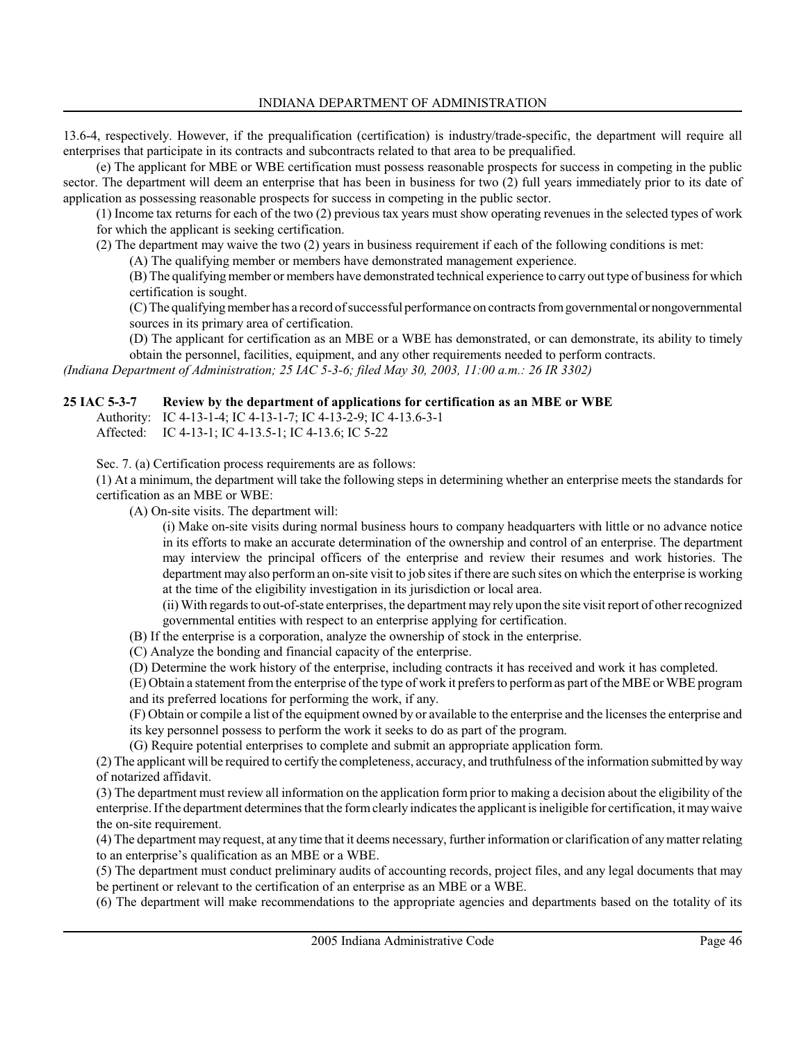13.6-4, respectively. However, if the prequalification (certification) is industry/trade-specific, the department will require all enterprises that participate in its contracts and subcontracts related to that area to be prequalified.

(e) The applicant for MBE or WBE certification must possess reasonable prospects for success in competing in the public sector. The department will deem an enterprise that has been in business for two (2) full years immediately prior to its date of application as possessing reasonable prospects for success in competing in the public sector.

(1) Income tax returns for each of the two (2) previous tax years must show operating revenues in the selected types of work for which the applicant is seeking certification.

(2) The department may waive the two (2) years in business requirement if each of the following conditions is met:

(A) The qualifying member or members have demonstrated management experience.

(B) The qualifying member or members have demonstrated technical experience to carry out type of business for which certification is sought.

(C) The qualifying member has a record of successful performance on contracts from governmental or nongovernmental sources in its primary area of certification.

(D) The applicant for certification as an MBE or a WBE has demonstrated, or can demonstrate, its ability to timely obtain the personnel, facilities, equipment, and any other requirements needed to perform contracts.

(Indiana Department of Administration; 25 IAC 5-3-6; filed May 30, 2003, 11:00 a.m.: 26 IR 3302)

### 25 IAC 5-3-7 Review by the department of applications for certification as an MBE or WBE

Authority: IC 4-13-1-4; IC 4-13-1-7; IC 4-13-2-9; IC 4-13.6-3-1 Affected: IC 4-13-1; IC 4-13.5-1; IC 4-13.6; IC 5-22

Sec. 7. (a) Certification process requirements are as follows:

(1) At a minimum, the department will take the following steps in determining whether an enterprise meets the standards for certification as an MBE or WBE:

(A) On-site visits. The department will:

(i) Make on-site visits during normal business hours to company headquarters with little or no advance notice in its efforts to make an accurate determination of the ownership and control of an enterprise. The department may interview the principal officers of the enterprise and review their resumes and work histories. The department may also perform an on-site visit to job sites if there are such sites on which the enterprise is working at the time of the eligibility investigation in its jurisdiction or local area.

(ii) With regards to out-of-state enterprises, the department may rely upon the site visit report of other recognized governmental entities with respect to an enterprise applying for certification.

(B) If the enterprise is a corporation, analyze the ownership of stock in the enterprise.

(C) Analyze the bonding and financial capacity of the enterprise.

(D) Determine the work history of the enterprise, including contracts it has received and work it has completed.

(E) Obtain a statement from the enterprise of the type of work it prefers to perform as part of the MBE or WBE program and its preferred locations for performing the work, if any.

(F) Obtain or compile a list of the equipment owned by or available to the enterprise and the licenses the enterprise and its key personnel possess to perform the work it seeks to do as part of the program.

(G) Require potential enterprises to complete and submit an appropriate application form.

(2) The applicant will be required to certify the completeness, accuracy, and truthfulness of the information submitted by way of notarized affidavit.

(3) The department must review all information on the application form prior to making a decision about the eligibility of the enterprise. If the department determines that the form clearly indicates the applicant is ineligible for certification, it may waive the on-site requirement.

(4) The department may request, at any time that it deems necessary, further information or clarification of any matter relating to an enterprise's qualification as an MBE or a WBE.

(5) The department must conduct preliminary audits of accounting records, project files, and any legal documents that may be pertinent or relevant to the certification of an enterprise as an MBE or a WBE.

(6) The department will make recommendations to the appropriate agencies and departments based on the totality of its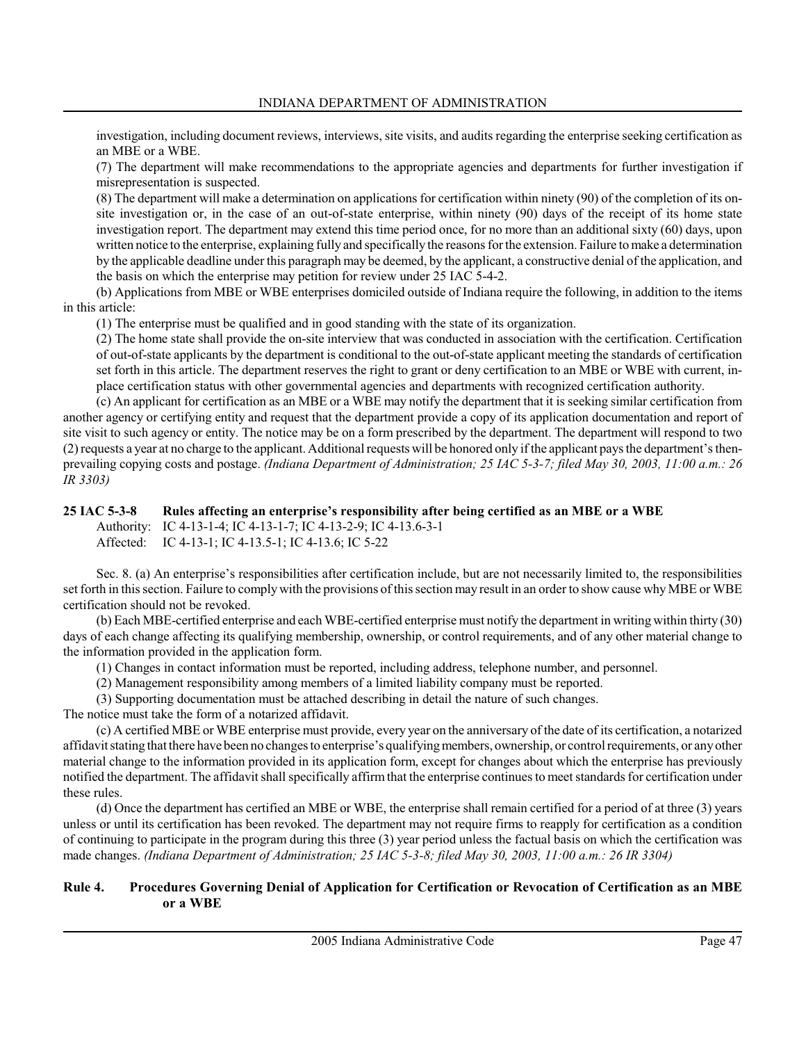investigation, including document reviews, interviews, site visits, and audits regarding the enterprise seeking certification as an MBE or a WBE.

(7) The department will make recommendations to the appropriate agencies and departments for further investigation if misrepresentation is suspected.

(8) The department will make a determination on applications for certification within ninety (90) of the completion of its onsite investigation or, in the case of an out-of-state enterprise, within ninety (90) days of the receipt of its home state investigation report. The department may extend this time period once, for no more than an additional sixty (60) days, upon written notice to the enterprise, explaining fully and specifically the reasons for the extension. Failure to make a determination by the applicable deadline under this paragraph may be deemed, by the applicant, a constructive denial of the application, and the basis on which the enterprise may petition for review under 25 IAC 5-4-2.

(b) Applications from MBE or WBE enterprises domiciled outside of Indiana require the following, in addition to the items in this article:

(1) The enterprise must be qualified and in good standing with the state of its organization.

(2) The home state shall provide the on-site interview that was conducted in association with the certification. Certification of out-of-state applicants by the department is conditional to the out-of-state applicant meeting the standards of certification set forth in this article. The department reserves the right to grant or deny certification to an MBE or WBE with current, inplace certification status with other governmental agencies and departments with recognized certification authority.

(c) An applicant for certification as an MBE or a WBE may notify the department that it is seeking similar certification from another agency or certifying entity and request that the department provide a copy of its application documentation and report of site visit to such agency or entity. The notice may be on a form prescribed by the department. The department will respond to two (2) requests a year at no charge to the applicant. Additional requests will be honored only if the applicant pays the department's thenprevailing copying costs and postage. (Indiana Department of Administration; 25 IAC 5-3-7; filed May 30, 2003, 11:00 a.m.: 26 IR 3303)

### 25 IAC 5-3-8 Rules affecting an enterprise's responsibility after being certified as an MBE or a WBE

Authority: IC 4-13-1-4; IC 4-13-1-7; IC 4-13-2-9; IC 4-13.6-3-1 Affected: IC 4-13-1; IC 4-13.5-1; IC 4-13.6; IC 5-22

Sec. 8. (a) An enterprise's responsibilities after certification include, but are not necessarily limited to, the responsibilities set forth in this section. Failure to comply with the provisions of this section may result in an order to show cause why MBE or WBE certification should not be revoked.

(b) Each MBE-certified enterprise and each WBE-certified enterprise must notify the department in writing within thirty (30) days of each change affecting its qualifying membership, ownership, or control requirements, and of any other material change to the information provided in the application form.

(1) Changes in contact information must be reported, including address, telephone number, and personnel.

(2) Management responsibility among members of a limited liability company must be reported.

(3) Supporting documentation must be attached describing in detail the nature of such changes.

The notice must take the form of a notarized affidavit.

(c) A certified MBE or WBE enterprise must provide, every year on the anniversary of the date of its certification, a notarized affidavit stating that there have been no changes to enterprise's qualifying members, ownership, or control requirements, or any other material change to the information provided in its application form, except for changes about which the enterprise has previously notified the department. The affidavit shall specifically affirm that the enterprise continues to meet standards for certification under these rules.

(d) Once the department has certified an MBE or WBE, the enterprise shall remain certified for a period of at three (3) years unless or until its certification has been revoked. The department may not require firms to reapply for certification as a condition of continuing to participate in the program during this three (3) year period unless the factual basis on which the certification was made changes. (Indiana Department of Administration; 25 IAC 5-3-8; filed May 30, 2003, 11:00 a.m.: 26 IR 3304)

### Rule 4. Procedures Governing Denial of Application for Certification or Revocation of Certification as an MBE or a WBE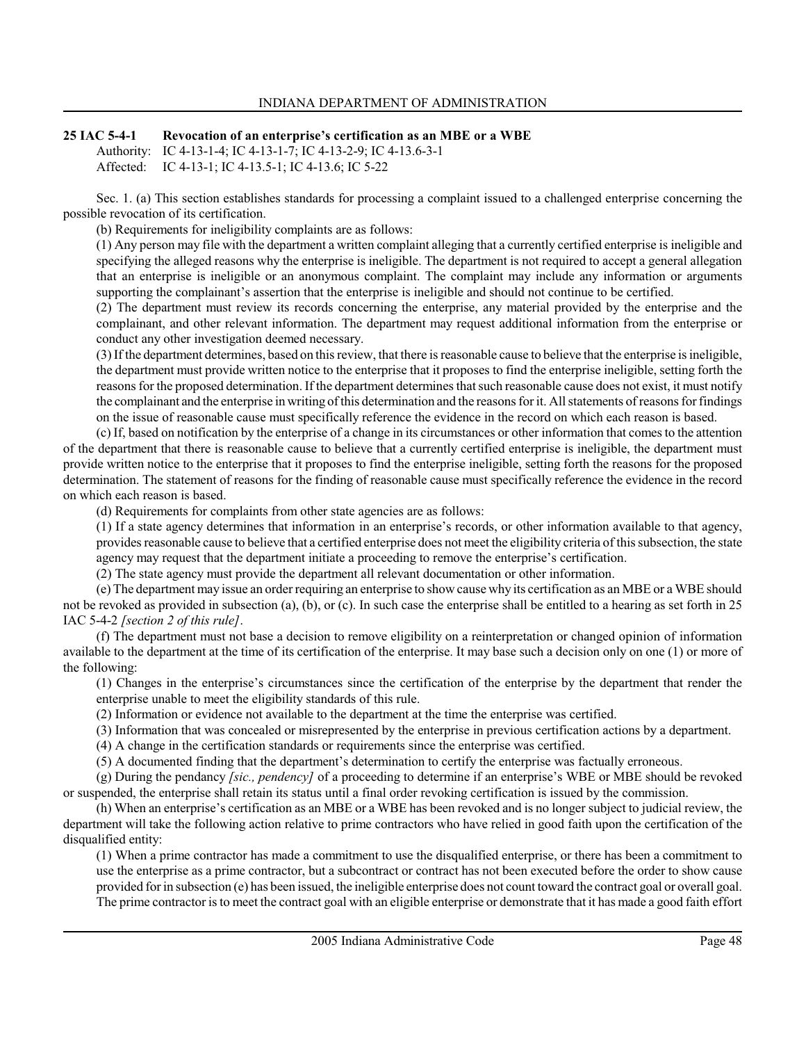#### 25 IAC 5-4-1 Revocation of an enterprise's certification as an MBE or a WBE Authority: IC 4-13-1-4; IC 4-13-1-7; IC 4-13-2-9; IC 4-13.6-3-1 Affected: IC 4-13-1; IC 4-13.5-1; IC 4-13.6; IC 5-22

Sec. 1. (a) This section establishes standards for processing a complaint issued to a challenged enterprise concerning the possible revocation of its certification.

(b) Requirements for ineligibility complaints are as follows:

(1) Any person may file with the department a written complaint alleging that a currently certified enterprise is ineligible and specifying the alleged reasons why the enterprise is ineligible. The department is not required to accept a general allegation that an enterprise is ineligible or an anonymous complaint. The complaint may include any information or arguments supporting the complainant's assertion that the enterprise is ineligible and should not continue to be certified.

(2) The department must review its records concerning the enterprise, any material provided by the enterprise and the complainant, and other relevant information. The department may request additional information from the enterprise or conduct any other investigation deemed necessary.

(3) If the department determines, based on this review, that there is reasonable cause to believe that the enterprise is ineligible, the department must provide written notice to the enterprise that it proposes to find the enterprise ineligible, setting forth the reasons for the proposed determination. If the department determines that such reasonable cause does not exist, it must notify the complainant and the enterprise in writing of this determination and the reasons for it. All statements of reasons for findings on the issue of reasonable cause must specifically reference the evidence in the record on which each reason is based.

(c) If, based on notification by the enterprise of a change in its circumstances or other information that comes to the attention of the department that there is reasonable cause to believe that a currently certified enterprise is ineligible, the department must provide written notice to the enterprise that it proposes to find the enterprise ineligible, setting forth the reasons for the proposed determination. The statement of reasons for the finding of reasonable cause must specifically reference the evidence in the record on which each reason is based.

(d) Requirements for complaints from other state agencies are as follows:

(1) If a state agency determines that information in an enterprise's records, or other information available to that agency, provides reasonable cause to believe that a certified enterprise does not meet the eligibility criteria of this subsection, the state agency may request that the department initiate a proceeding to remove the enterprise's certification.

(2) The state agency must provide the department all relevant documentation or other information.

(e) The department may issue an order requiring an enterprise to show cause why its certification as an MBE or a WBE should not be revoked as provided in subsection (a), (b), or (c). In such case the enterprise shall be entitled to a hearing as set forth in 25 IAC 5-4-2 [section 2 of this rule].

(f) The department must not base a decision to remove eligibility on a reinterpretation or changed opinion of information available to the department at the time of its certification of the enterprise. It may base such a decision only on one (1) or more of the following:

(1) Changes in the enterprise's circumstances since the certification of the enterprise by the department that render the enterprise unable to meet the eligibility standards of this rule.

(2) Information or evidence not available to the department at the time the enterprise was certified.

(3) Information that was concealed or misrepresented by the enterprise in previous certification actions by a department.

(4) A change in the certification standards or requirements since the enterprise was certified.

(5) A documented finding that the department's determination to certify the enterprise was factually erroneous.

(g) During the pendancy *[sic., pendency]* of a proceeding to determine if an enterprise's WBE or MBE should be revoked or suspended, the enterprise shall retain its status until a final order revoking certification is issued by the commission.

(h) When an enterprise's certification as an MBE or a WBE has been revoked and is no longer subject to judicial review, the department will take the following action relative to prime contractors who have relied in good faith upon the certification of the disqualified entity:

(1) When a prime contractor has made a commitment to use the disqualified enterprise, or there has been a commitment to use the enterprise as a prime contractor, but a subcontract or contract has not been executed before the order to show cause provided for in subsection (e) has been issued, the ineligible enterprise does not count toward the contract goal or overall goal. The prime contractor is to meet the contract goal with an eligible enterprise or demonstrate that it has made a good faith effort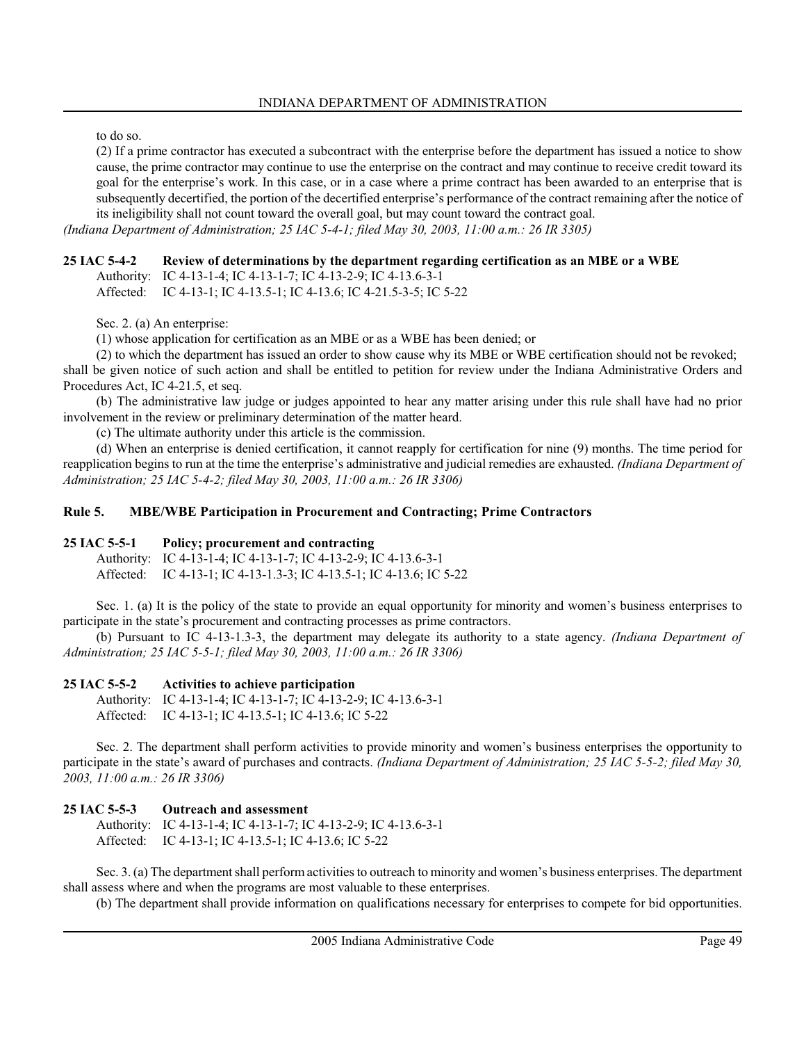to do so.

(2) If a prime contractor has executed a subcontract with the enterprise before the department has issued a notice to show cause, the prime contractor may continue to use the enterprise on the contract and may continue to receive credit toward its goal for the enterprise's work. In this case, or in a case where a prime contract has been awarded to an enterprise that is subsequently decertified, the portion of the decertified enterprise's performance of the contract remaining after the notice of its ineligibility shall not count toward the overall goal, but may count toward the contract goal.

(Indiana Department of Administration; 25 IAC 5-4-1; filed May 30, 2003, 11:00 a.m.: 26 IR 3305)

### 25 IAC 5-4-2 Review of determinations by the department regarding certification as an MBE or a WBE

Authority: IC 4-13-1-4; IC 4-13-1-7; IC 4-13-2-9; IC 4-13.6-3-1 Affected: IC 4-13-1; IC 4-13.5-1; IC 4-13.6; IC 4-21.5-3-5; IC 5-22

Sec. 2. (a) An enterprise:

(1) whose application for certification as an MBE or as a WBE has been denied; or

(2) to which the department has issued an order to show cause why its MBE or WBE certification should not be revoked; shall be given notice of such action and shall be entitled to petition for review under the Indiana Administrative Orders and Procedures Act, IC 4-21.5, et seq.

(b) The administrative law judge or judges appointed to hear any matter arising under this rule shall have had no prior involvement in the review or preliminary determination of the matter heard.

(c) The ultimate authority under this article is the commission.

(d) When an enterprise is denied certification, it cannot reapply for certification for nine (9) months. The time period for reapplication begins to run at the time the enterprise's administrative and judicial remedies are exhausted. (Indiana Department of Administration; 25 IAC 5-4-2; filed May 30, 2003, 11:00 a.m.: 26 IR 3306)

#### Rule 5. MBE/WBE Participation in Procurement and Contracting; Prime Contractors

#### 25 IAC 5-5-1 Policy; procurement and contracting

Authority: IC 4-13-1-4; IC 4-13-1-7; IC 4-13-2-9; IC 4-13.6-3-1 Affected: IC 4-13-1; IC 4-13-1.3-3; IC 4-13.5-1; IC 4-13.6; IC 5-22

Sec. 1. (a) It is the policy of the state to provide an equal opportunity for minority and women's business enterprises to participate in the state's procurement and contracting processes as prime contractors.

(b) Pursuant to IC 4-13-1.3-3, the department may delegate its authority to a state agency. *(Indiana Department of* Administration; 25 IAC 5-5-1; filed May 30, 2003, 11:00 a.m.: 26 IR 3306)

#### 25 IAC 5-5-2 Activities to achieve participation

Authority: IC 4-13-1-4; IC 4-13-1-7; IC 4-13-2-9; IC 4-13.6-3-1 Affected: IC 4-13-1; IC 4-13.5-1; IC 4-13.6; IC 5-22

Sec. 2. The department shall perform activities to provide minority and women's business enterprises the opportunity to participate in the state's award of purchases and contracts. *(Indiana Department of Administration; 25 IAC 5-5-2; filed May 30,* 2003, 11:00 a.m.: 26 IR 3306)

#### 25 IAC 5-5-3 Outreach and assessment

Authority: IC 4-13-1-4; IC 4-13-1-7; IC 4-13-2-9; IC 4-13.6-3-1 Affected: IC 4-13-1; IC 4-13.5-1; IC 4-13.6; IC 5-22

Sec. 3. (a) The department shall perform activities to outreach to minority and women's business enterprises. The department shall assess where and when the programs are most valuable to these enterprises.

(b) The department shall provide information on qualifications necessary for enterprises to compete for bid opportunities.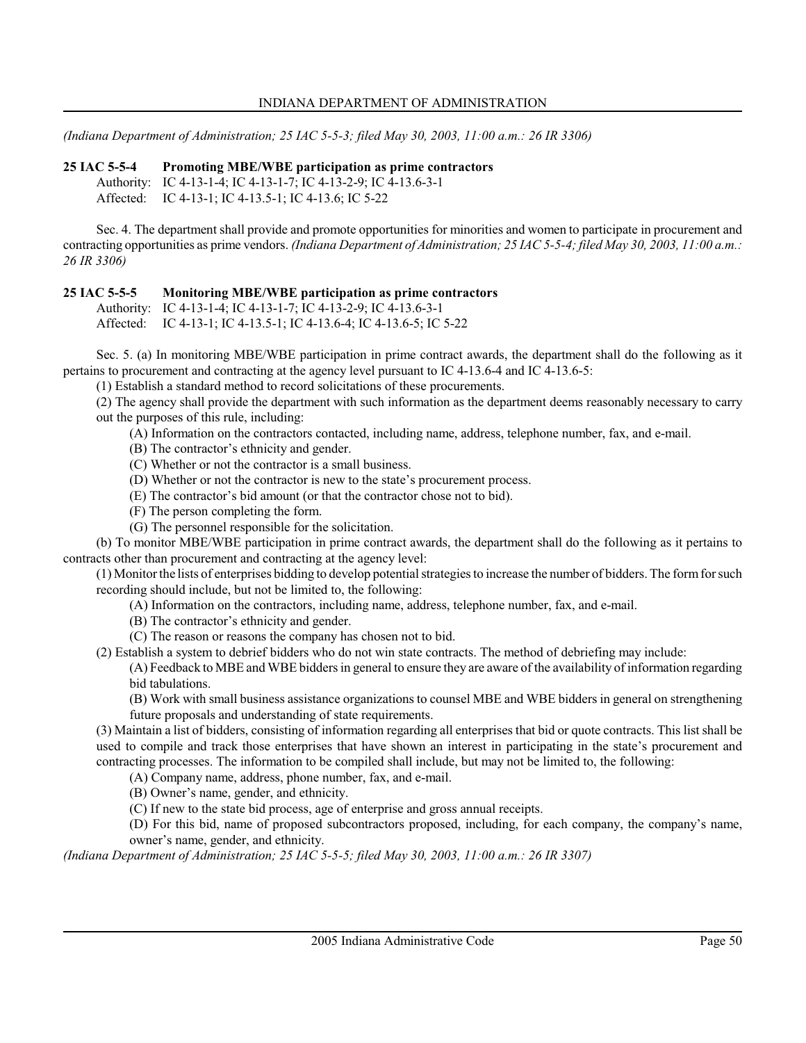(Indiana Department of Administration; 25 IAC 5-5-3; filed May 30, 2003, 11:00 a.m.: 26 IR 3306)

25 IAC 5-5-4 Promoting MBE/WBE participation as prime contractors

Authority: IC 4-13-1-4; IC 4-13-1-7; IC 4-13-2-9; IC 4-13.6-3-1 Affected: IC 4-13-1; IC 4-13.5-1; IC 4-13.6; IC 5-22

Sec. 4. The department shall provide and promote opportunities for minorities and women to participate in procurement and contracting opportunities as prime vendors. (Indiana Department of Administration; 25 IAC 5-5-4; filed May 30, 2003, 11:00 a.m.: 26 IR 3306)

### 25 IAC 5-5-5 Monitoring MBE/WBE participation as prime contractors

Authority: IC 4-13-1-4; IC 4-13-1-7; IC 4-13-2-9; IC 4-13.6-3-1 Affected: IC 4-13-1; IC 4-13.5-1; IC 4-13.6-4; IC 4-13.6-5; IC 5-22

Sec. 5. (a) In monitoring MBE/WBE participation in prime contract awards, the department shall do the following as it pertains to procurement and contracting at the agency level pursuant to IC 4-13.6-4 and IC 4-13.6-5:

(1) Establish a standard method to record solicitations of these procurements.

(2) The agency shall provide the department with such information as the department deems reasonably necessary to carry out the purposes of this rule, including:

(A) Information on the contractors contacted, including name, address, telephone number, fax, and e-mail.

- (B) The contractor's ethnicity and gender.
- (C) Whether or not the contractor is a small business.
- (D) Whether or not the contractor is new to the state's procurement process.
- (E) The contractor's bid amount (or that the contractor chose not to bid).
- (F) The person completing the form.
- (G) The personnel responsible for the solicitation.

(b) To monitor MBE/WBE participation in prime contract awards, the department shall do the following as it pertains to contracts other than procurement and contracting at the agency level:

(1) Monitor the lists of enterprises bidding to develop potential strategies to increase the number of bidders. The form for such recording should include, but not be limited to, the following:

- (A) Information on the contractors, including name, address, telephone number, fax, and e-mail.
- (B) The contractor's ethnicity and gender.
- (C) The reason or reasons the company has chosen not to bid.

(2) Establish a system to debrief bidders who do not win state contracts. The method of debriefing may include:

(A) Feedback to MBE and WBE bidders in general to ensure they are aware of the availability of information regarding bid tabulations.

(B) Work with small business assistance organizations to counsel MBE and WBE bidders in general on strengthening future proposals and understanding of state requirements.

(3) Maintain a list of bidders, consisting of information regarding all enterprises that bid or quote contracts. This list shall be used to compile and track those enterprises that have shown an interest in participating in the state's procurement and contracting processes. The information to be compiled shall include, but may not be limited to, the following:

(A) Company name, address, phone number, fax, and e-mail.

(B) Owner's name, gender, and ethnicity.

(C) If new to the state bid process, age of enterprise and gross annual receipts.

(D) For this bid, name of proposed subcontractors proposed, including, for each company, the company's name, owner's name, gender, and ethnicity.

(Indiana Department of Administration; 25 IAC 5-5-5; filed May 30, 2003, 11:00 a.m.: 26 IR 3307)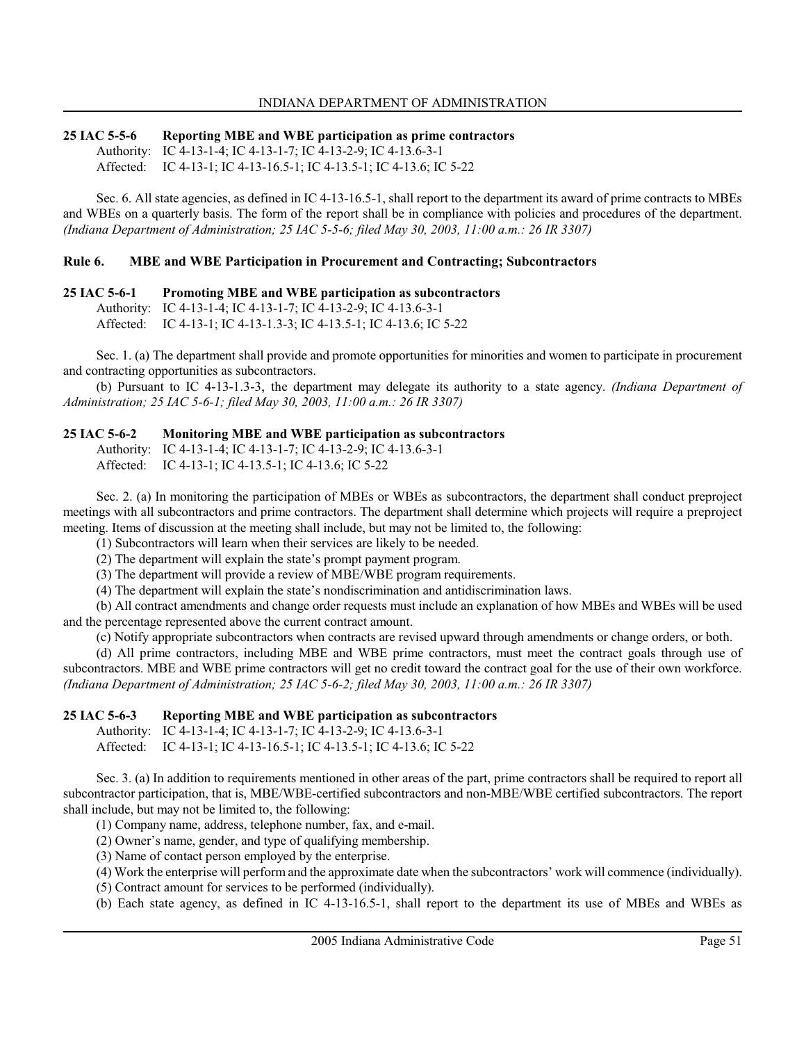#### 25 IAC 5-5-6 Reporting MBE and WBE participation as prime contractors Authority: IC 4-13-1-4; IC 4-13-1-7; IC 4-13-2-9; IC 4-13.6-3-1 Affected: IC 4-13-1; IC 4-13-16.5-1; IC 4-13.5-1; IC 4-13.6; IC 5-22

Sec. 6. All state agencies, as defined in IC 4-13-16.5-1, shall report to the department its award of prime contracts to MBEs and WBEs on a quarterly basis. The form of the report shall be in compliance with policies and procedures of the department. (Indiana Department of Administration; 25 IAC 5-5-6; filed May 30, 2003, 11:00 a.m.: 26 IR 3307)

### Rule 6. MBE and WBE Participation in Procurement and Contracting; Subcontractors

### 25 IAC 5-6-1 Promoting MBE and WBE participation as subcontractors

Authority: IC 4-13-1-4; IC 4-13-1-7; IC 4-13-2-9; IC 4-13.6-3-1

Affected: IC 4-13-1; IC 4-13-1.3-3; IC 4-13.5-1; IC 4-13.6; IC 5-22

Sec. 1. (a) The department shall provide and promote opportunities for minorities and women to participate in procurement and contracting opportunities as subcontractors.

(b) Pursuant to IC 4-13-1.3-3, the department may delegate its authority to a state agency. (Indiana Department of Administration; 25 IAC 5-6-1; filed May 30, 2003, 11:00 a.m.: 26 IR 3307)

#### 25 IAC 5-6-2 Monitoring MBE and WBE participation as subcontractors

Authority: IC 4-13-1-4; IC 4-13-1-7; IC 4-13-2-9; IC 4-13.6-3-1

Affected: IC 4-13-1; IC 4-13.5-1; IC 4-13.6; IC 5-22

Sec. 2. (a) In monitoring the participation of MBEs or WBEs as subcontractors, the department shall conduct preproject meetings with all subcontractors and prime contractors. The department shall determine which projects will require a preproject meeting. Items of discussion at the meeting shall include, but may not be limited to, the following:

(1) Subcontractors will learn when their services are likely to be needed.

(2) The department will explain the state's prompt payment program.

(3) The department will provide a review of MBE/WBE program requirements.

(4) The department will explain the state's nondiscrimination and antidiscrimination laws.

(b) All contract amendments and change order requests must include an explanation of how MBEs and WBEs will be used and the percentage represented above the current contract amount.

(c) Notify appropriate subcontractors when contracts are revised upward through amendments or change orders, or both.

(d) All prime contractors, including MBE and WBE prime contractors, must meet the contract goals through use of subcontractors. MBE and WBE prime contractors will get no credit toward the contract goal for the use of their own workforce. (Indiana Department of Administration; 25 IAC 5-6-2; filed May 30, 2003, 11:00 a.m.: 26 IR 3307)

#### 25 IAC 5-6-3 Reporting MBE and WBE participation as subcontractors

Authority: IC 4-13-1-4; IC 4-13-1-7; IC 4-13-2-9; IC 4-13.6-3-1 Affected: IC 4-13-1; IC 4-13-16.5-1; IC 4-13.5-1; IC 4-13.6; IC 5-22

Sec. 3. (a) In addition to requirements mentioned in other areas of the part, prime contractors shall be required to report all subcontractor participation, that is, MBE/WBE-certified subcontractors and non-MBE/WBE certified subcontractors. The report shall include, but may not be limited to, the following:

(1) Company name, address, telephone number, fax, and e-mail.

(2) Owner's name, gender, and type of qualifying membership.

(3) Name of contact person employed by the enterprise.

(4) Work the enterprise will perform and the approximate date when the subcontractors' work will commence (individually).

(5) Contract amount for services to be performed (individually).

(b) Each state agency, as defined in IC 4-13-16.5-1, shall report to the department its use of MBEs and WBEs as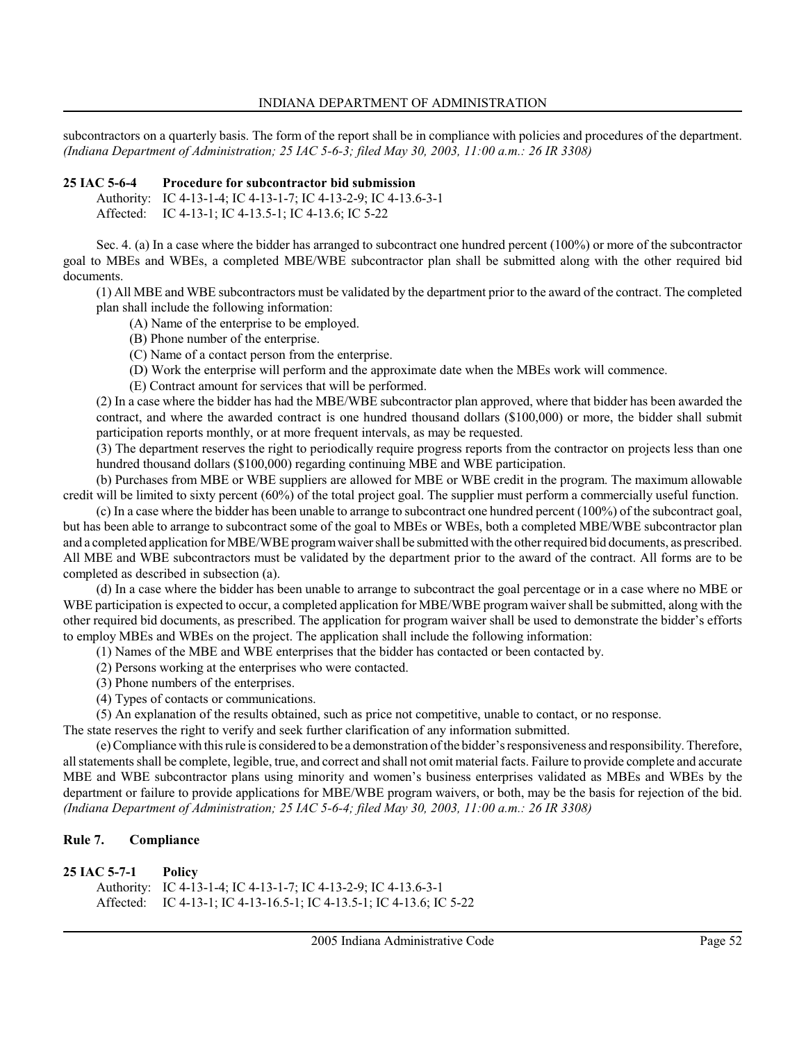subcontractors on a quarterly basis. The form of the report shall be in compliance with policies and procedures of the department. (Indiana Department of Administration; 25 IAC 5-6-3; filed May 30, 2003, 11:00 a.m.: 26 IR 3308)

#### 25 IAC 5-6-4 Procedure for subcontractor bid submission

Authority: IC 4-13-1-4; IC 4-13-1-7; IC 4-13-2-9; IC 4-13.6-3-1 Affected: IC 4-13-1; IC 4-13.5-1; IC 4-13.6; IC 5-22

Sec. 4. (a) In a case where the bidder has arranged to subcontract one hundred percent (100%) or more of the subcontractor goal to MBEs and WBEs, a completed MBE/WBE subcontractor plan shall be submitted along with the other required bid documents.

(1) All MBE and WBE subcontractors must be validated by the department prior to the award of the contract. The completed plan shall include the following information:

- (A) Name of the enterprise to be employed.
- (B) Phone number of the enterprise.
- (C) Name of a contact person from the enterprise.
- (D) Work the enterprise will perform and the approximate date when the MBEs work will commence.
- (E) Contract amount for services that will be performed.

(2) In a case where the bidder has had the MBE/WBE subcontractor plan approved, where that bidder has been awarded the contract, and where the awarded contract is one hundred thousand dollars (\$100,000) or more, the bidder shall submit participation reports monthly, or at more frequent intervals, as may be requested.

(3) The department reserves the right to periodically require progress reports from the contractor on projects less than one hundred thousand dollars (\$100,000) regarding continuing MBE and WBE participation.

(b) Purchases from MBE or WBE suppliers are allowed for MBE or WBE credit in the program. The maximum allowable credit will be limited to sixty percent (60%) of the total project goal. The supplier must perform a commercially useful function.

(c) In a case where the bidder has been unable to arrange to subcontract one hundred percent (100%) of the subcontract goal, but has been able to arrange to subcontract some of the goal to MBEs or WBEs, both a completed MBE/WBE subcontractor plan and a completed application for MBE/WBE program waiver shall be submitted with the other required bid documents, as prescribed. All MBE and WBE subcontractors must be validated by the department prior to the award of the contract. All forms are to be completed as described in subsection (a).

(d) In a case where the bidder has been unable to arrange to subcontract the goal percentage or in a case where no MBE or WBE participation is expected to occur, a completed application for MBE/WBE program waiver shall be submitted, along with the other required bid documents, as prescribed. The application for program waiver shall be used to demonstrate the bidder's efforts to employ MBEs and WBEs on the project. The application shall include the following information:

(1) Names of the MBE and WBE enterprises that the bidder has contacted or been contacted by.

- (2) Persons working at the enterprises who were contacted.
- (3) Phone numbers of the enterprises.
- (4) Types of contacts or communications.

(5) An explanation of the results obtained, such as price not competitive, unable to contact, or no response.

The state reserves the right to verify and seek further clarification of any information submitted.

(e) Compliance with this rule is considered to be a demonstration of the bidder's responsiveness and responsibility. Therefore, all statements shall be complete, legible, true, and correct and shall not omit material facts. Failure to provide complete and accurate MBE and WBE subcontractor plans using minority and women's business enterprises validated as MBEs and WBEs by the department or failure to provide applications for MBE/WBE program waivers, or both, may be the basis for rejection of the bid. (Indiana Department of Administration; 25 IAC 5-6-4; filed May 30, 2003, 11:00 a.m.: 26 IR 3308)

### Rule 7. Compliance

| 25 IAC 5-7-1 | Policy                                                               |
|--------------|----------------------------------------------------------------------|
|              | Authority: IC 4-13-1-4; IC 4-13-1-7; IC 4-13-2-9; IC 4-13.6-3-1      |
|              | Affected: IC 4-13-1; IC 4-13-16.5-1; IC 4-13.5-1; IC 4-13.6; IC 5-22 |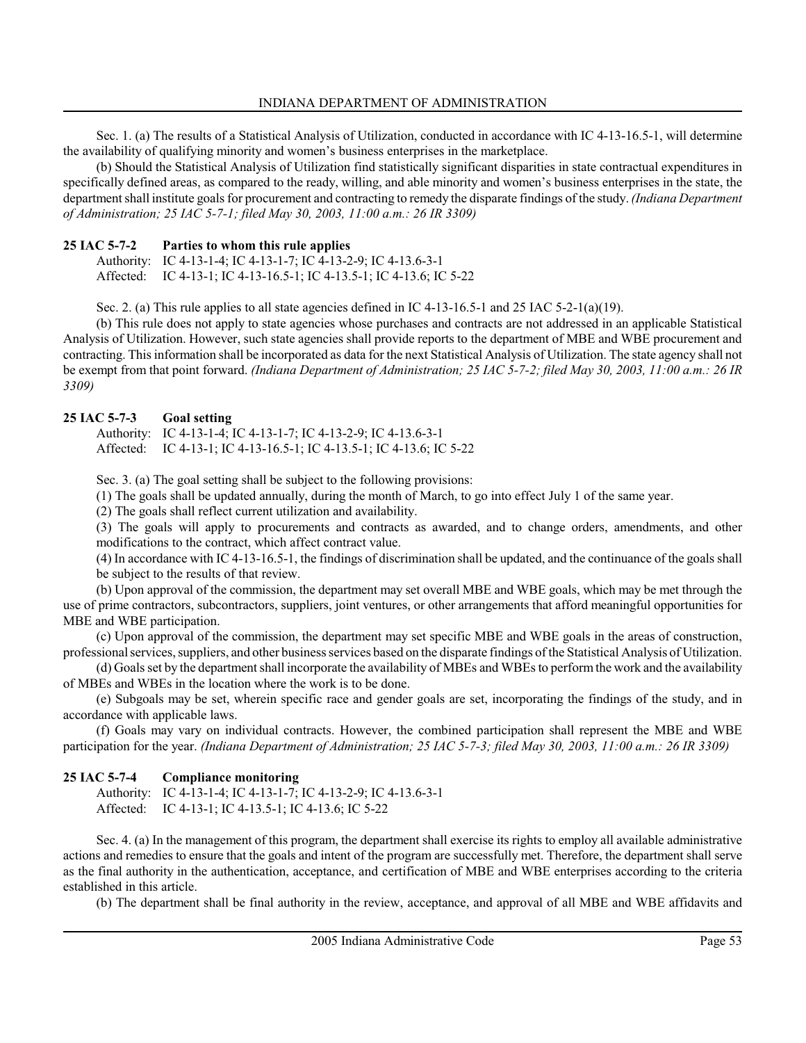Sec. 1. (a) The results of a Statistical Analysis of Utilization, conducted in accordance with IC 4-13-16.5-1, will determine the availability of qualifying minority and women's business enterprises in the marketplace.

(b) Should the Statistical Analysis of Utilization find statistically significant disparities in state contractual expenditures in specifically defined areas, as compared to the ready, willing, and able minority and women's business enterprises in the state, the department shall institute goals for procurement and contracting to remedy the disparate findings of the study. *(Indiana Department*) of Administration; 25 IAC 5-7-1; filed May 30, 2003, 11:00 a.m.: 26 IR 3309)

# 25 IAC 5-7-2 Parties to whom this rule applies

Authority: IC 4-13-1-4; IC 4-13-1-7; IC 4-13-2-9; IC 4-13.6-3-1 Affected: IC 4-13-1; IC 4-13-16.5-1; IC 4-13.5-1; IC 4-13.6; IC 5-22

Sec. 2. (a) This rule applies to all state agencies defined in IC 4-13-16.5-1 and 25 IAC 5-2-1(a)(19).

(b) This rule does not apply to state agencies whose purchases and contracts are not addressed in an applicable Statistical Analysis of Utilization. However, such state agencies shall provide reports to the department of MBE and WBE procurement and contracting. This information shall be incorporated as data for the next Statistical Analysis of Utilization. The state agency shall not be exempt from that point forward. (Indiana Department of Administration; 25 IAC 5-7-2; filed May 30, 2003, 11:00 a.m.: 26 IR 3309)

# 25 IAC 5-7-3 Goal setting

Authority: IC 4-13-1-4; IC 4-13-1-7; IC 4-13-2-9; IC 4-13.6-3-1 Affected: IC 4-13-1; IC 4-13-16.5-1; IC 4-13.5-1; IC 4-13.6; IC 5-22

Sec. 3. (a) The goal setting shall be subject to the following provisions:

(1) The goals shall be updated annually, during the month of March, to go into effect July 1 of the same year.

(2) The goals shall reflect current utilization and availability.

(3) The goals will apply to procurements and contracts as awarded, and to change orders, amendments, and other modifications to the contract, which affect contract value.

(4) In accordance with IC 4-13-16.5-1, the findings of discrimination shall be updated, and the continuance of the goals shall be subject to the results of that review.

(b) Upon approval of the commission, the department may set overall MBE and WBE goals, which may be met through the use of prime contractors, subcontractors, suppliers, joint ventures, or other arrangements that afford meaningful opportunities for MBE and WBE participation.

(c) Upon approval of the commission, the department may set specific MBE and WBE goals in the areas of construction, professional services, suppliers, and other business services based on the disparate findings of the Statistical Analysis of Utilization.

(d) Goals set by the department shall incorporate the availability of MBEs and WBEs to perform the work and the availability of MBEs and WBEs in the location where the work is to be done.

(e) Subgoals may be set, wherein specific race and gender goals are set, incorporating the findings of the study, and in accordance with applicable laws.

(f) Goals may vary on individual contracts. However, the combined participation shall represent the MBE and WBE participation for the year. (Indiana Department of Administration; 25 IAC 5-7-3; filed May 30, 2003, 11:00 a.m.: 26 IR 3309)

# 25 IAC 5-7-4 Compliance monitoring

Authority: IC 4-13-1-4; IC 4-13-1-7; IC 4-13-2-9; IC 4-13.6-3-1 Affected: IC 4-13-1; IC 4-13.5-1; IC 4-13.6; IC 5-22

Sec. 4. (a) In the management of this program, the department shall exercise its rights to employ all available administrative actions and remedies to ensure that the goals and intent of the program are successfully met. Therefore, the department shall serve as the final authority in the authentication, acceptance, and certification of MBE and WBE enterprises according to the criteria established in this article.

(b) The department shall be final authority in the review, acceptance, and approval of all MBE and WBE affidavits and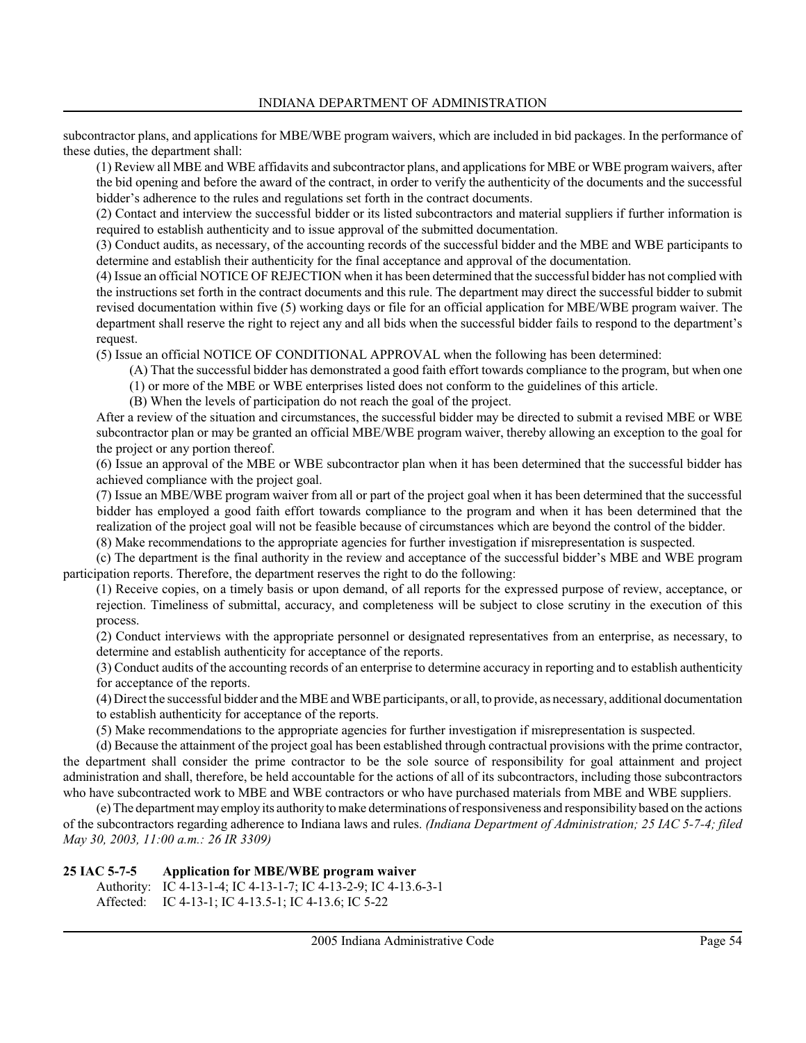subcontractor plans, and applications for MBE/WBE program waivers, which are included in bid packages. In the performance of these duties, the department shall:

(1) Review all MBE and WBE affidavits and subcontractor plans, and applications for MBE or WBE program waivers, after the bid opening and before the award of the contract, in order to verify the authenticity of the documents and the successful bidder's adherence to the rules and regulations set forth in the contract documents.

(2) Contact and interview the successful bidder or its listed subcontractors and material suppliers if further information is required to establish authenticity and to issue approval of the submitted documentation.

(3) Conduct audits, as necessary, of the accounting records of the successful bidder and the MBE and WBE participants to determine and establish their authenticity for the final acceptance and approval of the documentation.

(4) Issue an official NOTICE OF REJECTION when it has been determined that the successful bidder has not complied with the instructions set forth in the contract documents and this rule. The department may direct the successful bidder to submit revised documentation within five (5) working days or file for an official application for MBE/WBE program waiver. The department shall reserve the right to reject any and all bids when the successful bidder fails to respond to the department's request.

(5) Issue an official NOTICE OF CONDITIONAL APPROVAL when the following has been determined:

- (A) That the successful bidder has demonstrated a good faith effort towards compliance to the program, but when one
- (1) or more of the MBE or WBE enterprises listed does not conform to the guidelines of this article.

(B) When the levels of participation do not reach the goal of the project.

After a review of the situation and circumstances, the successful bidder may be directed to submit a revised MBE or WBE subcontractor plan or may be granted an official MBE/WBE program waiver, thereby allowing an exception to the goal for the project or any portion thereof.

(6) Issue an approval of the MBE or WBE subcontractor plan when it has been determined that the successful bidder has achieved compliance with the project goal.

(7) Issue an MBE/WBE program waiver from all or part of the project goal when it has been determined that the successful bidder has employed a good faith effort towards compliance to the program and when it has been determined that the realization of the project goal will not be feasible because of circumstances which are beyond the control of the bidder.

(8) Make recommendations to the appropriate agencies for further investigation if misrepresentation is suspected.

(c) The department is the final authority in the review and acceptance of the successful bidder's MBE and WBE program participation reports. Therefore, the department reserves the right to do the following:

(1) Receive copies, on a timely basis or upon demand, of all reports for the expressed purpose of review, acceptance, or rejection. Timeliness of submittal, accuracy, and completeness will be subject to close scrutiny in the execution of this process.

(2) Conduct interviews with the appropriate personnel or designated representatives from an enterprise, as necessary, to determine and establish authenticity for acceptance of the reports.

(3) Conduct audits of the accounting records of an enterprise to determine accuracy in reporting and to establish authenticity for acceptance of the reports.

(4) Direct the successful bidder and the MBE and WBE participants, or all, to provide, as necessary, additional documentation to establish authenticity for acceptance of the reports.

(5) Make recommendations to the appropriate agencies for further investigation if misrepresentation is suspected.

(d) Because the attainment of the project goal has been established through contractual provisions with the prime contractor, the department shall consider the prime contractor to be the sole source of responsibility for goal attainment and project administration and shall, therefore, be held accountable for the actions of all of its subcontractors, including those subcontractors who have subcontracted work to MBE and WBE contractors or who have purchased materials from MBE and WBE suppliers.

(e) The department may employ its authority to make determinations of responsiveness and responsibility based on the actions of the subcontractors regarding adherence to Indiana laws and rules. (Indiana Department of Administration; 25 IAC 5-7-4; filed May 30, 2003, 11:00 a.m.: 26 IR 3309)

```
25 IAC 5-7-5 Application for MBE/WBE program waiver
     Authority: IC 4-13-1-4; IC 4-13-1-7; IC 4-13-2-9; IC 4-13.6-3-1
     Affected: IC 4-13-1; IC 4-13.5-1; IC 4-13.6; IC 5-22
```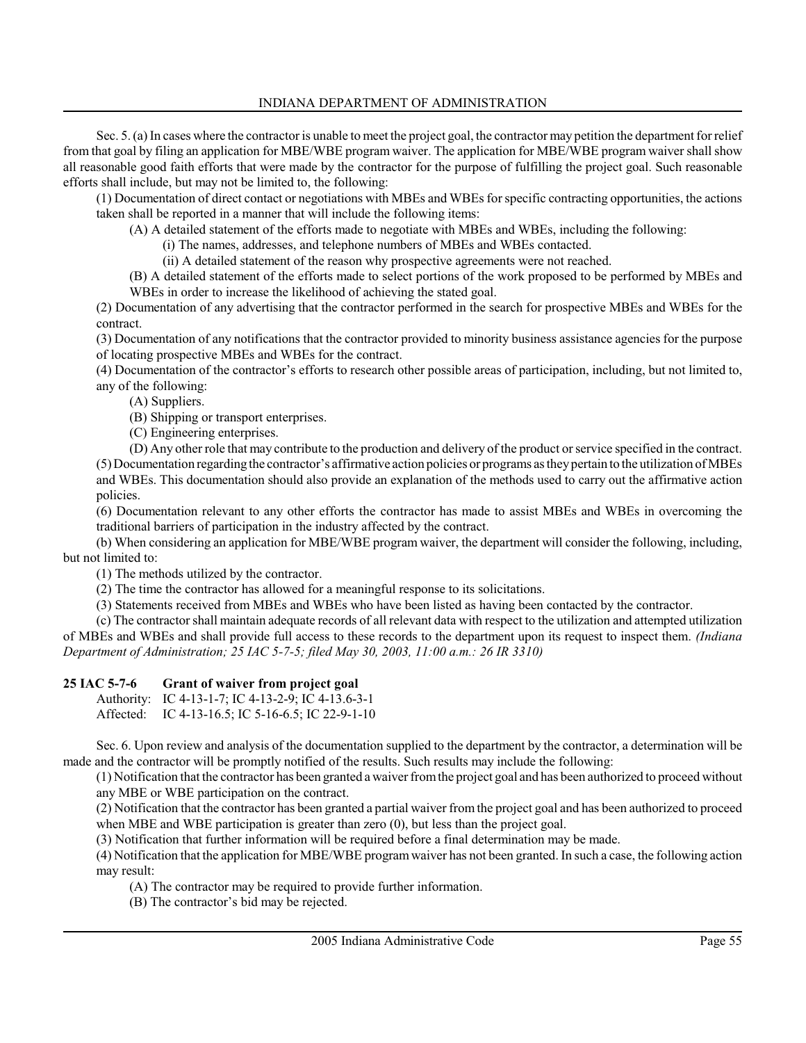Sec. 5. (a) In cases where the contractor is unable to meet the project goal, the contractor may petition the department for relief from that goal by filing an application for MBE/WBE program waiver. The application for MBE/WBE program waiver shall show all reasonable good faith efforts that were made by the contractor for the purpose of fulfilling the project goal. Such reasonable efforts shall include, but may not be limited to, the following:

(1) Documentation of direct contact or negotiations with MBEs and WBEs for specific contracting opportunities, the actions taken shall be reported in a manner that will include the following items:

(A) A detailed statement of the efforts made to negotiate with MBEs and WBEs, including the following:

(i) The names, addresses, and telephone numbers of MBEs and WBEs contacted.

(ii) A detailed statement of the reason why prospective agreements were not reached.

(B) A detailed statement of the efforts made to select portions of the work proposed to be performed by MBEs and WBEs in order to increase the likelihood of achieving the stated goal.

(2) Documentation of any advertising that the contractor performed in the search for prospective MBEs and WBEs for the contract.

(3) Documentation of any notifications that the contractor provided to minority business assistance agencies for the purpose of locating prospective MBEs and WBEs for the contract.

(4) Documentation of the contractor's efforts to research other possible areas of participation, including, but not limited to, any of the following:

(A) Suppliers.

(B) Shipping or transport enterprises.

(C) Engineering enterprises.

(D) Any other role that may contribute to the production and delivery of the product or service specified in the contract. (5) Documentation regarding the contractor's affirmative action policies or programs as they pertain to the utilization of MBEs

and WBEs. This documentation should also provide an explanation of the methods used to carry out the affirmative action policies.

(6) Documentation relevant to any other efforts the contractor has made to assist MBEs and WBEs in overcoming the traditional barriers of participation in the industry affected by the contract.

(b) When considering an application for MBE/WBE program waiver, the department will consider the following, including, but not limited to:

(1) The methods utilized by the contractor.

(2) The time the contractor has allowed for a meaningful response to its solicitations.

(3) Statements received from MBEs and WBEs who have been listed as having been contacted by the contractor.

(c) The contractor shall maintain adequate records of all relevant data with respect to the utilization and attempted utilization of MBEs and WBEs and shall provide full access to these records to the department upon its request to inspect them. (Indiana Department of Administration; 25 IAC 5-7-5; filed May 30, 2003, 11:00 a.m.: 26 IR 3310)

# 25 IAC 5-7-6 Grant of waiver from project goal

Authority: IC 4-13-1-7; IC 4-13-2-9; IC 4-13.6-3-1 Affected: IC 4-13-16.5; IC 5-16-6.5; IC 22-9-1-10

Sec. 6. Upon review and analysis of the documentation supplied to the department by the contractor, a determination will be made and the contractor will be promptly notified of the results. Such results may include the following:

(1) Notification that the contractor has been granted a waiver from the project goal and has been authorized to proceed without any MBE or WBE participation on the contract.

(2) Notification that the contractor has been granted a partial waiver from the project goal and has been authorized to proceed when MBE and WBE participation is greater than zero (0), but less than the project goal.

(3) Notification that further information will be required before a final determination may be made.

(4) Notification that the application for MBE/WBE program waiver has not been granted. In such a case, the following action may result:

(A) The contractor may be required to provide further information.

(B) The contractor's bid may be rejected.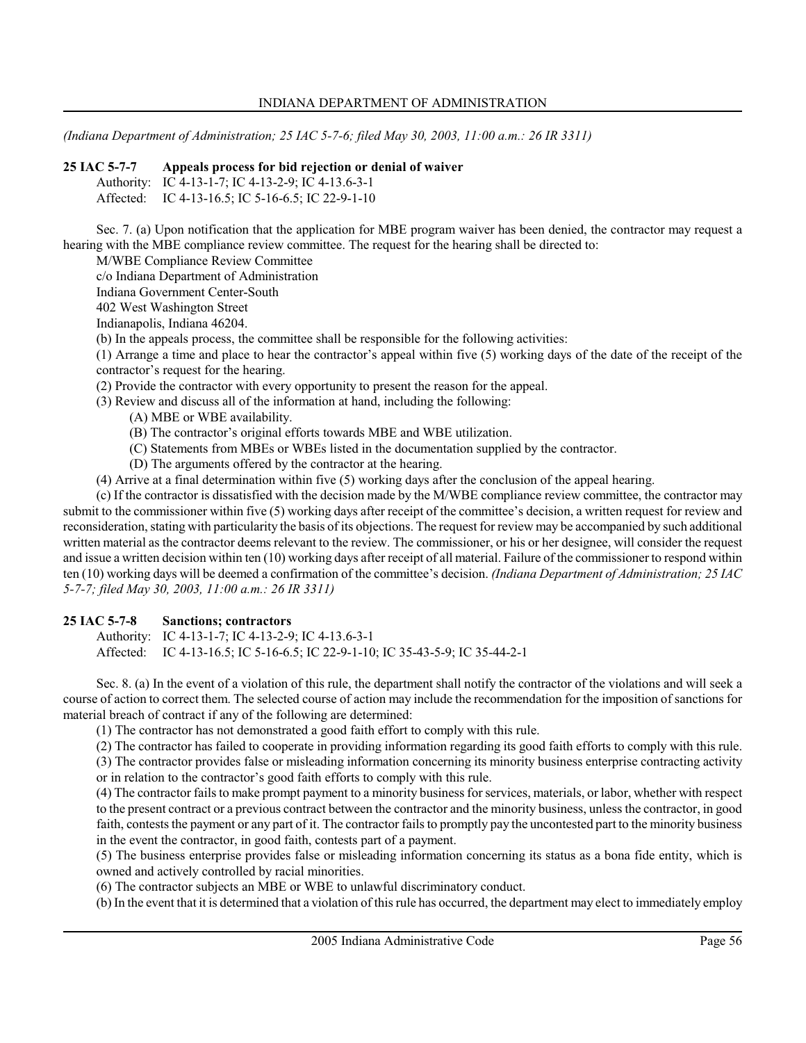(Indiana Department of Administration; 25 IAC 5-7-6; filed May 30, 2003, 11:00 a.m.: 26 IR 3311)

### 25 IAC 5-7-7 Appeals process for bid rejection or denial of waiver

Authority: IC 4-13-1-7; IC 4-13-2-9; IC 4-13.6-3-1 Affected: IC 4-13-16.5; IC 5-16-6.5; IC 22-9-1-10

Sec. 7. (a) Upon notification that the application for MBE program waiver has been denied, the contractor may request a hearing with the MBE compliance review committee. The request for the hearing shall be directed to:

M/WBE Compliance Review Committee

c/o Indiana Department of Administration

Indiana Government Center-South

402 West Washington Street

Indianapolis, Indiana 46204.

(b) In the appeals process, the committee shall be responsible for the following activities:

(1) Arrange a time and place to hear the contractor's appeal within five (5) working days of the date of the receipt of the contractor's request for the hearing.

(2) Provide the contractor with every opportunity to present the reason for the appeal.

(3) Review and discuss all of the information at hand, including the following:

(A) MBE or WBE availability.

- (B) The contractor's original efforts towards MBE and WBE utilization.
- (C) Statements from MBEs or WBEs listed in the documentation supplied by the contractor.
- (D) The arguments offered by the contractor at the hearing.
- (4) Arrive at a final determination within five (5) working days after the conclusion of the appeal hearing.

(c) If the contractor is dissatisfied with the decision made by the M/WBE compliance review committee, the contractor may submit to the commissioner within five (5) working days after receipt of the committee's decision, a written request for review and reconsideration, stating with particularity the basis of its objections. The request for review may be accompanied by such additional written material as the contractor deems relevant to the review. The commissioner, or his or her designee, will consider the request and issue a written decision within ten (10) working days after receipt of all material. Failure of the commissioner to respond within ten (10) working days will be deemed a confirmation of the committee's decision. (Indiana Department of Administration; 25 IAC 5-7-7; filed May 30, 2003, 11:00 a.m.: 26 IR 3311)

# 25 IAC 5-7-8 Sanctions; contractors

Authority: IC 4-13-1-7; IC 4-13-2-9; IC 4-13.6-3-1 Affected: IC 4-13-16.5; IC 5-16-6.5; IC 22-9-1-10; IC 35-43-5-9; IC 35-44-2-1

Sec. 8. (a) In the event of a violation of this rule, the department shall notify the contractor of the violations and will seek a course of action to correct them. The selected course of action may include the recommendation for the imposition of sanctions for material breach of contract if any of the following are determined:

(1) The contractor has not demonstrated a good faith effort to comply with this rule.

(2) The contractor has failed to cooperate in providing information regarding its good faith efforts to comply with this rule.

(3) The contractor provides false or misleading information concerning its minority business enterprise contracting activity or in relation to the contractor's good faith efforts to comply with this rule.

(4) The contractor fails to make prompt payment to a minority business for services, materials, or labor, whether with respect to the present contract or a previous contract between the contractor and the minority business, unless the contractor, in good faith, contests the payment or any part of it. The contractor fails to promptly pay the uncontested part to the minority business in the event the contractor, in good faith, contests part of a payment.

(5) The business enterprise provides false or misleading information concerning its status as a bona fide entity, which is owned and actively controlled by racial minorities.

(6) The contractor subjects an MBE or WBE to unlawful discriminatory conduct.

(b) In the event that it is determined that a violation of this rule has occurred, the department may elect to immediately employ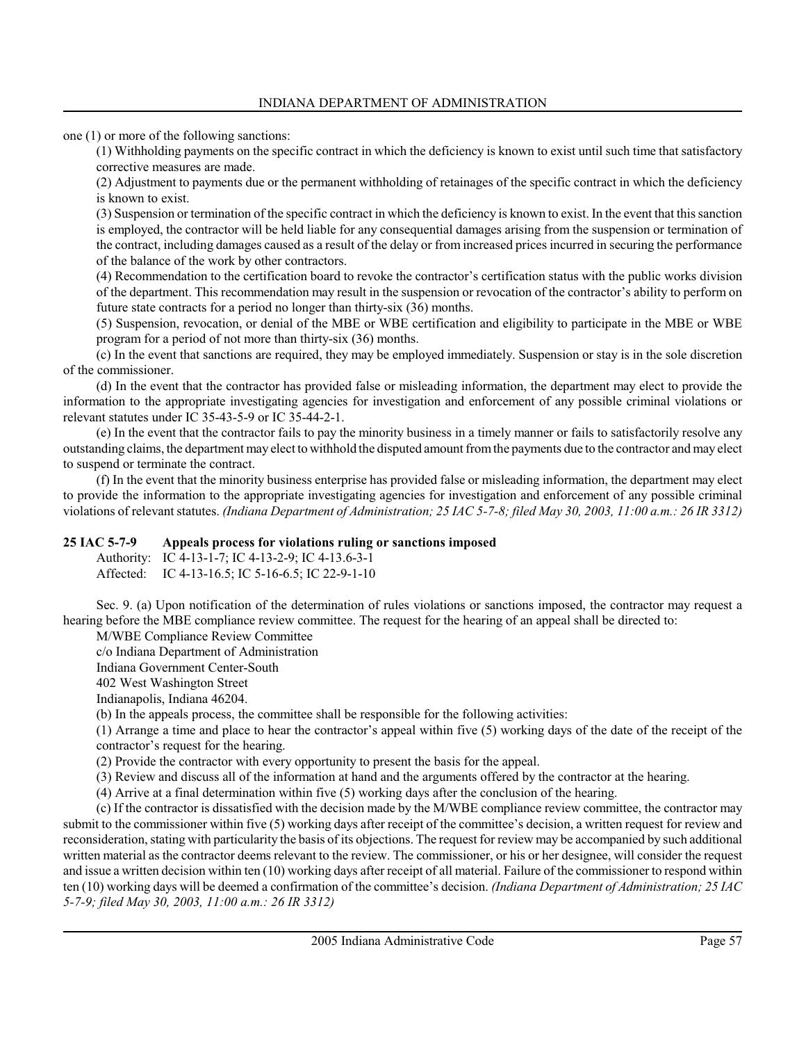one (1) or more of the following sanctions:

(1) Withholding payments on the specific contract in which the deficiency is known to exist until such time that satisfactory corrective measures are made.

(2) Adjustment to payments due or the permanent withholding of retainages of the specific contract in which the deficiency is known to exist.

(3) Suspension or termination of the specific contract in which the deficiency is known to exist. In the event that this sanction is employed, the contractor will be held liable for any consequential damages arising from the suspension or termination of the contract, including damages caused as a result of the delay or from increased prices incurred in securing the performance of the balance of the work by other contractors.

(4) Recommendation to the certification board to revoke the contractor's certification status with the public works division of the department. This recommendation may result in the suspension or revocation of the contractor's ability to perform on future state contracts for a period no longer than thirty-six (36) months.

(5) Suspension, revocation, or denial of the MBE or WBE certification and eligibility to participate in the MBE or WBE program for a period of not more than thirty-six (36) months.

(c) In the event that sanctions are required, they may be employed immediately. Suspension or stay is in the sole discretion of the commissioner.

(d) In the event that the contractor has provided false or misleading information, the department may elect to provide the information to the appropriate investigating agencies for investigation and enforcement of any possible criminal violations or relevant statutes under IC 35-43-5-9 or IC 35-44-2-1.

(e) In the event that the contractor fails to pay the minority business in a timely manner or fails to satisfactorily resolve any outstanding claims, the department may elect to withhold the disputed amount from the payments due to the contractor and may elect to suspend or terminate the contract.

(f) In the event that the minority business enterprise has provided false or misleading information, the department may elect to provide the information to the appropriate investigating agencies for investigation and enforcement of any possible criminal violations of relevant statutes. (Indiana Department of Administration; 25 IAC 5-7-8; filed May 30, 2003, 11:00 a.m.: 26 IR 3312)

#### 25 IAC 5-7-9 Appeals process for violations ruling or sanctions imposed

Authority: IC 4-13-1-7; IC 4-13-2-9; IC 4-13.6-3-1 Affected: IC 4-13-16.5; IC 5-16-6.5; IC 22-9-1-10

Sec. 9. (a) Upon notification of the determination of rules violations or sanctions imposed, the contractor may request a hearing before the MBE compliance review committee. The request for the hearing of an appeal shall be directed to:

M/WBE Compliance Review Committee

c/o Indiana Department of Administration

Indiana Government Center-South

402 West Washington Street

Indianapolis, Indiana 46204.

(b) In the appeals process, the committee shall be responsible for the following activities:

(1) Arrange a time and place to hear the contractor's appeal within five (5) working days of the date of the receipt of the contractor's request for the hearing.

(2) Provide the contractor with every opportunity to present the basis for the appeal.

(3) Review and discuss all of the information at hand and the arguments offered by the contractor at the hearing.

(4) Arrive at a final determination within five (5) working days after the conclusion of the hearing.

(c) If the contractor is dissatisfied with the decision made by the M/WBE compliance review committee, the contractor may submit to the commissioner within five (5) working days after receipt of the committee's decision, a written request for review and reconsideration, stating with particularity the basis of its objections. The request for review may be accompanied by such additional written material as the contractor deems relevant to the review. The commissioner, or his or her designee, will consider the request and issue a written decision within ten (10) working days after receipt of all material. Failure of the commissioner to respond within ten (10) working days will be deemed a confirmation of the committee's decision. (Indiana Department of Administration; 25 IAC 5-7-9; filed May 30, 2003, 11:00 a.m.: 26 IR 3312)